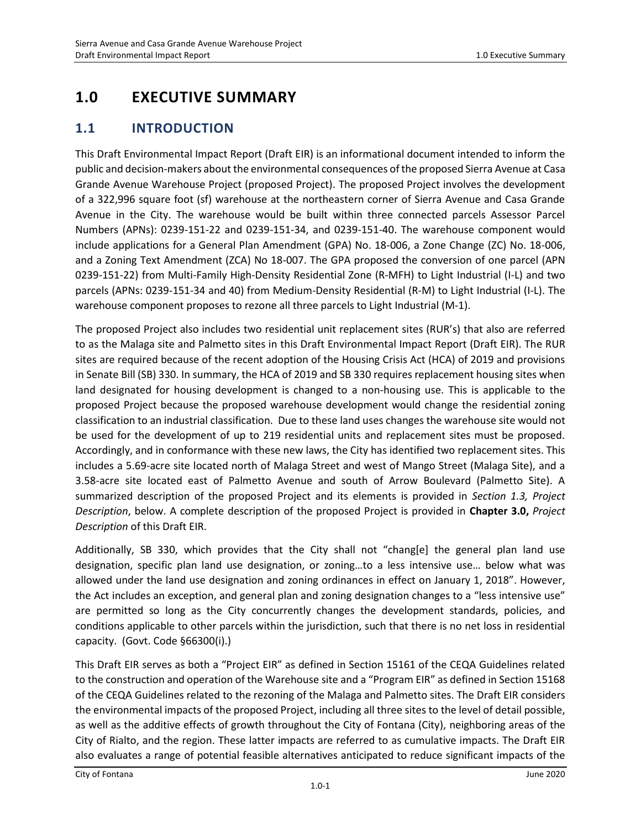# **1.0 EXECUTIVE SUMMARY**

### **1.1 INTRODUCTION**

This Draft Environmental Impact Report (Draft EIR) is an informational document intended to inform the public and decision-makers about the environmental consequences of the proposed Sierra Avenue at Casa Grande Avenue Warehouse Project (proposed Project). The proposed Project involves the development of a 322,996 square foot (sf) warehouse at the northeastern corner of Sierra Avenue and Casa Grande Avenue in the City. The warehouse would be built within three connected parcels Assessor Parcel Numbers (APNs): 0239-151-22 and 0239-151-34, and 0239-151-40. The warehouse component would include applications for a General Plan Amendment (GPA) No. 18-006, a Zone Change (ZC) No. 18-006, and a Zoning Text Amendment (ZCA) No 18-007. The GPA proposed the conversion of one parcel (APN 0239-151-22) from Multi-Family High-Density Residential Zone (R-MFH) to Light Industrial (I-L) and two parcels (APNs: 0239-151-34 and 40) from Medium-Density Residential (R-M) to Light Industrial (I-L). The warehouse component proposes to rezone all three parcels to Light Industrial (M-1).

The proposed Project also includes two residential unit replacement sites (RUR's) that also are referred to as the Malaga site and Palmetto sites in this Draft Environmental Impact Report (Draft EIR). The RUR sites are required because of the recent adoption of the Housing Crisis Act (HCA) of 2019 and provisions in Senate Bill (SB) 330. In summary, the HCA of 2019 and SB 330 requires replacement housing sites when land designated for housing development is changed to a non-housing use. This is applicable to the proposed Project because the proposed warehouse development would change the residential zoning classification to an industrial classification. Due to these land uses changes the warehouse site would not be used for the development of up to 219 residential units and replacement sites must be proposed. Accordingly, and in conformance with these new laws, the City has identified two replacement sites. This includes a 5.69-acre site located north of Malaga Street and west of Mango Street (Malaga Site), and a 3.58-acre site located east of Palmetto Avenue and south of Arrow Boulevard (Palmetto Site). A summarized description of the proposed Project and its elements is provided in *Section 1.3, Project Description*, below. A complete description of the proposed Project is provided in **Chapter 3.0,** *Project Description* of this Draft EIR.

Additionally, SB 330, which provides that the City shall not "chang[e] the general plan land use designation, specific plan land use designation, or zoning…to a less intensive use… below what was allowed under the land use designation and zoning ordinances in effect on January 1, 2018". However, the Act includes an exception, and general plan and zoning designation changes to a "less intensive use" are permitted so long as the City concurrently changes the development standards, policies, and conditions applicable to other parcels within the jurisdiction, such that there is no net loss in residential capacity. (Govt. Code §66300(i).)

This Draft EIR serves as both a "Project EIR" as defined in Section 15161 of the CEQA Guidelines related to the construction and operation of the Warehouse site and a "Program EIR" as defined in Section 15168 of the CEQA Guidelines related to the rezoning of the Malaga and Palmetto sites. The Draft EIR considers the environmental impacts of the proposed Project, including all three sites to the level of detail possible, as well as the additive effects of growth throughout the City of Fontana (City), neighboring areas of the City of Rialto, and the region. These latter impacts are referred to as cumulative impacts. The Draft EIR also evaluates a range of potential feasible alternatives anticipated to reduce significant impacts of the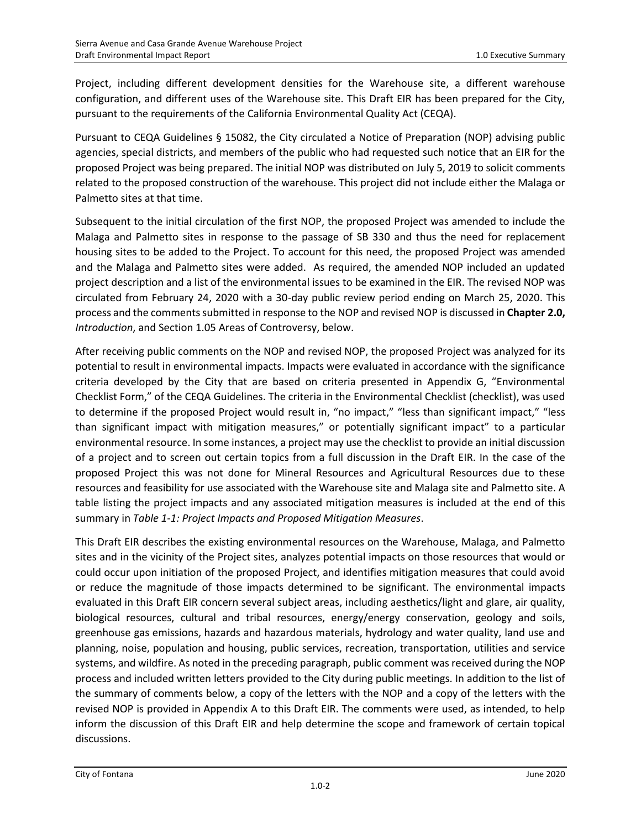Project, including different development densities for the Warehouse site, a different warehouse configuration, and different uses of the Warehouse site. This Draft EIR has been prepared for the City, pursuant to the requirements of the California Environmental Quality Act (CEQA).

Pursuant to CEQA Guidelines § 15082, the City circulated a Notice of Preparation (NOP) advising public agencies, special districts, and members of the public who had requested such notice that an EIR for the proposed Project was being prepared. The initial NOP was distributed on July 5, 2019 to solicit comments related to the proposed construction of the warehouse. This project did not include either the Malaga or Palmetto sites at that time.

Subsequent to the initial circulation of the first NOP, the proposed Project was amended to include the Malaga and Palmetto sites in response to the passage of SB 330 and thus the need for replacement housing sites to be added to the Project. To account for this need, the proposed Project was amended and the Malaga and Palmetto sites were added. As required, the amended NOP included an updated project description and a list of the environmental issues to be examined in the EIR. The revised NOP was circulated from February 24, 2020 with a 30-day public review period ending on March 25, 2020. This process and the comments submitted in response to the NOP and revised NOP is discussed in **Chapter 2.0,** *Introduction*, and Section 1.05 Areas of Controversy, below.

After receiving public comments on the NOP and revised NOP, the proposed Project was analyzed for its potential to result in environmental impacts. Impacts were evaluated in accordance with the significance criteria developed by the City that are based on criteria presented in Appendix G, "Environmental Checklist Form," of the CEQA Guidelines. The criteria in the Environmental Checklist (checklist), was used to determine if the proposed Project would result in, "no impact," "less than significant impact," "less than significant impact with mitigation measures," or potentially significant impact" to a particular environmental resource. In some instances, a project may use the checklist to provide an initial discussion of a project and to screen out certain topics from a full discussion in the Draft EIR. In the case of the proposed Project this was not done for Mineral Resources and Agricultural Resources due to these resources and feasibility for use associated with the Warehouse site and Malaga site and Palmetto site. A table listing the project impacts and any associated mitigation measures is included at the end of this summary in *Table 1-1: Project Impacts and Proposed Mitigation Measures*.

This Draft EIR describes the existing environmental resources on the Warehouse, Malaga, and Palmetto sites and in the vicinity of the Project sites, analyzes potential impacts on those resources that would or could occur upon initiation of the proposed Project, and identifies mitigation measures that could avoid or reduce the magnitude of those impacts determined to be significant. The environmental impacts evaluated in this Draft EIR concern several subject areas, including aesthetics/light and glare, air quality, biological resources, cultural and tribal resources, energy/energy conservation, geology and soils, greenhouse gas emissions, hazards and hazardous materials, hydrology and water quality, land use and planning, noise, population and housing, public services, recreation, transportation, utilities and service systems, and wildfire. As noted in the preceding paragraph, public comment was received during the NOP process and included written letters provided to the City during public meetings. In addition to the list of the summary of comments below, a copy of the letters with the NOP and a copy of the letters with the revised NOP is provided in Appendix A to this Draft EIR. The comments were used, as intended, to help inform the discussion of this Draft EIR and help determine the scope and framework of certain topical discussions.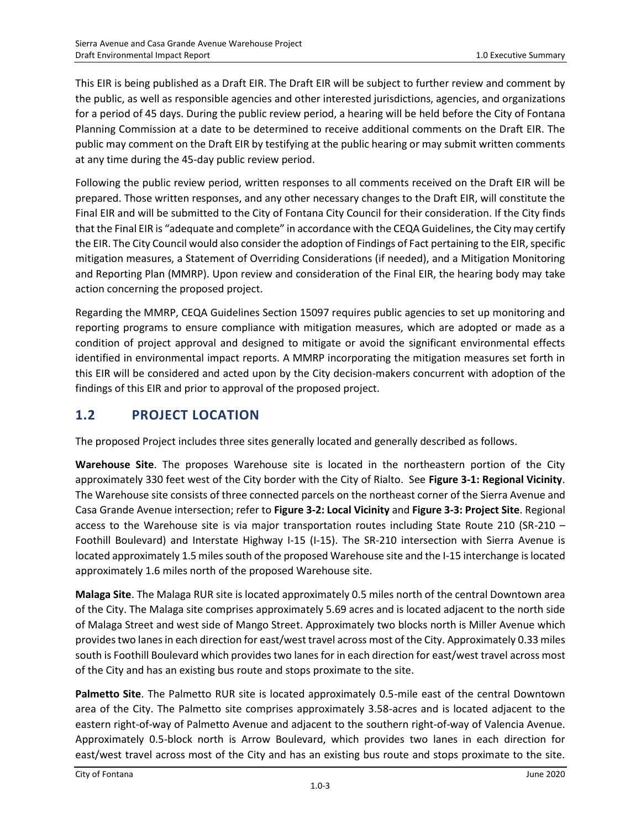This EIR is being published as a Draft EIR. The Draft EIR will be subject to further review and comment by the public, as well as responsible agencies and other interested jurisdictions, agencies, and organizations for a period of 45 days. During the public review period, a hearing will be held before the City of Fontana Planning Commission at a date to be determined to receive additional comments on the Draft EIR. The public may comment on the Draft EIR by testifying at the public hearing or may submit written comments at any time during the 45-day public review period.

Following the public review period, written responses to all comments received on the Draft EIR will be prepared. Those written responses, and any other necessary changes to the Draft EIR, will constitute the Final EIR and will be submitted to the City of Fontana City Council for their consideration. If the City finds that the Final EIR is "adequate and complete" in accordance with the CEQA Guidelines, the City may certify the EIR. The City Council would also consider the adoption of Findings of Fact pertaining to the EIR, specific mitigation measures, a Statement of Overriding Considerations (if needed), and a Mitigation Monitoring and Reporting Plan (MMRP). Upon review and consideration of the Final EIR, the hearing body may take action concerning the proposed project.

Regarding the MMRP, CEQA Guidelines Section 15097 requires public agencies to set up monitoring and reporting programs to ensure compliance with mitigation measures, which are adopted or made as a condition of project approval and designed to mitigate or avoid the significant environmental effects identified in environmental impact reports. A MMRP incorporating the mitigation measures set forth in this EIR will be considered and acted upon by the City decision-makers concurrent with adoption of the findings of this EIR and prior to approval of the proposed project.

# **1.2 PROJECT LOCATION**

The proposed Project includes three sites generally located and generally described as follows.

**Warehouse Site**. The proposes Warehouse site is located in the northeastern portion of the City approximately 330 feet west of the City border with the City of Rialto. See **Figure 3-1: Regional Vicinity**. The Warehouse site consists of three connected parcels on the northeast corner of the Sierra Avenue and Casa Grande Avenue intersection; refer to **Figure 3-2: Local Vicinity** and **Figure 3-3: Project Site**. Regional access to the Warehouse site is via major transportation routes including State Route 210 (SR-210 – Foothill Boulevard) and Interstate Highway I-15 (I-15). The SR-210 intersection with Sierra Avenue is located approximately 1.5 miles south of the proposed Warehouse site and the I-15 interchange is located approximately 1.6 miles north of the proposed Warehouse site.

**Malaga Site**. The Malaga RUR site is located approximately 0.5 miles north of the central Downtown area of the City. The Malaga site comprises approximately 5.69 acres and is located adjacent to the north side of Malaga Street and west side of Mango Street. Approximately two blocks north is Miller Avenue which provides two lanes in each direction for east/west travel across most of the City. Approximately 0.33 miles south is Foothill Boulevard which provides two lanes for in each direction for east/west travel across most of the City and has an existing bus route and stops proximate to the site.

**Palmetto Site**. The Palmetto RUR site is located approximately 0.5-mile east of the central Downtown area of the City. The Palmetto site comprises approximately 3.58-acres and is located adjacent to the eastern right-of-way of Palmetto Avenue and adjacent to the southern right-of-way of Valencia Avenue. Approximately 0.5-block north is Arrow Boulevard, which provides two lanes in each direction for east/west travel across most of the City and has an existing bus route and stops proximate to the site.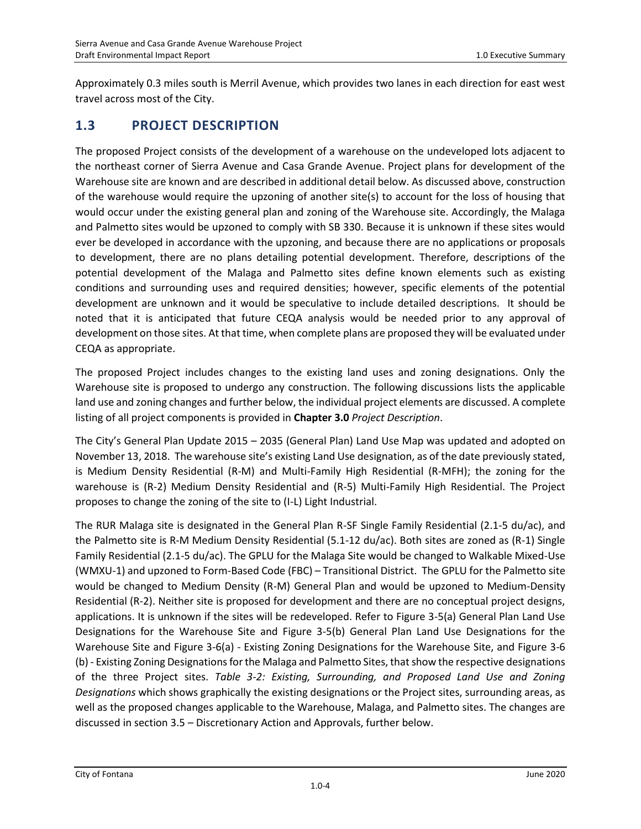Approximately 0.3 miles south is Merril Avenue, which provides two lanes in each direction for east west travel across most of the City.

## **1.3 PROJECT DESCRIPTION**

The proposed Project consists of the development of a warehouse on the undeveloped lots adjacent to the northeast corner of Sierra Avenue and Casa Grande Avenue. Project plans for development of the Warehouse site are known and are described in additional detail below. As discussed above, construction of the warehouse would require the upzoning of another site(s) to account for the loss of housing that would occur under the existing general plan and zoning of the Warehouse site. Accordingly, the Malaga and Palmetto sites would be upzoned to comply with SB 330. Because it is unknown if these sites would ever be developed in accordance with the upzoning, and because there are no applications or proposals to development, there are no plans detailing potential development. Therefore, descriptions of the potential development of the Malaga and Palmetto sites define known elements such as existing conditions and surrounding uses and required densities; however, specific elements of the potential development are unknown and it would be speculative to include detailed descriptions. It should be noted that it is anticipated that future CEQA analysis would be needed prior to any approval of development on those sites. At that time, when complete plans are proposed they will be evaluated under CEQA as appropriate.

The proposed Project includes changes to the existing land uses and zoning designations. Only the Warehouse site is proposed to undergo any construction. The following discussions lists the applicable land use and zoning changes and further below, the individual project elements are discussed. A complete listing of all project components is provided in **Chapter 3.0** *Project Description*.

The City's General Plan Update 2015 – 2035 (General Plan) Land Use Map was updated and adopted on November 13, 2018. The warehouse site's existing Land Use designation, as of the date previously stated, is Medium Density Residential (R-M) and Multi-Family High Residential (R-MFH); the zoning for the warehouse is (R-2) Medium Density Residential and (R-5) Multi-Family High Residential. The Project proposes to change the zoning of the site to (I-L) Light Industrial.

The RUR Malaga site is designated in the General Plan R-SF Single Family Residential (2.1-5 du/ac), and the Palmetto site is R-M Medium Density Residential (5.1-12 du/ac). Both sites are zoned as (R-1) Single Family Residential (2.1-5 du/ac). The GPLU for the Malaga Site would be changed to Walkable Mixed-Use (WMXU-1) and upzoned to Form-Based Code (FBC) – Transitional District. The GPLU for the Palmetto site would be changed to Medium Density (R-M) General Plan and would be upzoned to Medium-Density Residential (R-2). Neither site is proposed for development and there are no conceptual project designs, applications. It is unknown if the sites will be redeveloped. Refer to Figure 3-5(a) General Plan Land Use Designations for the Warehouse Site and Figure 3-5(b) General Plan Land Use Designations for the Warehouse Site and Figure 3-6(a) - Existing Zoning Designations for the Warehouse Site, and Figure 3-6 (b) - Existing Zoning Designations for the Malaga and Palmetto Sites, that show the respective designations of the three Project sites. *Table 3-2: Existing, Surrounding, and Proposed Land Use and Zoning Designations* which shows graphically the existing designations or the Project sites, surrounding areas, as well as the proposed changes applicable to the Warehouse, Malaga, and Palmetto sites. The changes are discussed in section 3.5 – Discretionary Action and Approvals, further below.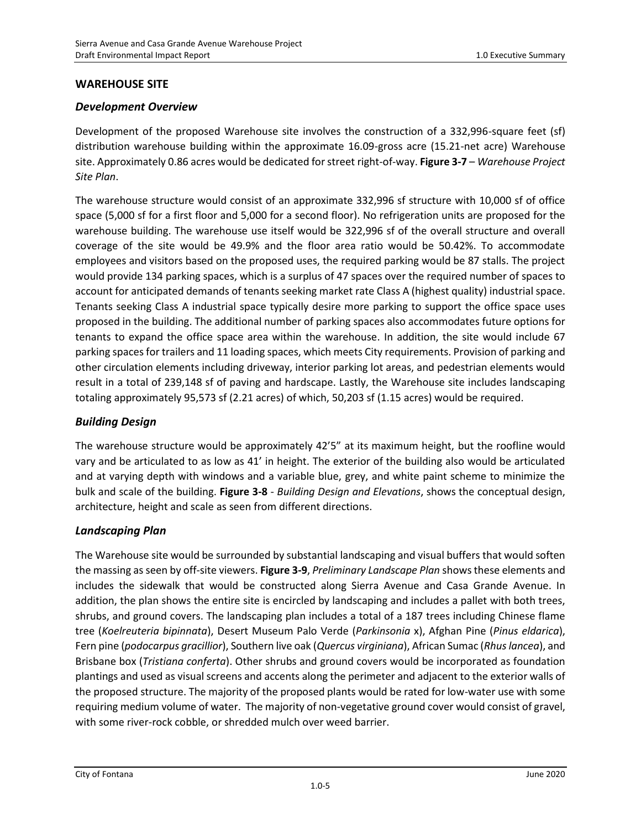### **WAREHOUSE SITE**

#### *Development Overview*

Development of the proposed Warehouse site involves the construction of a 332,996-square feet (sf) distribution warehouse building within the approximate 16.09-gross acre (15.21-net acre) Warehouse site. Approximately 0.86 acres would be dedicated for street right-of-way. **Figure 3-7** – *Warehouse Project Site Plan*.

The warehouse structure would consist of an approximate 332,996 sf structure with 10,000 sf of office space (5,000 sf for a first floor and 5,000 for a second floor). No refrigeration units are proposed for the warehouse building. The warehouse use itself would be 322,996 sf of the overall structure and overall coverage of the site would be 49.9% and the floor area ratio would be 50.42%. To accommodate employees and visitors based on the proposed uses, the required parking would be 87 stalls. The project would provide 134 parking spaces, which is a surplus of 47 spaces over the required number of spaces to account for anticipated demands of tenants seeking market rate Class A (highest quality) industrial space. Tenants seeking Class A industrial space typically desire more parking to support the office space uses proposed in the building. The additional number of parking spaces also accommodates future options for tenants to expand the office space area within the warehouse. In addition, the site would include 67 parking spaces for trailers and 11 loading spaces, which meets City requirements. Provision of parking and other circulation elements including driveway, interior parking lot areas, and pedestrian elements would result in a total of 239,148 sf of paving and hardscape. Lastly, the Warehouse site includes landscaping totaling approximately 95,573 sf (2.21 acres) of which, 50,203 sf (1.15 acres) would be required.

### *Building Design*

The warehouse structure would be approximately 42'5" at its maximum height, but the roofline would vary and be articulated to as low as 41' in height. The exterior of the building also would be articulated and at varying depth with windows and a variable blue, grey, and white paint scheme to minimize the bulk and scale of the building. **Figure 3-8** - *Building Design and Elevations*, shows the conceptual design, architecture, height and scale as seen from different directions.

#### *Landscaping Plan*

The Warehouse site would be surrounded by substantial landscaping and visual buffers that would soften the massing as seen by off-site viewers. **Figure 3-9**, *Preliminary Landscape Plan* shows these elements and includes the sidewalk that would be constructed along Sierra Avenue and Casa Grande Avenue. In addition, the plan shows the entire site is encircled by landscaping and includes a pallet with both trees, shrubs, and ground covers. The landscaping plan includes a total of a 187 trees including Chinese flame tree (*Koelreuteria bipinnata*), Desert Museum Palo Verde (*Parkinsonia* x), Afghan Pine (*Pinus eldarica*), Fern pine (*podocarpus gracillior*), Southern live oak (*Quercus virginiana*), African Sumac (*Rhus lancea*), and Brisbane box (*Tristiana conferta*). Other shrubs and ground covers would be incorporated as foundation plantings and used as visual screens and accents along the perimeter and adjacent to the exterior walls of the proposed structure. The majority of the proposed plants would be rated for low-water use with some requiring medium volume of water. The majority of non-vegetative ground cover would consist of gravel, with some river-rock cobble, or shredded mulch over weed barrier.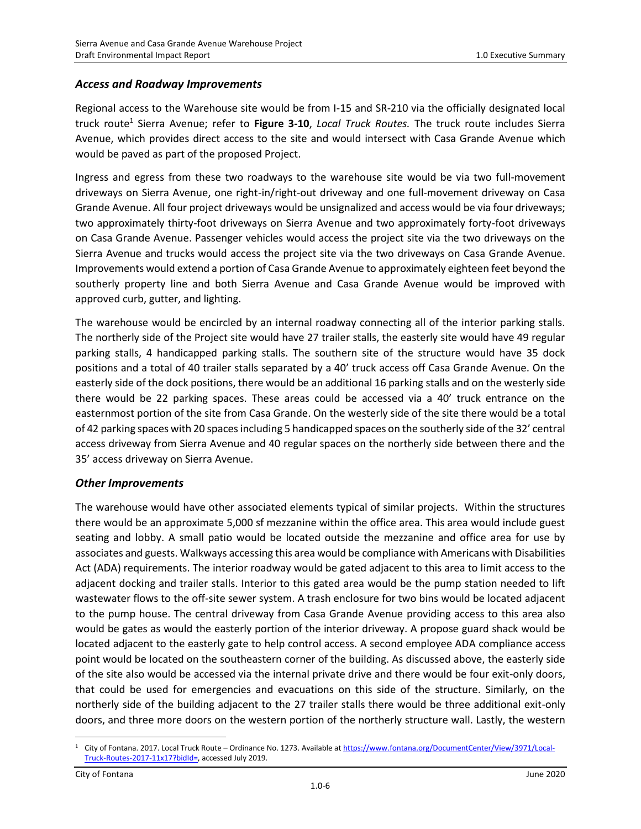### *Access and Roadway Improvements*

Regional access to the Warehouse site would be from I-15 and SR-210 via the officially designated local truck route<sup>1</sup> Sierra Avenue; refer to Figure 3-10, *Local Truck Routes.* The truck route includes Sierra Avenue, which provides direct access to the site and would intersect with Casa Grande Avenue which would be paved as part of the proposed Project.

Ingress and egress from these two roadways to the warehouse site would be via two full-movement driveways on Sierra Avenue, one right-in/right-out driveway and one full-movement driveway on Casa Grande Avenue. All four project driveways would be unsignalized and access would be via four driveways; two approximately thirty-foot driveways on Sierra Avenue and two approximately forty-foot driveways on Casa Grande Avenue. Passenger vehicles would access the project site via the two driveways on the Sierra Avenue and trucks would access the project site via the two driveways on Casa Grande Avenue. Improvements would extend a portion of Casa Grande Avenue to approximately eighteen feet beyond the southerly property line and both Sierra Avenue and Casa Grande Avenue would be improved with approved curb, gutter, and lighting.

The warehouse would be encircled by an internal roadway connecting all of the interior parking stalls. The northerly side of the Project site would have 27 trailer stalls, the easterly site would have 49 regular parking stalls, 4 handicapped parking stalls. The southern site of the structure would have 35 dock positions and a total of 40 trailer stalls separated by a 40' truck access off Casa Grande Avenue. On the easterly side of the dock positions, there would be an additional 16 parking stalls and on the westerly side there would be 22 parking spaces. These areas could be accessed via a 40' truck entrance on the easternmost portion of the site from Casa Grande. On the westerly side of the site there would be a total of 42 parking spaces with 20 spaces including 5 handicapped spaces on the southerly side of the 32' central access driveway from Sierra Avenue and 40 regular spaces on the northerly side between there and the 35' access driveway on Sierra Avenue.

### *Other Improvements*

The warehouse would have other associated elements typical of similar projects. Within the structures there would be an approximate 5,000 sf mezzanine within the office area. This area would include guest seating and lobby. A small patio would be located outside the mezzanine and office area for use by associates and guests. Walkways accessing this area would be compliance with Americans with Disabilities Act (ADA) requirements. The interior roadway would be gated adjacent to this area to limit access to the adjacent docking and trailer stalls. Interior to this gated area would be the pump station needed to lift wastewater flows to the off-site sewer system. A trash enclosure for two bins would be located adjacent to the pump house. The central driveway from Casa Grande Avenue providing access to this area also would be gates as would the easterly portion of the interior driveway. A propose guard shack would be located adjacent to the easterly gate to help control access. A second employee ADA compliance access point would be located on the southeastern corner of the building. As discussed above, the easterly side of the site also would be accessed via the internal private drive and there would be four exit-only doors, that could be used for emergencies and evacuations on this side of the structure. Similarly, on the northerly side of the building adjacent to the 27 trailer stalls there would be three additional exit-only doors, and three more doors on the western portion of the northerly structure wall. Lastly, the western

<sup>&</sup>lt;sup>1</sup> City of Fontana. 2017. Local Truck Route – Ordinance No. 1273. Available a[t https://www.fontana.org/DocumentCenter/View/3971/Local-](https://www.fontana.org/DocumentCenter/View/3971/Local-Truck-Routes-2017-11x17?bidId=)[Truck-Routes-2017-11x17?bidId=,](https://www.fontana.org/DocumentCenter/View/3971/Local-Truck-Routes-2017-11x17?bidId=) accessed July 2019.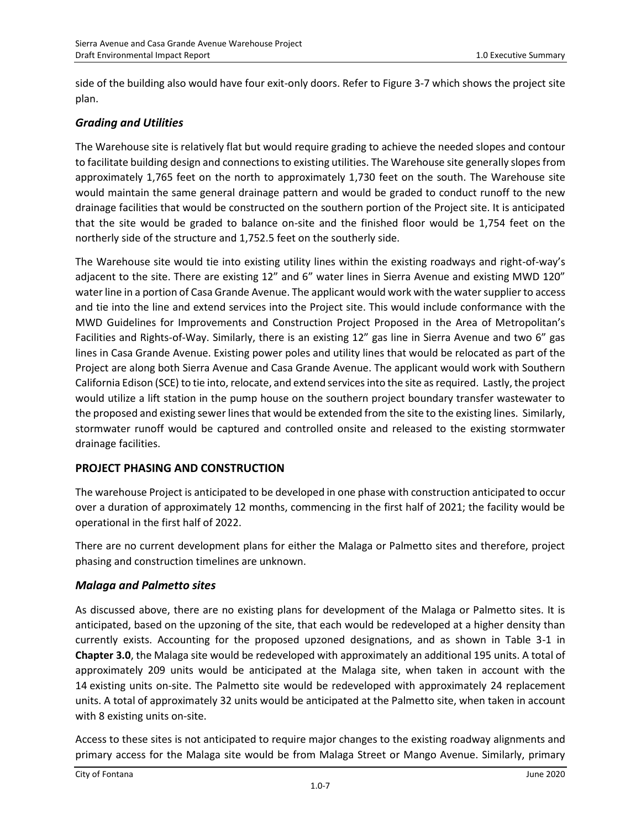side of the building also would have four exit-only doors. Refer to Figure 3-7 which shows the project site plan.

### *Grading and Utilities*

The Warehouse site is relatively flat but would require grading to achieve the needed slopes and contour to facilitate building design and connections to existing utilities. The Warehouse site generally slopes from approximately 1,765 feet on the north to approximately 1,730 feet on the south. The Warehouse site would maintain the same general drainage pattern and would be graded to conduct runoff to the new drainage facilities that would be constructed on the southern portion of the Project site. It is anticipated that the site would be graded to balance on-site and the finished floor would be 1,754 feet on the northerly side of the structure and 1,752.5 feet on the southerly side.

The Warehouse site would tie into existing utility lines within the existing roadways and right-of-way's adjacent to the site. There are existing 12" and 6" water lines in Sierra Avenue and existing MWD 120" water line in a portion of Casa Grande Avenue. The applicant would work with the water supplier to access and tie into the line and extend services into the Project site. This would include conformance with the MWD Guidelines for Improvements and Construction Project Proposed in the Area of Metropolitan's Facilities and Rights-of-Way. Similarly, there is an existing 12" gas line in Sierra Avenue and two 6" gas lines in Casa Grande Avenue. Existing power poles and utility lines that would be relocated as part of the Project are along both Sierra Avenue and Casa Grande Avenue. The applicant would work with Southern California Edison (SCE) to tie into, relocate, and extend services into the site as required. Lastly, the project would utilize a lift station in the pump house on the southern project boundary transfer wastewater to the proposed and existing sewer lines that would be extended from the site to the existing lines. Similarly, stormwater runoff would be captured and controlled onsite and released to the existing stormwater drainage facilities.

### **PROJECT PHASING AND CONSTRUCTION**

The warehouse Project is anticipated to be developed in one phase with construction anticipated to occur over a duration of approximately 12 months, commencing in the first half of 2021; the facility would be operational in the first half of 2022.

There are no current development plans for either the Malaga or Palmetto sites and therefore, project phasing and construction timelines are unknown.

### *Malaga and Palmetto sites*

As discussed above, there are no existing plans for development of the Malaga or Palmetto sites. It is anticipated, based on the upzoning of the site, that each would be redeveloped at a higher density than currently exists. Accounting for the proposed upzoned designations, and as shown in Table 3-1 in **Chapter 3.0**, the Malaga site would be redeveloped with approximately an additional 195 units. A total of approximately 209 units would be anticipated at the Malaga site, when taken in account with the 14 existing units on-site. The Palmetto site would be redeveloped with approximately 24 replacement units. A total of approximately 32 units would be anticipated at the Palmetto site, when taken in account with 8 existing units on-site.

Access to these sites is not anticipated to require major changes to the existing roadway alignments and primary access for the Malaga site would be from Malaga Street or Mango Avenue. Similarly, primary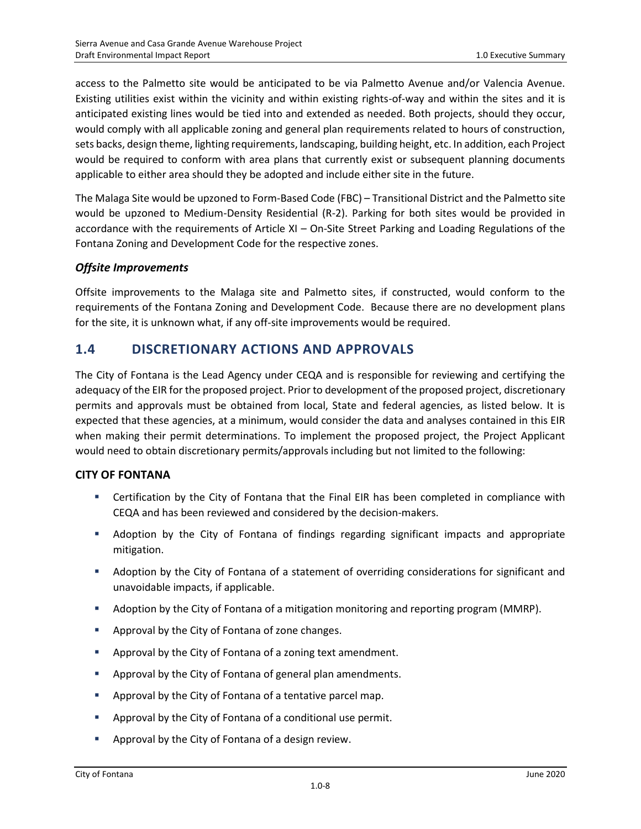access to the Palmetto site would be anticipated to be via Palmetto Avenue and/or Valencia Avenue. Existing utilities exist within the vicinity and within existing rights-of-way and within the sites and it is anticipated existing lines would be tied into and extended as needed. Both projects, should they occur, would comply with all applicable zoning and general plan requirements related to hours of construction, sets backs, design theme, lighting requirements, landscaping, building height, etc. In addition, each Project would be required to conform with area plans that currently exist or subsequent planning documents applicable to either area should they be adopted and include either site in the future.

The Malaga Site would be upzoned to Form-Based Code (FBC) – Transitional District and the Palmetto site would be upzoned to Medium-Density Residential (R-2). Parking for both sites would be provided in accordance with the requirements of Article XI – On-Site Street Parking and Loading Regulations of the Fontana Zoning and Development Code for the respective zones.

### *Offsite Improvements*

Offsite improvements to the Malaga site and Palmetto sites, if constructed, would conform to the requirements of the Fontana Zoning and Development Code. Because there are no development plans for the site, it is unknown what, if any off-site improvements would be required.

### **1.4 DISCRETIONARY ACTIONS AND APPROVALS**

The City of Fontana is the Lead Agency under CEQA and is responsible for reviewing and certifying the adequacy of the EIR for the proposed project. Prior to development of the proposed project, discretionary permits and approvals must be obtained from local, State and federal agencies, as listed below. It is expected that these agencies, at a minimum, would consider the data and analyses contained in this EIR when making their permit determinations. To implement the proposed project, the Project Applicant would need to obtain discretionary permits/approvals including but not limited to the following:

### **CITY OF FONTANA**

- **EXECT** Certification by the City of Fontana that the Final EIR has been completed in compliance with CEQA and has been reviewed and considered by the decision-makers.
- **■** Adoption by the City of Fontana of findings regarding significant impacts and appropriate mitigation.
- Adoption by the City of Fontana of a statement of overriding considerations for significant and unavoidable impacts, if applicable.
- Adoption by the City of Fontana of a mitigation monitoring and reporting program (MMRP).
- Approval by the City of Fontana of zone changes.
- Approval by the City of Fontana of a zoning text amendment.
- Approval by the City of Fontana of general plan amendments.
- Approval by the City of Fontana of a tentative parcel map.
- Approval by the City of Fontana of a conditional use permit.
- Approval by the City of Fontana of a design review.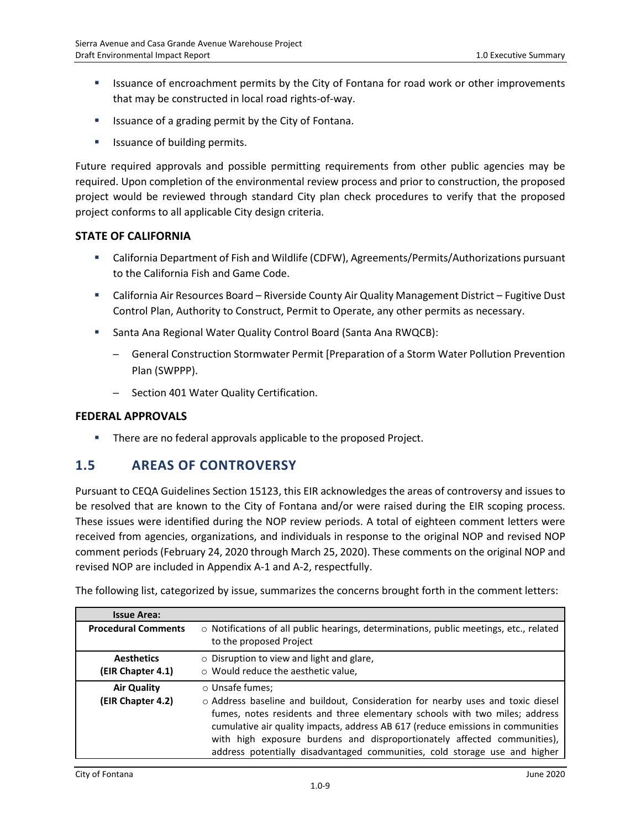- **■** Issuance of encroachment permits by the City of Fontana for road work or other improvements that may be constructed in local road rights-of-way.
- **EXEDENT** Issuance of a grading permit by the City of Fontana.
- Issuance of building permits.

Future required approvals and possible permitting requirements from other public agencies may be required. Upon completion of the environmental review process and prior to construction, the proposed project would be reviewed through standard City plan check procedures to verify that the proposed project conforms to all applicable City design criteria.

#### **STATE OF CALIFORNIA**

- California Department of Fish and Wildlife (CDFW), Agreements/Permits/Authorizations pursuant to the California Fish and Game Code.
- **California Air Resources Board Riverside County Air Quality Management District Fugitive Dust** Control Plan, Authority to Construct, Permit to Operate, any other permits as necessary.
- Santa Ana Regional Water Quality Control Board (Santa Ana RWQCB):
	- $-$  General Construction Stormwater Permit [Preparation of a Storm Water Pollution Prevention Plan (SWPPP).
	- ─ Section 401 Water Quality Certification.

#### **FEDERAL APPROVALS**

**■** There are no federal approvals applicable to the proposed Project.

### **1.5 AREAS OF CONTROVERSY**

Pursuant to CEQA Guidelines Section 15123, this EIR acknowledges the areas of controversy and issues to be resolved that are known to the City of Fontana and/or were raised during the EIR scoping process. These issues were identified during the NOP review periods. A total of eighteen comment letters were received from agencies, organizations, and individuals in response to the original NOP and revised NOP comment periods (February 24, 2020 through March 25, 2020). These comments on the original NOP and revised NOP are included in Appendix A-1 and A-2, respectfully.

The following list, categorized by issue, summarizes the concerns brought forth in the comment letters:

| <b>Issue Area:</b>         |                                                                                                                         |
|----------------------------|-------------------------------------------------------------------------------------------------------------------------|
| <b>Procedural Comments</b> | $\circ$ Notifications of all public hearings, determinations, public meetings, etc., related<br>to the proposed Project |
| <b>Aesthetics</b>          | $\circ$ Disruption to view and light and glare,                                                                         |
| (EIR Chapter 4.1)          | o Would reduce the aesthetic value,                                                                                     |
| <b>Air Quality</b>         | ○ Unsafe fumes;                                                                                                         |
| (EIR Chapter 4.2)          | o Address baseline and buildout, Consideration for nearby uses and toxic diesel                                         |
|                            | fumes, notes residents and three elementary schools with two miles; address                                             |
|                            | cumulative air quality impacts, address AB 617 (reduce emissions in communities                                         |
|                            | with high exposure burdens and disproportionately affected communities),                                                |
|                            | address potentially disadvantaged communities, cold storage use and higher                                              |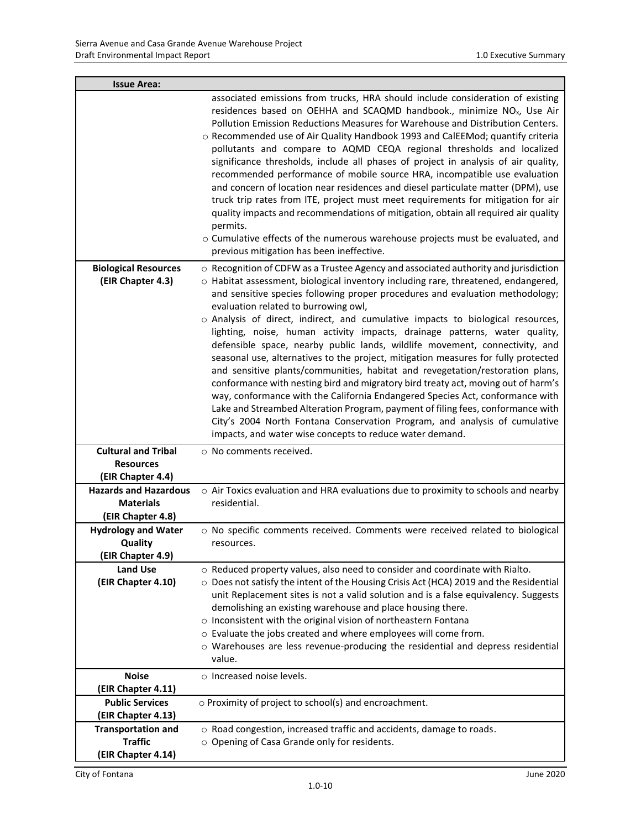| <b>Issue Area:</b>                                                    |                                                                                                                                                                                                                                                                                                                                                                                                                                                                                                                                                                                                                                                                                                                                                                                                                                                                                                                                                                                                                                                                                                                              |
|-----------------------------------------------------------------------|------------------------------------------------------------------------------------------------------------------------------------------------------------------------------------------------------------------------------------------------------------------------------------------------------------------------------------------------------------------------------------------------------------------------------------------------------------------------------------------------------------------------------------------------------------------------------------------------------------------------------------------------------------------------------------------------------------------------------------------------------------------------------------------------------------------------------------------------------------------------------------------------------------------------------------------------------------------------------------------------------------------------------------------------------------------------------------------------------------------------------|
|                                                                       | associated emissions from trucks, HRA should include consideration of existing<br>residences based on OEHHA and SCAQMD handbook., minimize NO <sub>x</sub> , Use Air<br>Pollution Emission Reductions Measures for Warehouse and Distribution Centers.<br>o Recommended use of Air Quality Handbook 1993 and CalEEMod; quantify criteria<br>pollutants and compare to AQMD CEQA regional thresholds and localized<br>significance thresholds, include all phases of project in analysis of air quality,<br>recommended performance of mobile source HRA, incompatible use evaluation<br>and concern of location near residences and diesel particulate matter (DPM), use<br>truck trip rates from ITE, project must meet requirements for mitigation for air<br>quality impacts and recommendations of mitigation, obtain all required air quality<br>permits.<br>o Cumulative effects of the numerous warehouse projects must be evaluated, and<br>previous mitigation has been ineffective.                                                                                                                                |
| <b>Biological Resources</b><br>(EIR Chapter 4.3)                      | ○ Recognition of CDFW as a Trustee Agency and associated authority and jurisdiction<br>o Habitat assessment, biological inventory including rare, threatened, endangered,<br>and sensitive species following proper procedures and evaluation methodology;<br>evaluation related to burrowing owl,<br>o Analysis of direct, indirect, and cumulative impacts to biological resources,<br>lighting, noise, human activity impacts, drainage patterns, water quality,<br>defensible space, nearby public lands, wildlife movement, connectivity, and<br>seasonal use, alternatives to the project, mitigation measures for fully protected<br>and sensitive plants/communities, habitat and revegetation/restoration plans,<br>conformance with nesting bird and migratory bird treaty act, moving out of harm's<br>way, conformance with the California Endangered Species Act, conformance with<br>Lake and Streambed Alteration Program, payment of filing fees, conformance with<br>City's 2004 North Fontana Conservation Program, and analysis of cumulative<br>impacts, and water wise concepts to reduce water demand. |
| <b>Cultural and Tribal</b><br><b>Resources</b><br>(EIR Chapter 4.4)   | ○ No comments received.                                                                                                                                                                                                                                                                                                                                                                                                                                                                                                                                                                                                                                                                                                                                                                                                                                                                                                                                                                                                                                                                                                      |
| <b>Hazards and Hazardous</b><br><b>Materials</b><br>(EIR Chapter 4.8) | o Air Toxics evaluation and HRA evaluations due to proximity to schools and nearby<br>residential.                                                                                                                                                                                                                                                                                                                                                                                                                                                                                                                                                                                                                                                                                                                                                                                                                                                                                                                                                                                                                           |
| <b>Hydrology and Water</b><br>Quality<br>(EIR Chapter 4.9)            | o No specific comments received. Comments were received related to biological<br>resources.                                                                                                                                                                                                                                                                                                                                                                                                                                                                                                                                                                                                                                                                                                                                                                                                                                                                                                                                                                                                                                  |
| <b>Land Use</b><br>(EIR Chapter 4.10)                                 | o Reduced property values, also need to consider and coordinate with Rialto.<br>O Does not satisfy the intent of the Housing Crisis Act (HCA) 2019 and the Residential<br>unit Replacement sites is not a valid solution and is a false equivalency. Suggests<br>demolishing an existing warehouse and place housing there.<br>o Inconsistent with the original vision of northeastern Fontana<br>o Evaluate the jobs created and where employees will come from.<br>o Warehouses are less revenue-producing the residential and depress residential<br>value.                                                                                                                                                                                                                                                                                                                                                                                                                                                                                                                                                               |
| <b>Noise</b><br>(EIR Chapter 4.11)                                    | $\circ$ Increased noise levels.                                                                                                                                                                                                                                                                                                                                                                                                                                                                                                                                                                                                                                                                                                                                                                                                                                                                                                                                                                                                                                                                                              |
| <b>Public Services</b><br>(EIR Chapter 4.13)                          | o Proximity of project to school(s) and encroachment.                                                                                                                                                                                                                                                                                                                                                                                                                                                                                                                                                                                                                                                                                                                                                                                                                                                                                                                                                                                                                                                                        |
| <b>Transportation and</b><br><b>Traffic</b><br>(EIR Chapter 4.14)     | o Road congestion, increased traffic and accidents, damage to roads.<br>o Opening of Casa Grande only for residents.                                                                                                                                                                                                                                                                                                                                                                                                                                                                                                                                                                                                                                                                                                                                                                                                                                                                                                                                                                                                         |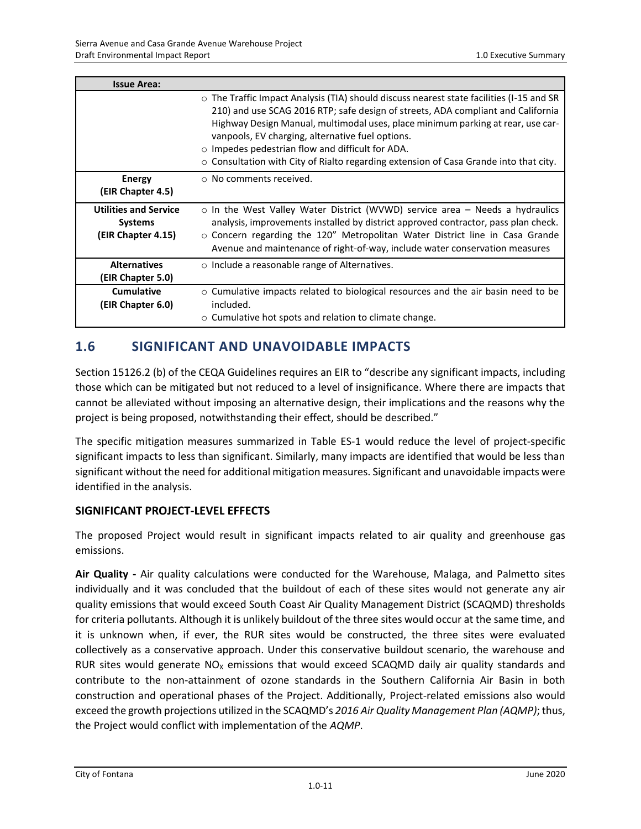| <b>Issue Area:</b>                                                   |                                                                                                                                                                                                                                                                                                                                                                                                                                                                                    |
|----------------------------------------------------------------------|------------------------------------------------------------------------------------------------------------------------------------------------------------------------------------------------------------------------------------------------------------------------------------------------------------------------------------------------------------------------------------------------------------------------------------------------------------------------------------|
|                                                                      | $\circ$ The Traffic Impact Analysis (TIA) should discuss nearest state facilities (I-15 and SR<br>210) and use SCAG 2016 RTP; safe design of streets, ADA compliant and California<br>Highway Design Manual, multimodal uses, place minimum parking at rear, use car-<br>vanpools, EV charging, alternative fuel options.<br>$\circ$ Impedes pedestrian flow and difficult for ADA.<br>$\circ$ Consultation with City of Rialto regarding extension of Casa Grande into that city. |
| <b>Energy</b><br>(EIR Chapter 4.5)                                   | $\circ$ No comments received.                                                                                                                                                                                                                                                                                                                                                                                                                                                      |
| <b>Utilities and Service</b><br><b>Systems</b><br>(EIR Chapter 4.15) | $\circ$ In the West Valley Water District (WVWD) service area – Needs a hydraulics<br>analysis, improvements installed by district approved contractor, pass plan check.<br>$\circ$ Concern regarding the 120" Metropolitan Water District line in Casa Grande<br>Avenue and maintenance of right-of-way, include water conservation measures                                                                                                                                      |
| <b>Alternatives</b><br>(EIR Chapter 5.0)                             | $\circ$ Include a reasonable range of Alternatives.                                                                                                                                                                                                                                                                                                                                                                                                                                |
| <b>Cumulative</b><br>(EIR Chapter 6.0)                               | $\circ$ Cumulative impacts related to biological resources and the air basin need to be<br>included.<br>$\circ$ Cumulative hot spots and relation to climate change.                                                                                                                                                                                                                                                                                                               |

# **1.6 SIGNIFICANT AND UNAVOIDABLE IMPACTS**

Section 15126.2 (b) of the CEQA Guidelines requires an EIR to "describe any significant impacts, including those which can be mitigated but not reduced to a level of insignificance. Where there are impacts that cannot be alleviated without imposing an alternative design, their implications and the reasons why the project is being proposed, notwithstanding their effect, should be described."

The specific mitigation measures summarized in Table ES-1 would reduce the level of project-specific significant impacts to less than significant. Similarly, many impacts are identified that would be less than significant without the need for additional mitigation measures. Significant and unavoidable impacts were identified in the analysis.

### **SIGNIFICANT PROJECT-LEVEL EFFECTS**

The proposed Project would result in significant impacts related to air quality and greenhouse gas emissions.

**Air Quality -** Air quality calculations were conducted for the Warehouse, Malaga, and Palmetto sites individually and it was concluded that the buildout of each of these sites would not generate any air quality emissions that would exceed South Coast Air Quality Management District (SCAQMD) thresholds for criteria pollutants. Although it is unlikely buildout of the three sites would occur at the same time, and it is unknown when, if ever, the RUR sites would be constructed, the three sites were evaluated collectively as a conservative approach. Under this conservative buildout scenario, the warehouse and RUR sites would generate  $NO<sub>X</sub>$  emissions that would exceed SCAQMD daily air quality standards and contribute to the non-attainment of ozone standards in the Southern California Air Basin in both construction and operational phases of the Project. Additionally, Project-related emissions also would exceed the growth projections utilized in the SCAQMD's *2016 Air Quality Management Plan (AQMP)*; thus, the Project would conflict with implementation of the *AQMP*.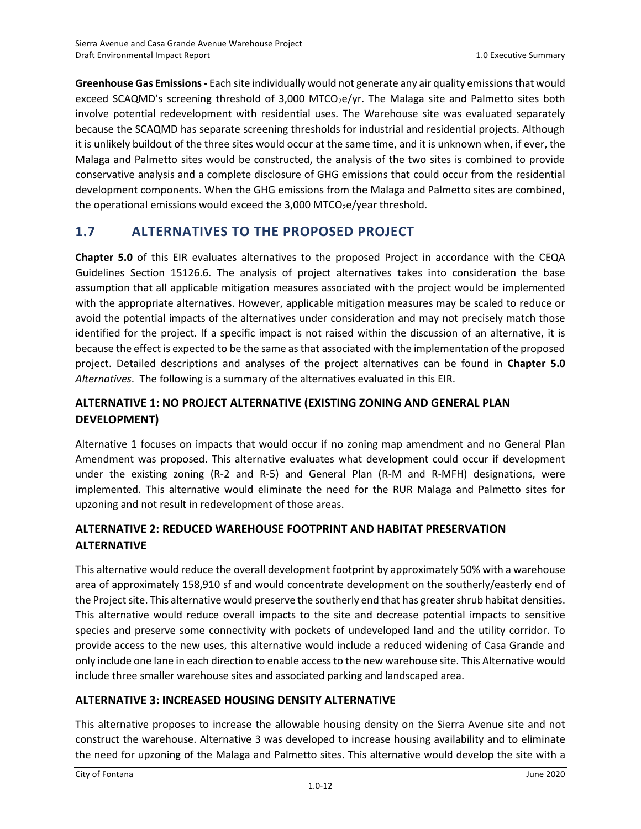**Greenhouse Gas Emissions -** Each site individually would not generate any air quality emissions that would exceed SCAQMD's screening threshold of 3,000 MTCO<sub>2</sub>e/yr. The Malaga site and Palmetto sites both involve potential redevelopment with residential uses. The Warehouse site was evaluated separately because the SCAQMD has separate screening thresholds for industrial and residential projects. Although it is unlikely buildout of the three sites would occur at the same time, and it is unknown when, if ever, the Malaga and Palmetto sites would be constructed, the analysis of the two sites is combined to provide conservative analysis and a complete disclosure of GHG emissions that could occur from the residential development components. When the GHG emissions from the Malaga and Palmetto sites are combined, the operational emissions would exceed the  $3,000$  MTCO<sub>2</sub>e/year threshold.

# **1.7 ALTERNATIVES TO THE PROPOSED PROJECT**

**Chapter 5.0** of this EIR evaluates alternatives to the proposed Project in accordance with the CEQA Guidelines Section 15126.6. The analysis of project alternatives takes into consideration the base assumption that all applicable mitigation measures associated with the project would be implemented with the appropriate alternatives. However, applicable mitigation measures may be scaled to reduce or avoid the potential impacts of the alternatives under consideration and may not precisely match those identified for the project. If a specific impact is not raised within the discussion of an alternative, it is because the effect is expected to be the same as that associated with the implementation of the proposed project. Detailed descriptions and analyses of the project alternatives can be found in **Chapter 5.0** *Alternatives*. The following is a summary of the alternatives evaluated in this EIR.

### **ALTERNATIVE 1: NO PROJECT ALTERNATIVE (EXISTING ZONING AND GENERAL PLAN DEVELOPMENT)**

Alternative 1 focuses on impacts that would occur if no zoning map amendment and no General Plan Amendment was proposed. This alternative evaluates what development could occur if development under the existing zoning (R-2 and R-5) and General Plan (R-M and R-MFH) designations, were implemented. This alternative would eliminate the need for the RUR Malaga and Palmetto sites for upzoning and not result in redevelopment of those areas.

### **ALTERNATIVE 2: REDUCED WAREHOUSE FOOTPRINT AND HABITAT PRESERVATION ALTERNATIVE**

This alternative would reduce the overall development footprint by approximately 50% with a warehouse area of approximately 158,910 sf and would concentrate development on the southerly/easterly end of the Project site. This alternative would preserve the southerly end that has greater shrub habitat densities. This alternative would reduce overall impacts to the site and decrease potential impacts to sensitive species and preserve some connectivity with pockets of undeveloped land and the utility corridor. To provide access to the new uses, this alternative would include a reduced widening of Casa Grande and only include one lane in each direction to enable access to the new warehouse site. This Alternative would include three smaller warehouse sites and associated parking and landscaped area.

### **ALTERNATIVE 3: INCREASED HOUSING DENSITY ALTERNATIVE**

This alternative proposes to increase the allowable housing density on the Sierra Avenue site and not construct the warehouse. Alternative 3 was developed to increase housing availability and to eliminate the need for upzoning of the Malaga and Palmetto sites. This alternative would develop the site with a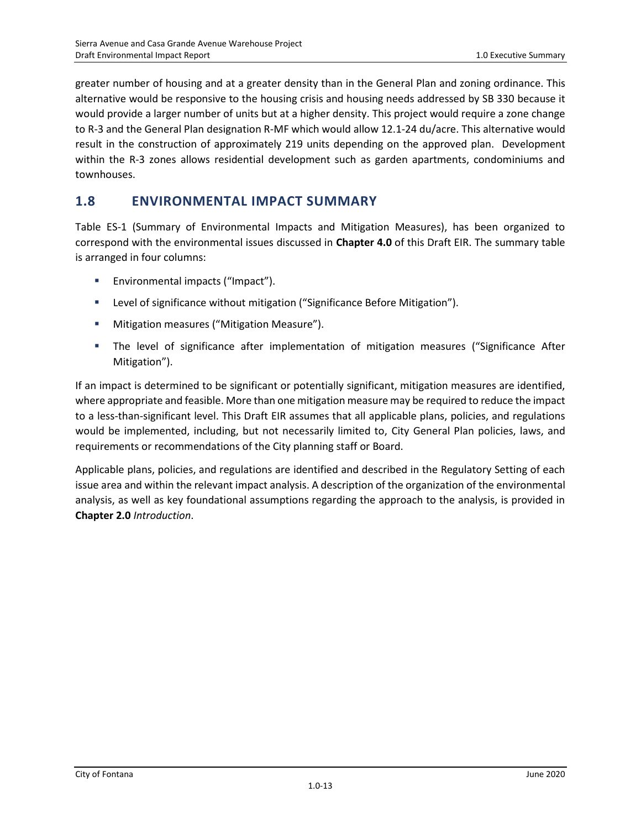greater number of housing and at a greater density than in the General Plan and zoning ordinance. This alternative would be responsive to the housing crisis and housing needs addressed by SB 330 because it would provide a larger number of units but at a higher density. This project would require a zone change to R-3 and the General Plan designation R-MF which would allow 12.1-24 du/acre. This alternative would result in the construction of approximately 219 units depending on the approved plan. Development within the R-3 zones allows residential development such as garden apartments, condominiums and townhouses.

### **1.8 ENVIRONMENTAL IMPACT SUMMARY**

Table ES-1 (Summary of Environmental Impacts and Mitigation Measures), has been organized to correspond with the environmental issues discussed in **Chapter 4.0** of this Draft EIR. The summary table is arranged in four columns:

- Environmental impacts ("Impact").
- Level of significance without mitigation ("Significance Before Mitigation").
- Mitigation measures ("Mitigation Measure").
- The level of significance after implementation of mitigation measures ("Significance After Mitigation").

If an impact is determined to be significant or potentially significant, mitigation measures are identified, where appropriate and feasible. More than one mitigation measure may be required to reduce the impact to a less-than-significant level. This Draft EIR assumes that all applicable plans, policies, and regulations would be implemented, including, but not necessarily limited to, City General Plan policies, laws, and requirements or recommendations of the City planning staff or Board.

Applicable plans, policies, and regulations are identified and described in the Regulatory Setting of each issue area and within the relevant impact analysis. A description of the organization of the environmental analysis, as well as key foundational assumptions regarding the approach to the analysis, is provided in **Chapter 2.0** *Introduction*.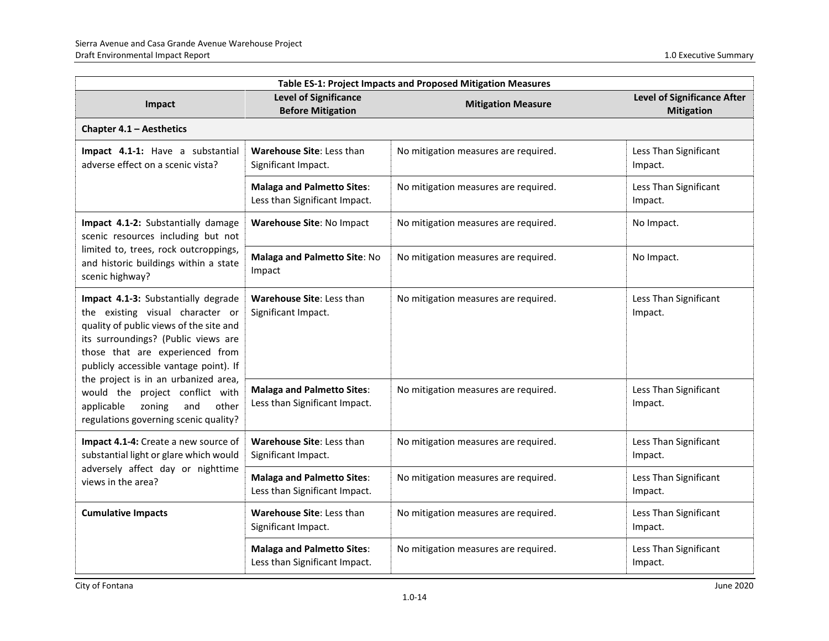| Table ES-1: Project Impacts and Proposed Mitigation Measures                                                                                                                                                                                                                                                                                                                                       |                                                                    |                                      |                                                         |
|----------------------------------------------------------------------------------------------------------------------------------------------------------------------------------------------------------------------------------------------------------------------------------------------------------------------------------------------------------------------------------------------------|--------------------------------------------------------------------|--------------------------------------|---------------------------------------------------------|
| Impact                                                                                                                                                                                                                                                                                                                                                                                             | <b>Level of Significance</b><br><b>Before Mitigation</b>           | <b>Mitigation Measure</b>            | <b>Level of Significance After</b><br><b>Mitigation</b> |
| Chapter 4.1 - Aesthetics                                                                                                                                                                                                                                                                                                                                                                           |                                                                    |                                      |                                                         |
| Impact 4.1-1: Have a substantial<br>adverse effect on a scenic vista?                                                                                                                                                                                                                                                                                                                              | Warehouse Site: Less than<br>Significant Impact.                   | No mitigation measures are required. | Less Than Significant<br>Impact.                        |
|                                                                                                                                                                                                                                                                                                                                                                                                    | <b>Malaga and Palmetto Sites:</b><br>Less than Significant Impact. | No mitigation measures are required. | Less Than Significant<br>Impact.                        |
| Impact 4.1-2: Substantially damage<br>scenic resources including but not                                                                                                                                                                                                                                                                                                                           | Warehouse Site: No Impact                                          | No mitigation measures are required. | No Impact.                                              |
| limited to, trees, rock outcroppings,<br>and historic buildings within a state<br>scenic highway?                                                                                                                                                                                                                                                                                                  | Malaga and Palmetto Site: No<br>Impact                             | No mitigation measures are required. | No Impact.                                              |
| Impact 4.1-3: Substantially degrade<br>the existing visual character or<br>quality of public views of the site and<br>its surroundings? (Public views are<br>those that are experienced from<br>publicly accessible vantage point). If<br>the project is in an urbanized area,<br>would the project conflict with<br>zoning<br>and<br>applicable<br>other<br>regulations governing scenic quality? | Warehouse Site: Less than<br>Significant Impact.                   | No mitigation measures are required. | Less Than Significant<br>Impact.                        |
|                                                                                                                                                                                                                                                                                                                                                                                                    | <b>Malaga and Palmetto Sites:</b><br>Less than Significant Impact. | No mitigation measures are required. | Less Than Significant<br>Impact.                        |
| Impact 4.1-4: Create a new source of<br>substantial light or glare which would<br>adversely affect day or nighttime<br>views in the area?                                                                                                                                                                                                                                                          | Warehouse Site: Less than<br>Significant Impact.                   | No mitigation measures are required. | Less Than Significant<br>Impact.                        |
|                                                                                                                                                                                                                                                                                                                                                                                                    | <b>Malaga and Palmetto Sites:</b><br>Less than Significant Impact. | No mitigation measures are required. | Less Than Significant<br>Impact.                        |
| <b>Cumulative Impacts</b>                                                                                                                                                                                                                                                                                                                                                                          | Warehouse Site: Less than<br>Significant Impact.                   | No mitigation measures are required. | Less Than Significant<br>Impact.                        |
|                                                                                                                                                                                                                                                                                                                                                                                                    | <b>Malaga and Palmetto Sites:</b><br>Less than Significant Impact. | No mitigation measures are required. | Less Than Significant<br>Impact.                        |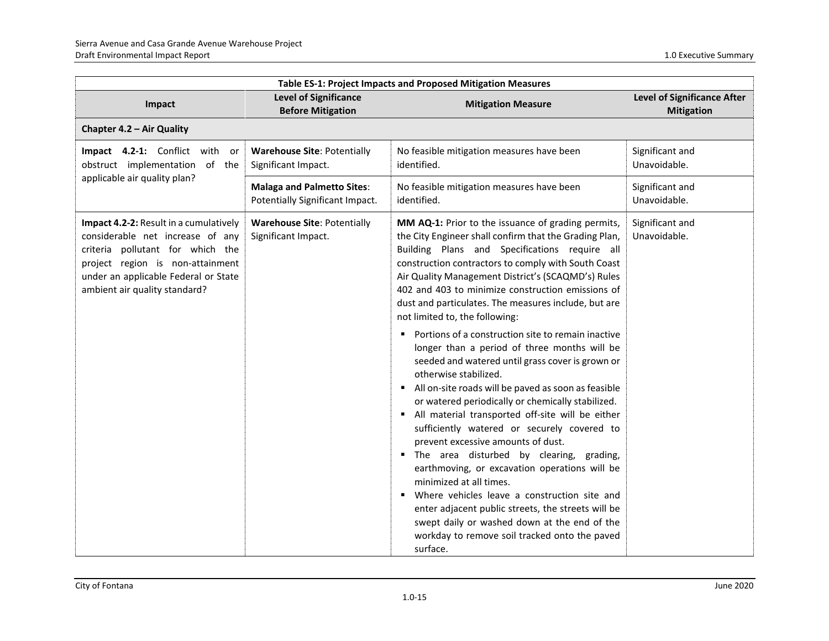| Table ES-1: Project Impacts and Proposed Mitigation Measures                                                                                                                                                                |                                                                      |                                                                                                                                                                                                                                                                                                                                                                                                                                                                                                                                                                                                                                                                                                                                                                                                                                                                                                                                                                                                                                                                                                                                                                                                                      |                                                         |
|-----------------------------------------------------------------------------------------------------------------------------------------------------------------------------------------------------------------------------|----------------------------------------------------------------------|----------------------------------------------------------------------------------------------------------------------------------------------------------------------------------------------------------------------------------------------------------------------------------------------------------------------------------------------------------------------------------------------------------------------------------------------------------------------------------------------------------------------------------------------------------------------------------------------------------------------------------------------------------------------------------------------------------------------------------------------------------------------------------------------------------------------------------------------------------------------------------------------------------------------------------------------------------------------------------------------------------------------------------------------------------------------------------------------------------------------------------------------------------------------------------------------------------------------|---------------------------------------------------------|
| Impact                                                                                                                                                                                                                      | <b>Level of Significance</b><br><b>Before Mitigation</b>             | <b>Mitigation Measure</b>                                                                                                                                                                                                                                                                                                                                                                                                                                                                                                                                                                                                                                                                                                                                                                                                                                                                                                                                                                                                                                                                                                                                                                                            | <b>Level of Significance After</b><br><b>Mitigation</b> |
| Chapter 4.2 - Air Quality                                                                                                                                                                                                   |                                                                      |                                                                                                                                                                                                                                                                                                                                                                                                                                                                                                                                                                                                                                                                                                                                                                                                                                                                                                                                                                                                                                                                                                                                                                                                                      |                                                         |
| Impact 4.2-1: Conflict with or<br>obstruct implementation of the                                                                                                                                                            | <b>Warehouse Site: Potentially</b><br>Significant Impact.            | No feasible mitigation measures have been<br>identified.                                                                                                                                                                                                                                                                                                                                                                                                                                                                                                                                                                                                                                                                                                                                                                                                                                                                                                                                                                                                                                                                                                                                                             | Significant and<br>Unavoidable.                         |
| applicable air quality plan?                                                                                                                                                                                                | <b>Malaga and Palmetto Sites:</b><br>Potentially Significant Impact. | No feasible mitigation measures have been<br>identified.                                                                                                                                                                                                                                                                                                                                                                                                                                                                                                                                                                                                                                                                                                                                                                                                                                                                                                                                                                                                                                                                                                                                                             | Significant and<br>Unavoidable.                         |
| Impact 4.2-2: Result in a cumulatively<br>considerable net increase of any<br>criteria pollutant for which the<br>project region is non-attainment<br>under an applicable Federal or State<br>ambient air quality standard? | <b>Warehouse Site: Potentially</b><br>Significant Impact.            | MM AQ-1: Prior to the issuance of grading permits,<br>the City Engineer shall confirm that the Grading Plan,<br>Building Plans and Specifications require all<br>construction contractors to comply with South Coast<br>Air Quality Management District's (SCAQMD's) Rules<br>402 and 403 to minimize construction emissions of<br>dust and particulates. The measures include, but are<br>not limited to, the following:<br>• Portions of a construction site to remain inactive<br>longer than a period of three months will be<br>seeded and watered until grass cover is grown or<br>otherwise stabilized.<br>All on-site roads will be paved as soon as feasible<br>or watered periodically or chemically stabilized.<br>• All material transported off-site will be either<br>sufficiently watered or securely covered to<br>prevent excessive amounts of dust.<br>" The area disturbed by clearing, grading,<br>earthmoving, or excavation operations will be<br>minimized at all times.<br>" Where vehicles leave a construction site and<br>enter adjacent public streets, the streets will be<br>swept daily or washed down at the end of the<br>workday to remove soil tracked onto the paved<br>surface. | Significant and<br>Unavoidable.                         |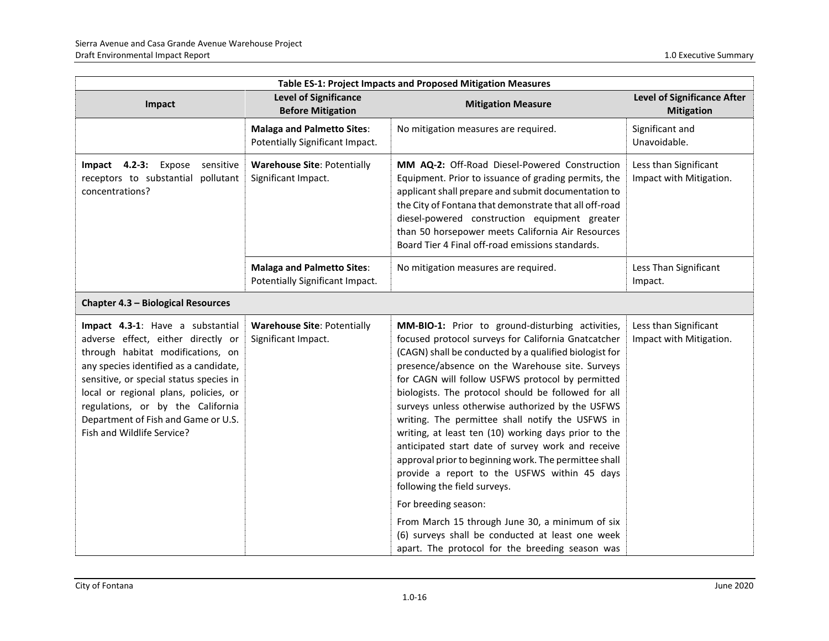| Table ES-1: Project Impacts and Proposed Mitigation Measures                                                                                                                                                                                                                                                                                        |                                                                      |                                                                                                                                                                                                                                                                                                                                                                                                                                                                                                                                                                                                                                                                                                                                                                                                                                                                                 |                                                         |
|-----------------------------------------------------------------------------------------------------------------------------------------------------------------------------------------------------------------------------------------------------------------------------------------------------------------------------------------------------|----------------------------------------------------------------------|---------------------------------------------------------------------------------------------------------------------------------------------------------------------------------------------------------------------------------------------------------------------------------------------------------------------------------------------------------------------------------------------------------------------------------------------------------------------------------------------------------------------------------------------------------------------------------------------------------------------------------------------------------------------------------------------------------------------------------------------------------------------------------------------------------------------------------------------------------------------------------|---------------------------------------------------------|
| Impact                                                                                                                                                                                                                                                                                                                                              | <b>Level of Significance</b><br><b>Before Mitigation</b>             | <b>Mitigation Measure</b>                                                                                                                                                                                                                                                                                                                                                                                                                                                                                                                                                                                                                                                                                                                                                                                                                                                       | <b>Level of Significance After</b><br><b>Mitigation</b> |
|                                                                                                                                                                                                                                                                                                                                                     | <b>Malaga and Palmetto Sites:</b><br>Potentially Significant Impact. | No mitigation measures are required.                                                                                                                                                                                                                                                                                                                                                                                                                                                                                                                                                                                                                                                                                                                                                                                                                                            | Significant and<br>Unavoidable.                         |
| Impact 4.2-3: Expose sensitive<br>receptors to substantial pollutant<br>concentrations?                                                                                                                                                                                                                                                             | <b>Warehouse Site: Potentially</b><br>Significant Impact.            | MM AQ-2: Off-Road Diesel-Powered Construction<br>Equipment. Prior to issuance of grading permits, the<br>applicant shall prepare and submit documentation to<br>the City of Fontana that demonstrate that all off-road<br>diesel-powered construction equipment greater<br>than 50 horsepower meets California Air Resources<br>Board Tier 4 Final off-road emissions standards.                                                                                                                                                                                                                                                                                                                                                                                                                                                                                                | Less than Significant<br>Impact with Mitigation.        |
|                                                                                                                                                                                                                                                                                                                                                     | <b>Malaga and Palmetto Sites:</b><br>Potentially Significant Impact. | No mitigation measures are required.                                                                                                                                                                                                                                                                                                                                                                                                                                                                                                                                                                                                                                                                                                                                                                                                                                            | Less Than Significant<br>Impact.                        |
| Chapter 4.3 - Biological Resources                                                                                                                                                                                                                                                                                                                  |                                                                      |                                                                                                                                                                                                                                                                                                                                                                                                                                                                                                                                                                                                                                                                                                                                                                                                                                                                                 |                                                         |
| Impact 4.3-1: Have a substantial<br>adverse effect, either directly or<br>through habitat modifications, on<br>any species identified as a candidate,<br>sensitive, or special status species in<br>local or regional plans, policies, or<br>regulations, or by the California<br>Department of Fish and Game or U.S.<br>Fish and Wildlife Service? | <b>Warehouse Site: Potentially</b><br>Significant Impact.            | MM-BIO-1: Prior to ground-disturbing activities,<br>focused protocol surveys for California Gnatcatcher<br>(CAGN) shall be conducted by a qualified biologist for<br>presence/absence on the Warehouse site. Surveys<br>for CAGN will follow USFWS protocol by permitted<br>biologists. The protocol should be followed for all<br>surveys unless otherwise authorized by the USFWS<br>writing. The permittee shall notify the USFWS in<br>writing, at least ten (10) working days prior to the<br>anticipated start date of survey work and receive<br>approval prior to beginning work. The permittee shall<br>provide a report to the USFWS within 45 days<br>following the field surveys.<br>For breeding season:<br>From March 15 through June 30, a minimum of six<br>(6) surveys shall be conducted at least one week<br>apart. The protocol for the breeding season was | Less than Significant<br>Impact with Mitigation.        |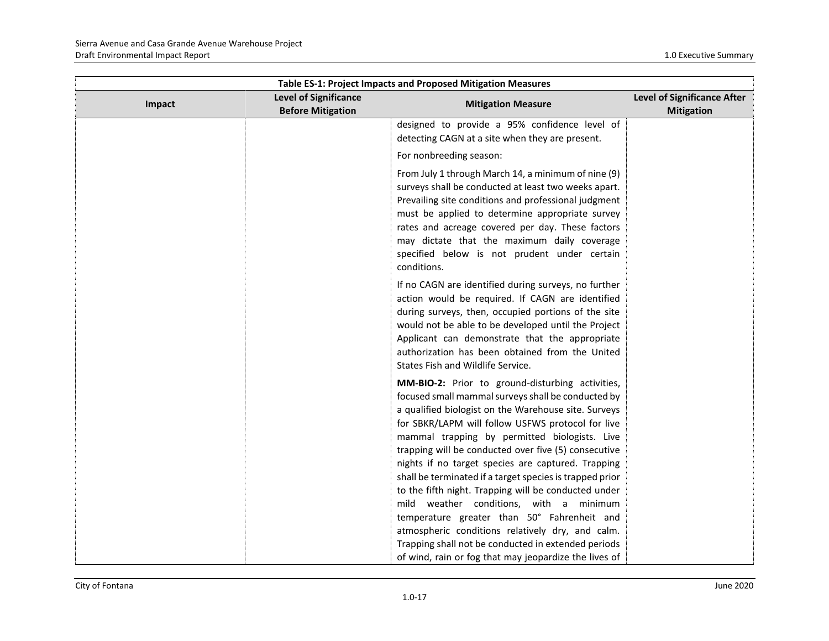| Table ES-1: Project Impacts and Proposed Mitigation Measures |                                                          |                                                                                                                                                                                                                                                                                                                                                                                                                                                                                                                                                                                                                                                      |                                                         |
|--------------------------------------------------------------|----------------------------------------------------------|------------------------------------------------------------------------------------------------------------------------------------------------------------------------------------------------------------------------------------------------------------------------------------------------------------------------------------------------------------------------------------------------------------------------------------------------------------------------------------------------------------------------------------------------------------------------------------------------------------------------------------------------------|---------------------------------------------------------|
| Impact                                                       | <b>Level of Significance</b><br><b>Before Mitigation</b> | <b>Mitigation Measure</b>                                                                                                                                                                                                                                                                                                                                                                                                                                                                                                                                                                                                                            | <b>Level of Significance After</b><br><b>Mitigation</b> |
|                                                              |                                                          | designed to provide a 95% confidence level of<br>detecting CAGN at a site when they are present.<br>For nonbreeding season:                                                                                                                                                                                                                                                                                                                                                                                                                                                                                                                          |                                                         |
|                                                              |                                                          | From July 1 through March 14, a minimum of nine (9)<br>surveys shall be conducted at least two weeks apart.<br>Prevailing site conditions and professional judgment<br>must be applied to determine appropriate survey<br>rates and acreage covered per day. These factors<br>may dictate that the maximum daily coverage<br>specified below is not prudent under certain<br>conditions.                                                                                                                                                                                                                                                             |                                                         |
|                                                              |                                                          | If no CAGN are identified during surveys, no further<br>action would be required. If CAGN are identified<br>during surveys, then, occupied portions of the site<br>would not be able to be developed until the Project<br>Applicant can demonstrate that the appropriate<br>authorization has been obtained from the United<br>States Fish and Wildlife Service.                                                                                                                                                                                                                                                                                     |                                                         |
|                                                              |                                                          | MM-BIO-2: Prior to ground-disturbing activities,<br>focused small mammal surveys shall be conducted by<br>a qualified biologist on the Warehouse site. Surveys<br>for SBKR/LAPM will follow USFWS protocol for live<br>mammal trapping by permitted biologists. Live<br>trapping will be conducted over five (5) consecutive<br>nights if no target species are captured. Trapping<br>shall be terminated if a target species is trapped prior<br>to the fifth night. Trapping will be conducted under<br>mild weather conditions, with a minimum<br>temperature greater than 50° Fahrenheit and<br>atmospheric conditions relatively dry, and calm. |                                                         |
|                                                              |                                                          | Trapping shall not be conducted in extended periods<br>of wind, rain or fog that may jeopardize the lives of                                                                                                                                                                                                                                                                                                                                                                                                                                                                                                                                         |                                                         |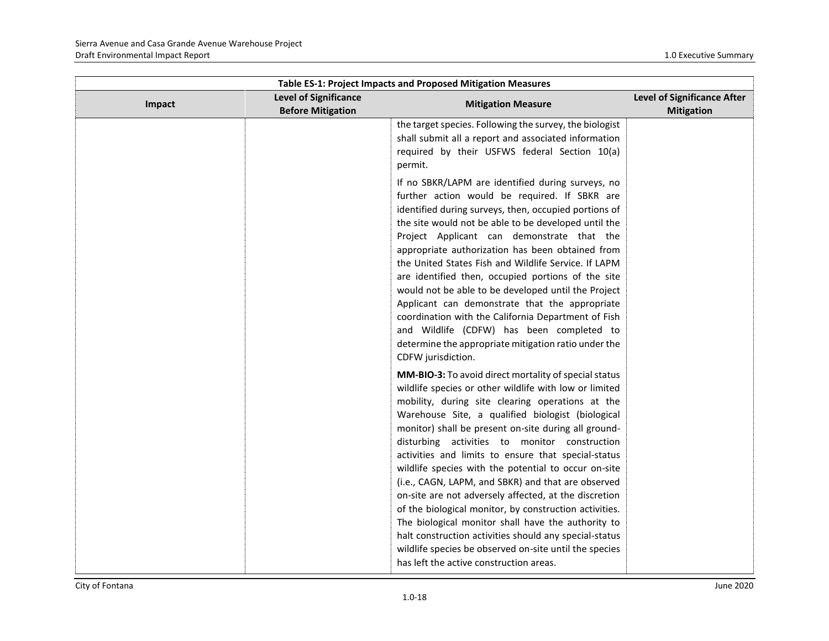| <b>Table ES-1: Project Impacts and Proposed Mitigation Measures</b> |                                                          |                                                                                                                                                                                                                                                                                                                                                                                                                                                                                                                                                                                                                                                                                                                                                                                                                                                |                                                  |
|---------------------------------------------------------------------|----------------------------------------------------------|------------------------------------------------------------------------------------------------------------------------------------------------------------------------------------------------------------------------------------------------------------------------------------------------------------------------------------------------------------------------------------------------------------------------------------------------------------------------------------------------------------------------------------------------------------------------------------------------------------------------------------------------------------------------------------------------------------------------------------------------------------------------------------------------------------------------------------------------|--------------------------------------------------|
| Impact                                                              | <b>Level of Significance</b><br><b>Before Mitigation</b> | <b>Mitigation Measure</b>                                                                                                                                                                                                                                                                                                                                                                                                                                                                                                                                                                                                                                                                                                                                                                                                                      | Level of Significance After<br><b>Mitigation</b> |
|                                                                     |                                                          | the target species. Following the survey, the biologist<br>shall submit all a report and associated information<br>required by their USFWS federal Section 10(a)<br>permit.                                                                                                                                                                                                                                                                                                                                                                                                                                                                                                                                                                                                                                                                    |                                                  |
|                                                                     |                                                          | If no SBKR/LAPM are identified during surveys, no<br>further action would be required. If SBKR are<br>identified during surveys, then, occupied portions of<br>the site would not be able to be developed until the<br>Project Applicant can demonstrate that the<br>appropriate authorization has been obtained from<br>the United States Fish and Wildlife Service. If LAPM<br>are identified then, occupied portions of the site<br>would not be able to be developed until the Project<br>Applicant can demonstrate that the appropriate<br>coordination with the California Department of Fish<br>and Wildlife (CDFW) has been completed to<br>determine the appropriate mitigation ratio under the<br>CDFW jurisdiction.                                                                                                                 |                                                  |
|                                                                     |                                                          | MM-BIO-3: To avoid direct mortality of special status<br>wildlife species or other wildlife with low or limited<br>mobility, during site clearing operations at the<br>Warehouse Site, a qualified biologist (biological<br>monitor) shall be present on-site during all ground-<br>disturbing activities to monitor construction<br>activities and limits to ensure that special-status<br>wildlife species with the potential to occur on-site<br>(i.e., CAGN, LAPM, and SBKR) and that are observed<br>on-site are not adversely affected, at the discretion<br>of the biological monitor, by construction activities.<br>The biological monitor shall have the authority to<br>halt construction activities should any special-status<br>wildlife species be observed on-site until the species<br>has left the active construction areas. |                                                  |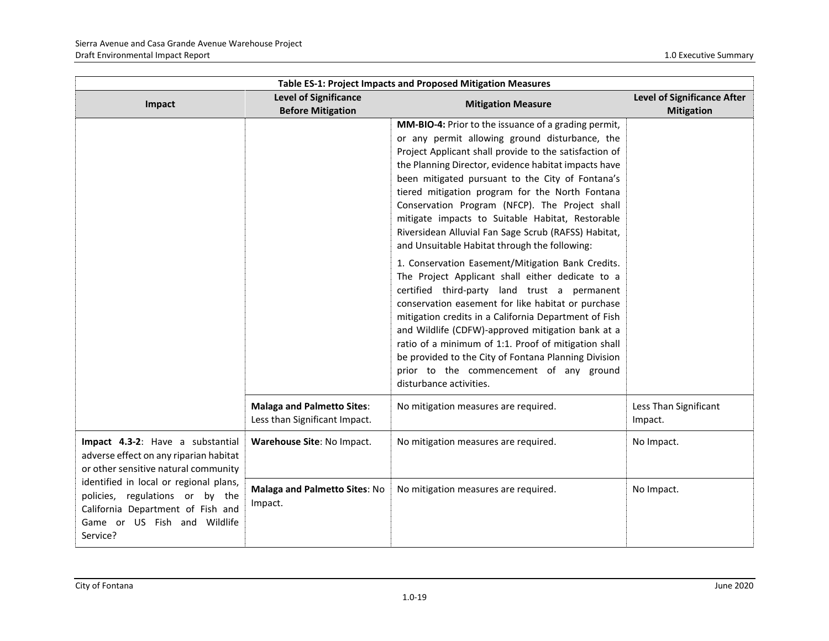| Table ES-1: Project Impacts and Proposed Mitigation Measures                                                                                                                                                                                                                     |                                                                    |                                                                                                                                                                                                                                                                                                                                                                                                                                                                                                                                                |                                                         |
|----------------------------------------------------------------------------------------------------------------------------------------------------------------------------------------------------------------------------------------------------------------------------------|--------------------------------------------------------------------|------------------------------------------------------------------------------------------------------------------------------------------------------------------------------------------------------------------------------------------------------------------------------------------------------------------------------------------------------------------------------------------------------------------------------------------------------------------------------------------------------------------------------------------------|---------------------------------------------------------|
| Impact                                                                                                                                                                                                                                                                           | <b>Level of Significance</b><br><b>Before Mitigation</b>           | <b>Mitigation Measure</b>                                                                                                                                                                                                                                                                                                                                                                                                                                                                                                                      | <b>Level of Significance After</b><br><b>Mitigation</b> |
|                                                                                                                                                                                                                                                                                  |                                                                    | MM-BIO-4: Prior to the issuance of a grading permit,<br>or any permit allowing ground disturbance, the<br>Project Applicant shall provide to the satisfaction of<br>the Planning Director, evidence habitat impacts have<br>been mitigated pursuant to the City of Fontana's<br>tiered mitigation program for the North Fontana<br>Conservation Program (NFCP). The Project shall<br>mitigate impacts to Suitable Habitat, Restorable<br>Riversidean Alluvial Fan Sage Scrub (RAFSS) Habitat,<br>and Unsuitable Habitat through the following: |                                                         |
|                                                                                                                                                                                                                                                                                  |                                                                    | 1. Conservation Easement/Mitigation Bank Credits.<br>The Project Applicant shall either dedicate to a<br>certified third-party land trust a permanent<br>conservation easement for like habitat or purchase<br>mitigation credits in a California Department of Fish<br>and Wildlife (CDFW)-approved mitigation bank at a<br>ratio of a minimum of 1:1. Proof of mitigation shall<br>be provided to the City of Fontana Planning Division<br>prior to the commencement of any ground<br>disturbance activities.                                |                                                         |
|                                                                                                                                                                                                                                                                                  | <b>Malaga and Palmetto Sites:</b><br>Less than Significant Impact. | No mitigation measures are required.                                                                                                                                                                                                                                                                                                                                                                                                                                                                                                           | Less Than Significant<br>Impact.                        |
| Impact 4.3-2: Have a substantial<br>adverse effect on any riparian habitat<br>or other sensitive natural community<br>identified in local or regional plans,<br>policies, regulations or by the<br>California Department of Fish and<br>Game or US Fish and Wildlife<br>Service? | Warehouse Site: No Impact.                                         | No mitigation measures are required.                                                                                                                                                                                                                                                                                                                                                                                                                                                                                                           | No Impact.                                              |
|                                                                                                                                                                                                                                                                                  | Malaga and Palmetto Sites: No<br>Impact.                           | No mitigation measures are required.                                                                                                                                                                                                                                                                                                                                                                                                                                                                                                           | No Impact.                                              |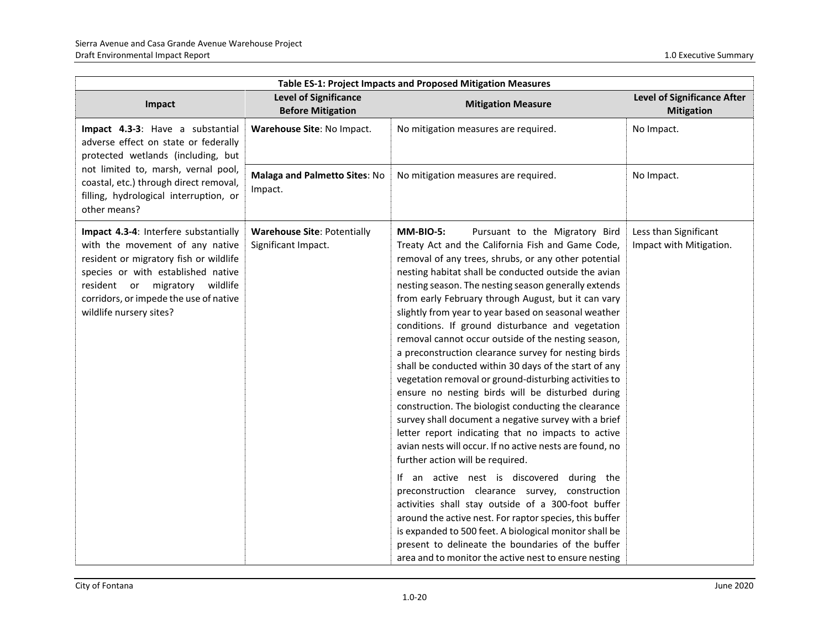| Table ES-1: Project Impacts and Proposed Mitigation Measures                                                                                                                                                                                                    |                                                           |                                                                                                                                                                                                                                                                                                                                                                                                                                                                                                                                                                                                                                                                                                                                                                                                                                                                                                                                                                                                                                                                                                                                                                                                                                                                                                                                                                                                        |                                                         |
|-----------------------------------------------------------------------------------------------------------------------------------------------------------------------------------------------------------------------------------------------------------------|-----------------------------------------------------------|--------------------------------------------------------------------------------------------------------------------------------------------------------------------------------------------------------------------------------------------------------------------------------------------------------------------------------------------------------------------------------------------------------------------------------------------------------------------------------------------------------------------------------------------------------------------------------------------------------------------------------------------------------------------------------------------------------------------------------------------------------------------------------------------------------------------------------------------------------------------------------------------------------------------------------------------------------------------------------------------------------------------------------------------------------------------------------------------------------------------------------------------------------------------------------------------------------------------------------------------------------------------------------------------------------------------------------------------------------------------------------------------------------|---------------------------------------------------------|
| Impact                                                                                                                                                                                                                                                          | <b>Level of Significance</b><br><b>Before Mitigation</b>  | <b>Mitigation Measure</b>                                                                                                                                                                                                                                                                                                                                                                                                                                                                                                                                                                                                                                                                                                                                                                                                                                                                                                                                                                                                                                                                                                                                                                                                                                                                                                                                                                              | <b>Level of Significance After</b><br><b>Mitigation</b> |
| Impact 4.3-3: Have a substantial<br>adverse effect on state or federally<br>protected wetlands (including, but                                                                                                                                                  | Warehouse Site: No Impact.                                | No mitigation measures are required.                                                                                                                                                                                                                                                                                                                                                                                                                                                                                                                                                                                                                                                                                                                                                                                                                                                                                                                                                                                                                                                                                                                                                                                                                                                                                                                                                                   | No Impact.                                              |
| not limited to, marsh, vernal pool,<br>coastal, etc.) through direct removal,<br>filling, hydrological interruption, or<br>other means?                                                                                                                         | Malaga and Palmetto Sites: No<br>Impact.                  | No mitigation measures are required.                                                                                                                                                                                                                                                                                                                                                                                                                                                                                                                                                                                                                                                                                                                                                                                                                                                                                                                                                                                                                                                                                                                                                                                                                                                                                                                                                                   | No Impact.                                              |
| Impact 4.3-4: Interfere substantially<br>with the movement of any native<br>resident or migratory fish or wildlife<br>species or with established native<br>resident or migratory wildlife<br>corridors, or impede the use of native<br>wildlife nursery sites? | <b>Warehouse Site: Potentially</b><br>Significant Impact. | <b>MM-BIO-5:</b><br>Pursuant to the Migratory Bird<br>Treaty Act and the California Fish and Game Code,<br>removal of any trees, shrubs, or any other potential<br>nesting habitat shall be conducted outside the avian<br>nesting season. The nesting season generally extends<br>from early February through August, but it can vary<br>slightly from year to year based on seasonal weather<br>conditions. If ground disturbance and vegetation<br>removal cannot occur outside of the nesting season,<br>a preconstruction clearance survey for nesting birds<br>shall be conducted within 30 days of the start of any<br>vegetation removal or ground-disturbing activities to<br>ensure no nesting birds will be disturbed during<br>construction. The biologist conducting the clearance<br>survey shall document a negative survey with a brief<br>letter report indicating that no impacts to active<br>avian nests will occur. If no active nests are found, no<br>further action will be required.<br>If an active nest is discovered during the<br>preconstruction clearance survey, construction<br>activities shall stay outside of a 300-foot buffer<br>around the active nest. For raptor species, this buffer<br>is expanded to 500 feet. A biological monitor shall be<br>present to delineate the boundaries of the buffer<br>area and to monitor the active nest to ensure nesting | Less than Significant<br>Impact with Mitigation.        |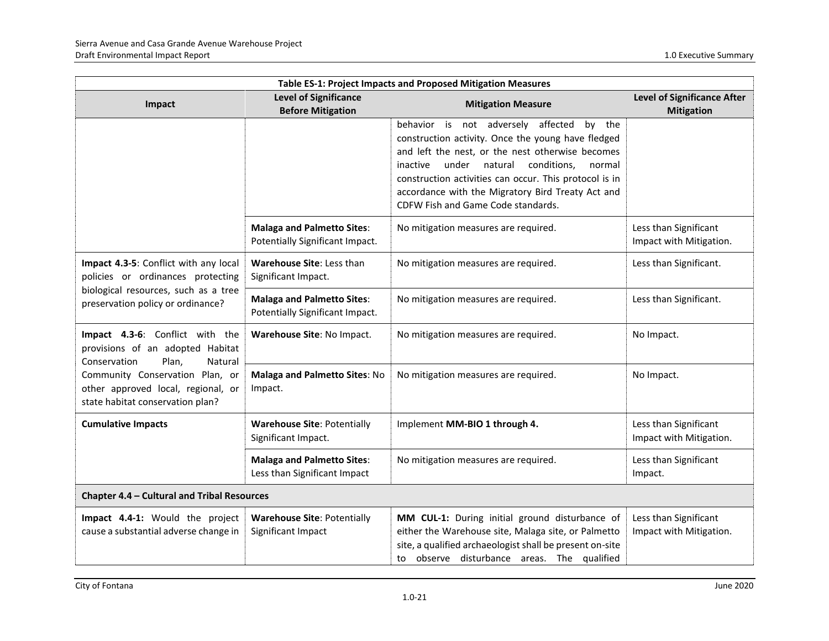| Table ES-1: Project Impacts and Proposed Mitigation Measures                                              |                                                                      |                                                                                                                                                                                                                                                                                                                                                                   |                                                         |
|-----------------------------------------------------------------------------------------------------------|----------------------------------------------------------------------|-------------------------------------------------------------------------------------------------------------------------------------------------------------------------------------------------------------------------------------------------------------------------------------------------------------------------------------------------------------------|---------------------------------------------------------|
| Impact                                                                                                    | <b>Level of Significance</b><br><b>Before Mitigation</b>             | <b>Mitigation Measure</b>                                                                                                                                                                                                                                                                                                                                         | <b>Level of Significance After</b><br><b>Mitigation</b> |
|                                                                                                           |                                                                      | behavior is not adversely affected by the<br>construction activity. Once the young have fledged<br>and left the nest, or the nest otherwise becomes<br>under<br>natural<br>conditions,<br>normal<br>inactive<br>construction activities can occur. This protocol is in<br>accordance with the Migratory Bird Treaty Act and<br>CDFW Fish and Game Code standards. |                                                         |
|                                                                                                           | <b>Malaga and Palmetto Sites:</b><br>Potentially Significant Impact. | No mitigation measures are required.                                                                                                                                                                                                                                                                                                                              | Less than Significant<br>Impact with Mitigation.        |
| Impact 4.3-5: Conflict with any local<br>policies or ordinances protecting                                | Warehouse Site: Less than<br>Significant Impact.                     | No mitigation measures are required.                                                                                                                                                                                                                                                                                                                              | Less than Significant.                                  |
| biological resources, such as a tree<br>preservation policy or ordinance?                                 | <b>Malaga and Palmetto Sites:</b><br>Potentially Significant Impact. | No mitigation measures are required.                                                                                                                                                                                                                                                                                                                              | Less than Significant.                                  |
| Impact 4.3-6: Conflict with the<br>provisions of an adopted Habitat<br>Conservation<br>Plan,<br>Natural   | Warehouse Site: No Impact.                                           | No mitigation measures are required.                                                                                                                                                                                                                                                                                                                              | No Impact.                                              |
| Community Conservation Plan, or<br>other approved local, regional, or<br>state habitat conservation plan? | <b>Malaga and Palmetto Sites: No</b><br>Impact.                      | No mitigation measures are required.                                                                                                                                                                                                                                                                                                                              | No Impact.                                              |
| <b>Cumulative Impacts</b>                                                                                 | <b>Warehouse Site: Potentially</b><br>Significant Impact.            | Implement MM-BIO 1 through 4.                                                                                                                                                                                                                                                                                                                                     | Less than Significant<br>Impact with Mitigation.        |
|                                                                                                           | <b>Malaga and Palmetto Sites:</b><br>Less than Significant Impact    | No mitigation measures are required.                                                                                                                                                                                                                                                                                                                              | Less than Significant<br>Impact.                        |
| Chapter 4.4 - Cultural and Tribal Resources                                                               |                                                                      |                                                                                                                                                                                                                                                                                                                                                                   |                                                         |
| Impact 4.4-1: Would the project<br>cause a substantial adverse change in                                  | <b>Warehouse Site: Potentially</b><br>Significant Impact             | MM CUL-1: During initial ground disturbance of<br>either the Warehouse site, Malaga site, or Palmetto<br>site, a qualified archaeologist shall be present on-site<br>to observe disturbance areas. The qualified                                                                                                                                                  | Less than Significant<br>Impact with Mitigation.        |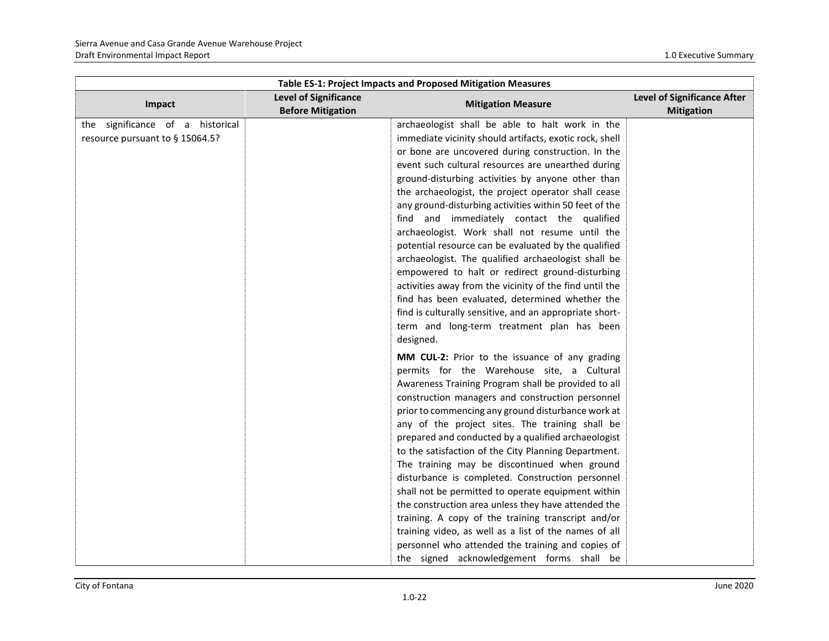| Table ES-1: Project Impacts and Proposed Mitigation Measures |                                                          |                                                         |                                                         |
|--------------------------------------------------------------|----------------------------------------------------------|---------------------------------------------------------|---------------------------------------------------------|
| Impact                                                       | <b>Level of Significance</b><br><b>Before Mitigation</b> | <b>Mitigation Measure</b>                               | <b>Level of Significance After</b><br><b>Mitigation</b> |
| the significance of a historical                             |                                                          | archaeologist shall be able to halt work in the         |                                                         |
| resource pursuant to § 15064.5?                              |                                                          | immediate vicinity should artifacts, exotic rock, shell |                                                         |
|                                                              |                                                          | or bone are uncovered during construction. In the       |                                                         |
|                                                              |                                                          | event such cultural resources are unearthed during      |                                                         |
|                                                              |                                                          | ground-disturbing activities by anyone other than       |                                                         |
|                                                              |                                                          | the archaeologist, the project operator shall cease     |                                                         |
|                                                              |                                                          | any ground-disturbing activities within 50 feet of the  |                                                         |
|                                                              |                                                          | find and immediately contact the qualified              |                                                         |
|                                                              |                                                          | archaeologist. Work shall not resume until the          |                                                         |
|                                                              |                                                          | potential resource can be evaluated by the qualified    |                                                         |
|                                                              |                                                          | archaeologist. The qualified archaeologist shall be     |                                                         |
|                                                              |                                                          | empowered to halt or redirect ground-disturbing         |                                                         |
|                                                              |                                                          | activities away from the vicinity of the find until the |                                                         |
|                                                              |                                                          | find has been evaluated, determined whether the         |                                                         |
|                                                              |                                                          | find is culturally sensitive, and an appropriate short- |                                                         |
|                                                              |                                                          | term and long-term treatment plan has been              |                                                         |
|                                                              |                                                          | designed.                                               |                                                         |
|                                                              |                                                          | MM CUL-2: Prior to the issuance of any grading          |                                                         |
|                                                              |                                                          | permits for the Warehouse site, a Cultural              |                                                         |
|                                                              |                                                          | Awareness Training Program shall be provided to all     |                                                         |
|                                                              |                                                          | construction managers and construction personnel        |                                                         |
|                                                              |                                                          | prior to commencing any ground disturbance work at      |                                                         |
|                                                              |                                                          | any of the project sites. The training shall be         |                                                         |
|                                                              |                                                          | prepared and conducted by a qualified archaeologist     |                                                         |
|                                                              |                                                          | to the satisfaction of the City Planning Department.    |                                                         |
|                                                              |                                                          | The training may be discontinued when ground            |                                                         |
|                                                              |                                                          | disturbance is completed. Construction personnel        |                                                         |
|                                                              |                                                          | shall not be permitted to operate equipment within      |                                                         |
|                                                              |                                                          | the construction area unless they have attended the     |                                                         |
|                                                              |                                                          | training. A copy of the training transcript and/or      |                                                         |
|                                                              |                                                          | training video, as well as a list of the names of all   |                                                         |
|                                                              |                                                          | personnel who attended the training and copies of       |                                                         |
|                                                              |                                                          | the signed acknowledgement forms shall be               |                                                         |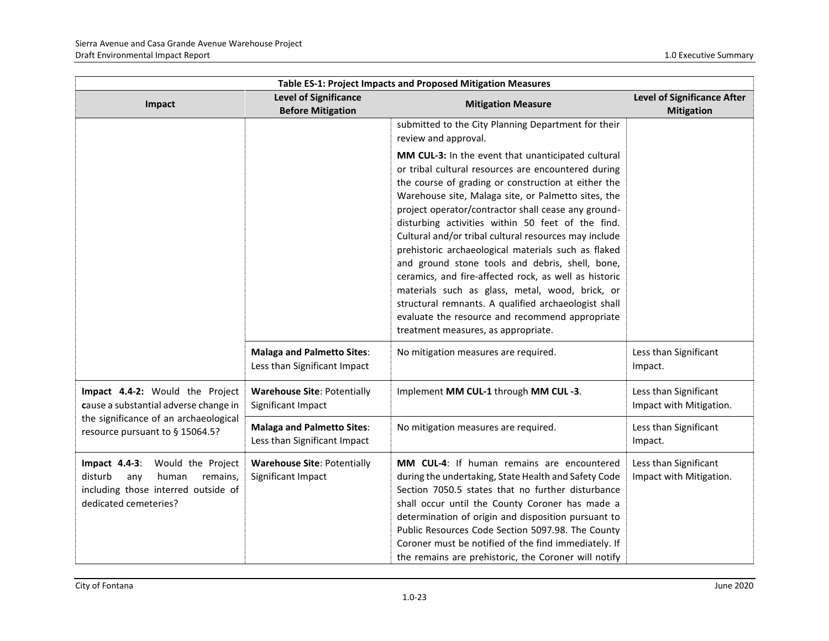| Table ES-1: Project Impacts and Proposed Mitigation Measures                                                                                         |                                                                   |                                                                                                                                                                                                                                                                                                                                                                                                                                                                                                                                                                                                                                                                                                                                                                                                                                                     |                                                         |
|------------------------------------------------------------------------------------------------------------------------------------------------------|-------------------------------------------------------------------|-----------------------------------------------------------------------------------------------------------------------------------------------------------------------------------------------------------------------------------------------------------------------------------------------------------------------------------------------------------------------------------------------------------------------------------------------------------------------------------------------------------------------------------------------------------------------------------------------------------------------------------------------------------------------------------------------------------------------------------------------------------------------------------------------------------------------------------------------------|---------------------------------------------------------|
| Impact                                                                                                                                               | <b>Level of Significance</b><br><b>Before Mitigation</b>          | <b>Mitigation Measure</b>                                                                                                                                                                                                                                                                                                                                                                                                                                                                                                                                                                                                                                                                                                                                                                                                                           | <b>Level of Significance After</b><br><b>Mitigation</b> |
|                                                                                                                                                      |                                                                   | submitted to the City Planning Department for their<br>review and approval.<br>MM CUL-3: In the event that unanticipated cultural<br>or tribal cultural resources are encountered during<br>the course of grading or construction at either the<br>Warehouse site, Malaga site, or Palmetto sites, the<br>project operator/contractor shall cease any ground-<br>disturbing activities within 50 feet of the find.<br>Cultural and/or tribal cultural resources may include<br>prehistoric archaeological materials such as flaked<br>and ground stone tools and debris, shell, bone,<br>ceramics, and fire-affected rock, as well as historic<br>materials such as glass, metal, wood, brick, or<br>structural remnants. A qualified archaeologist shall<br>evaluate the resource and recommend appropriate<br>treatment measures, as appropriate. |                                                         |
|                                                                                                                                                      | <b>Malaga and Palmetto Sites:</b><br>Less than Significant Impact | No mitigation measures are required.                                                                                                                                                                                                                                                                                                                                                                                                                                                                                                                                                                                                                                                                                                                                                                                                                | Less than Significant<br>Impact.                        |
| Impact 4.4-2: Would the Project<br>cause a substantial adverse change in<br>the significance of an archaeological<br>resource pursuant to § 15064.5? | <b>Warehouse Site: Potentially</b><br>Significant Impact          | Implement MM CUL-1 through MM CUL-3.                                                                                                                                                                                                                                                                                                                                                                                                                                                                                                                                                                                                                                                                                                                                                                                                                | Less than Significant<br>Impact with Mitigation.        |
|                                                                                                                                                      | <b>Malaga and Palmetto Sites:</b><br>Less than Significant Impact | No mitigation measures are required.                                                                                                                                                                                                                                                                                                                                                                                                                                                                                                                                                                                                                                                                                                                                                                                                                | Less than Significant<br>Impact.                        |
| Impact $4.4-3$ :<br>Would the Project<br>disturb<br>any<br>human<br>remains.<br>including those interred outside of<br>dedicated cemeteries?         | <b>Warehouse Site: Potentially</b><br>Significant Impact          | MM CUL-4: If human remains are encountered<br>during the undertaking, State Health and Safety Code<br>Section 7050.5 states that no further disturbance<br>shall occur until the County Coroner has made a<br>determination of origin and disposition pursuant to<br>Public Resources Code Section 5097.98. The County<br>Coroner must be notified of the find immediately. If<br>the remains are prehistoric, the Coroner will notify                                                                                                                                                                                                                                                                                                                                                                                                              | Less than Significant<br>Impact with Mitigation.        |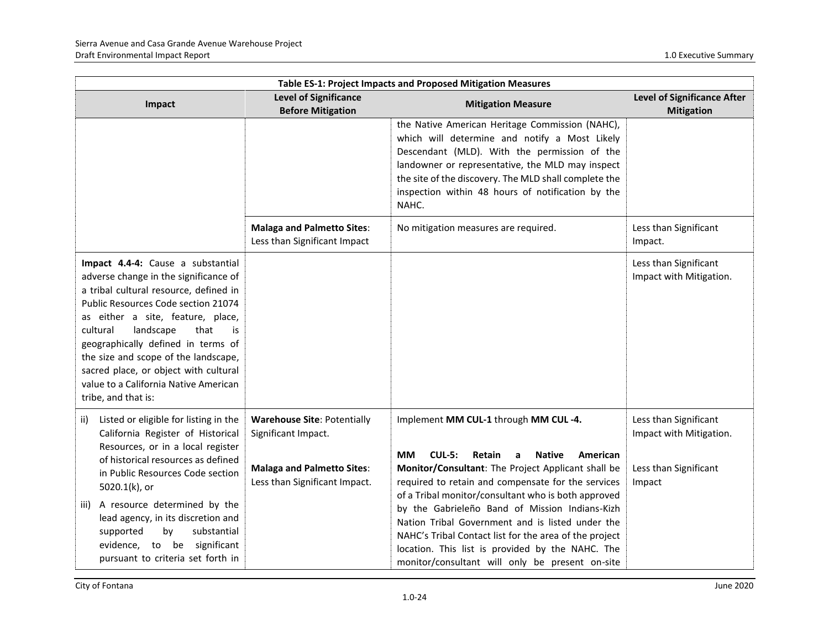| Table ES-1: Project Impacts and Proposed Mitigation Measures                                                                                                                                                                                                                                                                                                                                                                   |                                                                                                                                 |                                                                                                                                                                                                                                                                                                                             |                                                                                     |
|--------------------------------------------------------------------------------------------------------------------------------------------------------------------------------------------------------------------------------------------------------------------------------------------------------------------------------------------------------------------------------------------------------------------------------|---------------------------------------------------------------------------------------------------------------------------------|-----------------------------------------------------------------------------------------------------------------------------------------------------------------------------------------------------------------------------------------------------------------------------------------------------------------------------|-------------------------------------------------------------------------------------|
| Impact                                                                                                                                                                                                                                                                                                                                                                                                                         | <b>Level of Significance</b><br><b>Before Mitigation</b>                                                                        | <b>Mitigation Measure</b>                                                                                                                                                                                                                                                                                                   | <b>Level of Significance After</b><br><b>Mitigation</b>                             |
|                                                                                                                                                                                                                                                                                                                                                                                                                                |                                                                                                                                 | the Native American Heritage Commission (NAHC),<br>which will determine and notify a Most Likely<br>Descendant (MLD). With the permission of the<br>landowner or representative, the MLD may inspect<br>the site of the discovery. The MLD shall complete the<br>inspection within 48 hours of notification by the<br>NAHC. |                                                                                     |
|                                                                                                                                                                                                                                                                                                                                                                                                                                | <b>Malaga and Palmetto Sites:</b><br>Less than Significant Impact                                                               | No mitigation measures are required.                                                                                                                                                                                                                                                                                        | Less than Significant<br>Impact.                                                    |
| Impact 4.4-4: Cause a substantial<br>adverse change in the significance of<br>a tribal cultural resource, defined in<br>Public Resources Code section 21074<br>as either a site, feature, place,<br>landscape<br>cultural<br>that<br>is<br>geographically defined in terms of<br>the size and scope of the landscape,<br>sacred place, or object with cultural<br>value to a California Native American<br>tribe, and that is: |                                                                                                                                 |                                                                                                                                                                                                                                                                                                                             | Less than Significant<br>Impact with Mitigation.                                    |
| Listed or eligible for listing in the<br>ii)<br>California Register of Historical<br>Resources, or in a local register<br>of historical resources as defined<br>in Public Resources Code section<br>5020.1(k), or                                                                                                                                                                                                              | <b>Warehouse Site: Potentially</b><br>Significant Impact.<br><b>Malaga and Palmetto Sites:</b><br>Less than Significant Impact. | Implement MM CUL-1 through MM CUL-4.<br><b>CUL-5:</b><br><b>MM</b><br>Retain<br><b>Native</b><br>American<br>a<br>Monitor/Consultant: The Project Applicant shall be<br>required to retain and compensate for the services                                                                                                  | Less than Significant<br>Impact with Mitigation.<br>Less than Significant<br>Impact |
| A resource determined by the<br>iii)<br>lead agency, in its discretion and<br>substantial<br>supported<br>by<br>evidence, to be significant<br>pursuant to criteria set forth in                                                                                                                                                                                                                                               |                                                                                                                                 | of a Tribal monitor/consultant who is both approved<br>by the Gabrieleño Band of Mission Indians-Kizh<br>Nation Tribal Government and is listed under the<br>NAHC's Tribal Contact list for the area of the project<br>location. This list is provided by the NAHC. The<br>monitor/consultant will only be present on-site  |                                                                                     |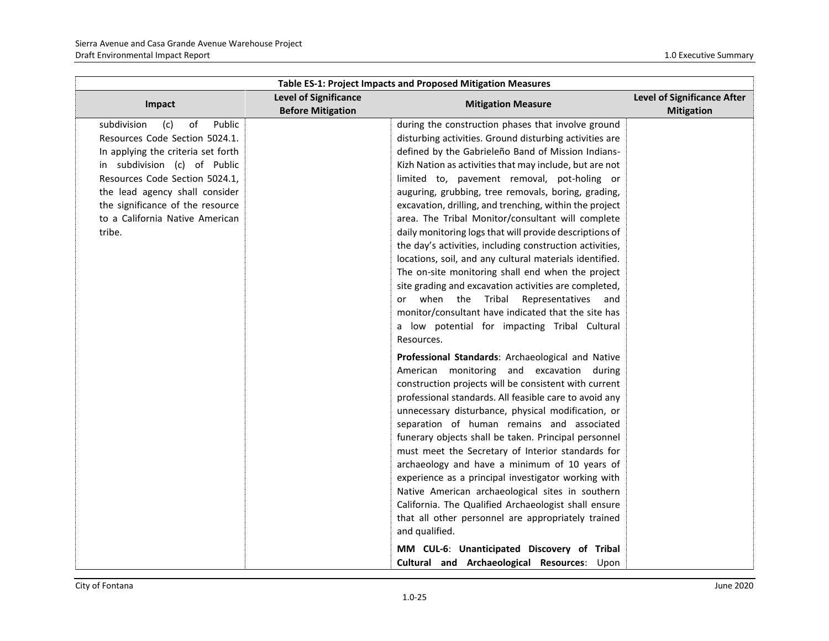| <b>Table ES-1: Project Impacts and Proposed Mitigation Measures</b> |                                                          |                                                          |                                                  |
|---------------------------------------------------------------------|----------------------------------------------------------|----------------------------------------------------------|--------------------------------------------------|
| Impact                                                              | <b>Level of Significance</b><br><b>Before Mitigation</b> | <b>Mitigation Measure</b>                                | Level of Significance After<br><b>Mitigation</b> |
| Public<br>subdivision<br>(c)<br>of                                  |                                                          | during the construction phases that involve ground       |                                                  |
| Resources Code Section 5024.1.                                      |                                                          | disturbing activities. Ground disturbing activities are  |                                                  |
| In applying the criteria set forth                                  |                                                          | defined by the Gabrieleño Band of Mission Indians-       |                                                  |
| in subdivision (c) of Public                                        |                                                          | Kizh Nation as activities that may include, but are not  |                                                  |
| Resources Code Section 5024.1,                                      |                                                          | limited to, pavement removal, pot-holing or              |                                                  |
| the lead agency shall consider                                      |                                                          | auguring, grubbing, tree removals, boring, grading,      |                                                  |
| the significance of the resource                                    |                                                          | excavation, drilling, and trenching, within the project  |                                                  |
| to a California Native American                                     |                                                          | area. The Tribal Monitor/consultant will complete        |                                                  |
| tribe.                                                              |                                                          | daily monitoring logs that will provide descriptions of  |                                                  |
|                                                                     |                                                          | the day's activities, including construction activities, |                                                  |
|                                                                     |                                                          | locations, soil, and any cultural materials identified.  |                                                  |
|                                                                     |                                                          | The on-site monitoring shall end when the project        |                                                  |
|                                                                     |                                                          | site grading and excavation activities are completed,    |                                                  |
|                                                                     |                                                          | or when the Tribal Representatives and                   |                                                  |
|                                                                     |                                                          | monitor/consultant have indicated that the site has      |                                                  |
|                                                                     |                                                          | a low potential for impacting Tribal Cultural            |                                                  |
|                                                                     |                                                          | Resources.                                               |                                                  |
|                                                                     |                                                          | Professional Standards: Archaeological and Native        |                                                  |
|                                                                     |                                                          | American monitoring and excavation during                |                                                  |
|                                                                     |                                                          | construction projects will be consistent with current    |                                                  |
|                                                                     |                                                          | professional standards. All feasible care to avoid any   |                                                  |
|                                                                     |                                                          | unnecessary disturbance, physical modification, or       |                                                  |
|                                                                     |                                                          | separation of human remains and associated               |                                                  |
|                                                                     |                                                          | funerary objects shall be taken. Principal personnel     |                                                  |
|                                                                     |                                                          | must meet the Secretary of Interior standards for        |                                                  |
|                                                                     |                                                          | archaeology and have a minimum of 10 years of            |                                                  |
|                                                                     |                                                          | experience as a principal investigator working with      |                                                  |
|                                                                     |                                                          | Native American archaeological sites in southern         |                                                  |
|                                                                     |                                                          | California. The Qualified Archaeologist shall ensure     |                                                  |
|                                                                     |                                                          | that all other personnel are appropriately trained       |                                                  |
|                                                                     |                                                          | and qualified.                                           |                                                  |
|                                                                     |                                                          | MM CUL-6: Unanticipated Discovery of Tribal              |                                                  |
|                                                                     |                                                          | Cultural and Archaeological Resources: Upon              |                                                  |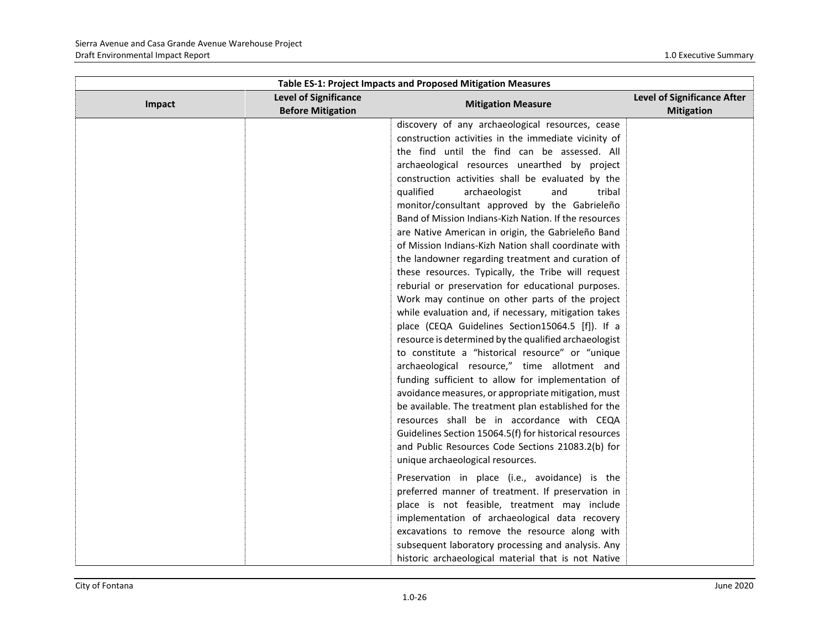| Table ES-1: Project Impacts and Proposed Mitigation Measures |                                                          |                                                                                                                                                                                                                                                                                                                                                                                                                                                                                                                                                                                                                                                                                                                                                                                                                                                                                                                                                                                                                                                                                                                                                                                                                                                                                                                                                                     |                                                         |
|--------------------------------------------------------------|----------------------------------------------------------|---------------------------------------------------------------------------------------------------------------------------------------------------------------------------------------------------------------------------------------------------------------------------------------------------------------------------------------------------------------------------------------------------------------------------------------------------------------------------------------------------------------------------------------------------------------------------------------------------------------------------------------------------------------------------------------------------------------------------------------------------------------------------------------------------------------------------------------------------------------------------------------------------------------------------------------------------------------------------------------------------------------------------------------------------------------------------------------------------------------------------------------------------------------------------------------------------------------------------------------------------------------------------------------------------------------------------------------------------------------------|---------------------------------------------------------|
| Impact                                                       | <b>Level of Significance</b><br><b>Before Mitigation</b> | <b>Mitigation Measure</b>                                                                                                                                                                                                                                                                                                                                                                                                                                                                                                                                                                                                                                                                                                                                                                                                                                                                                                                                                                                                                                                                                                                                                                                                                                                                                                                                           | <b>Level of Significance After</b><br><b>Mitigation</b> |
|                                                              |                                                          | discovery of any archaeological resources, cease<br>construction activities in the immediate vicinity of<br>the find until the find can be assessed. All<br>archaeological resources unearthed by project<br>construction activities shall be evaluated by the<br>qualified<br>archaeologist<br>and<br>tribal<br>monitor/consultant approved by the Gabrieleño<br>Band of Mission Indians-Kizh Nation. If the resources<br>are Native American in origin, the Gabrieleño Band<br>of Mission Indians-Kizh Nation shall coordinate with<br>the landowner regarding treatment and curation of<br>these resources. Typically, the Tribe will request<br>reburial or preservation for educational purposes.<br>Work may continue on other parts of the project<br>while evaluation and, if necessary, mitigation takes<br>place (CEQA Guidelines Section15064.5 [f]). If a<br>resource is determined by the qualified archaeologist<br>to constitute a "historical resource" or "unique<br>archaeological resource," time allotment and<br>funding sufficient to allow for implementation of<br>avoidance measures, or appropriate mitigation, must<br>be available. The treatment plan established for the<br>resources shall be in accordance with CEQA<br>Guidelines Section 15064.5(f) for historical resources<br>and Public Resources Code Sections 21083.2(b) for |                                                         |
|                                                              |                                                          | unique archaeological resources.<br>Preservation in place (i.e., avoidance) is the                                                                                                                                                                                                                                                                                                                                                                                                                                                                                                                                                                                                                                                                                                                                                                                                                                                                                                                                                                                                                                                                                                                                                                                                                                                                                  |                                                         |
|                                                              |                                                          | preferred manner of treatment. If preservation in<br>place is not feasible, treatment may include<br>implementation of archaeological data recovery<br>excavations to remove the resource along with                                                                                                                                                                                                                                                                                                                                                                                                                                                                                                                                                                                                                                                                                                                                                                                                                                                                                                                                                                                                                                                                                                                                                                |                                                         |
|                                                              |                                                          | subsequent laboratory processing and analysis. Any<br>historic archaeological material that is not Native                                                                                                                                                                                                                                                                                                                                                                                                                                                                                                                                                                                                                                                                                                                                                                                                                                                                                                                                                                                                                                                                                                                                                                                                                                                           |                                                         |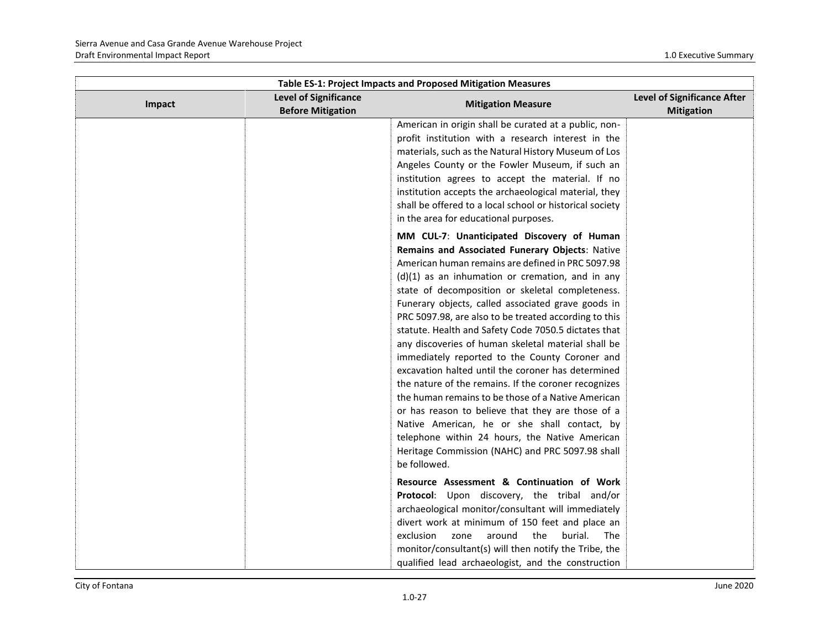| Table ES-1: Project Impacts and Proposed Mitigation Measures |                                                          |                                                                                                                                                                                                                                                                                                                                                                                                                                                                                                                                                                                                                                                                                                                                                                                                                                                                                                                                             |                                                  |
|--------------------------------------------------------------|----------------------------------------------------------|---------------------------------------------------------------------------------------------------------------------------------------------------------------------------------------------------------------------------------------------------------------------------------------------------------------------------------------------------------------------------------------------------------------------------------------------------------------------------------------------------------------------------------------------------------------------------------------------------------------------------------------------------------------------------------------------------------------------------------------------------------------------------------------------------------------------------------------------------------------------------------------------------------------------------------------------|--------------------------------------------------|
| Impact                                                       | <b>Level of Significance</b><br><b>Before Mitigation</b> | <b>Mitigation Measure</b>                                                                                                                                                                                                                                                                                                                                                                                                                                                                                                                                                                                                                                                                                                                                                                                                                                                                                                                   | Level of Significance After<br><b>Mitigation</b> |
|                                                              |                                                          | American in origin shall be curated at a public, non-<br>profit institution with a research interest in the<br>materials, such as the Natural History Museum of Los<br>Angeles County or the Fowler Museum, if such an<br>institution agrees to accept the material. If no<br>institution accepts the archaeological material, they<br>shall be offered to a local school or historical society<br>in the area for educational purposes.                                                                                                                                                                                                                                                                                                                                                                                                                                                                                                    |                                                  |
|                                                              |                                                          | MM CUL-7: Unanticipated Discovery of Human<br>Remains and Associated Funerary Objects: Native<br>American human remains are defined in PRC 5097.98<br>$(d)(1)$ as an inhumation or cremation, and in any<br>state of decomposition or skeletal completeness.<br>Funerary objects, called associated grave goods in<br>PRC 5097.98, are also to be treated according to this<br>statute. Health and Safety Code 7050.5 dictates that<br>any discoveries of human skeletal material shall be<br>immediately reported to the County Coroner and<br>excavation halted until the coroner has determined<br>the nature of the remains. If the coroner recognizes<br>the human remains to be those of a Native American<br>or has reason to believe that they are those of a<br>Native American, he or she shall contact, by<br>telephone within 24 hours, the Native American<br>Heritage Commission (NAHC) and PRC 5097.98 shall<br>be followed. |                                                  |
|                                                              |                                                          | Resource Assessment & Continuation of Work<br>Protocol: Upon discovery, the tribal and/or<br>archaeological monitor/consultant will immediately<br>divert work at minimum of 150 feet and place an<br>exclusion<br>zone<br>around<br>the<br>burial.<br>The<br>monitor/consultant(s) will then notify the Tribe, the<br>qualified lead archaeologist, and the construction                                                                                                                                                                                                                                                                                                                                                                                                                                                                                                                                                                   |                                                  |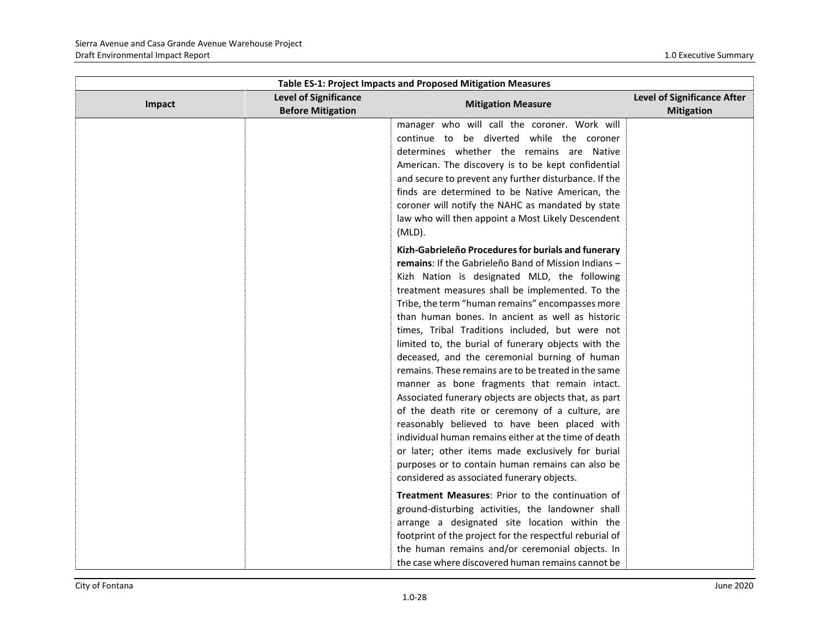| Table ES-1: Project Impacts and Proposed Mitigation Measures |                                                          |                                                                                                                                                                                                                                                                                                                                                                                                                                                                                                                                                                                                                                                                                                                                                                                                                                                                                                                                                                      |                                                  |
|--------------------------------------------------------------|----------------------------------------------------------|----------------------------------------------------------------------------------------------------------------------------------------------------------------------------------------------------------------------------------------------------------------------------------------------------------------------------------------------------------------------------------------------------------------------------------------------------------------------------------------------------------------------------------------------------------------------------------------------------------------------------------------------------------------------------------------------------------------------------------------------------------------------------------------------------------------------------------------------------------------------------------------------------------------------------------------------------------------------|--------------------------------------------------|
| Impact                                                       | <b>Level of Significance</b><br><b>Before Mitigation</b> | <b>Mitigation Measure</b>                                                                                                                                                                                                                                                                                                                                                                                                                                                                                                                                                                                                                                                                                                                                                                                                                                                                                                                                            | Level of Significance After<br><b>Mitigation</b> |
|                                                              |                                                          | manager who will call the coroner. Work will<br>continue to be diverted while the coroner<br>determines whether the remains are Native<br>American. The discovery is to be kept confidential<br>and secure to prevent any further disturbance. If the<br>finds are determined to be Native American, the<br>coroner will notify the NAHC as mandated by state<br>law who will then appoint a Most Likely Descendent<br>$(MLD)$ .                                                                                                                                                                                                                                                                                                                                                                                                                                                                                                                                     |                                                  |
|                                                              |                                                          | Kizh-Gabrieleño Procedures for burials and funerary<br>remains: If the Gabrieleño Band of Mission Indians -<br>Kizh Nation is designated MLD, the following<br>treatment measures shall be implemented. To the<br>Tribe, the term "human remains" encompasses more<br>than human bones. In ancient as well as historic<br>times, Tribal Traditions included, but were not<br>limited to, the burial of funerary objects with the<br>deceased, and the ceremonial burning of human<br>remains. These remains are to be treated in the same<br>manner as bone fragments that remain intact.<br>Associated funerary objects are objects that, as part<br>of the death rite or ceremony of a culture, are<br>reasonably believed to have been placed with<br>individual human remains either at the time of death<br>or later; other items made exclusively for burial<br>purposes or to contain human remains can also be<br>considered as associated funerary objects. |                                                  |
|                                                              |                                                          | <b>Treatment Measures: Prior to the continuation of</b><br>ground-disturbing activities, the landowner shall<br>arrange a designated site location within the<br>footprint of the project for the respectful reburial of<br>the human remains and/or ceremonial objects. In<br>the case where discovered human remains cannot be                                                                                                                                                                                                                                                                                                                                                                                                                                                                                                                                                                                                                                     |                                                  |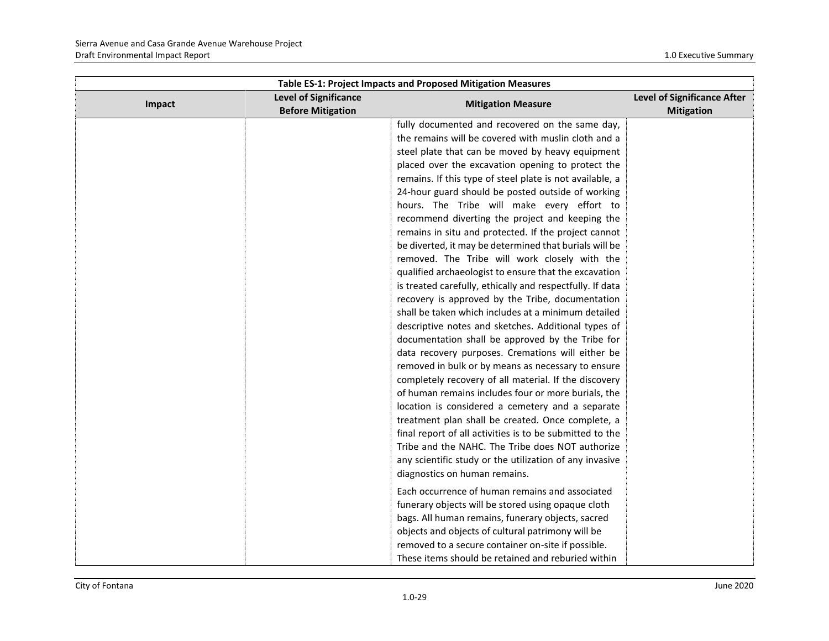| Table ES-1: Project Impacts and Proposed Mitigation Measures |                                                          |                                                           |                                                         |
|--------------------------------------------------------------|----------------------------------------------------------|-----------------------------------------------------------|---------------------------------------------------------|
| Impact                                                       | <b>Level of Significance</b><br><b>Before Mitigation</b> | <b>Mitigation Measure</b>                                 | <b>Level of Significance After</b><br><b>Mitigation</b> |
|                                                              |                                                          | fully documented and recovered on the same day,           |                                                         |
|                                                              |                                                          | the remains will be covered with muslin cloth and a       |                                                         |
|                                                              |                                                          | steel plate that can be moved by heavy equipment          |                                                         |
|                                                              |                                                          | placed over the excavation opening to protect the         |                                                         |
|                                                              |                                                          | remains. If this type of steel plate is not available, a  |                                                         |
|                                                              |                                                          | 24-hour guard should be posted outside of working         |                                                         |
|                                                              |                                                          | hours. The Tribe will make every effort to                |                                                         |
|                                                              |                                                          | recommend diverting the project and keeping the           |                                                         |
|                                                              |                                                          | remains in situ and protected. If the project cannot      |                                                         |
|                                                              |                                                          | be diverted, it may be determined that burials will be    |                                                         |
|                                                              |                                                          | removed. The Tribe will work closely with the             |                                                         |
|                                                              |                                                          | qualified archaeologist to ensure that the excavation     |                                                         |
|                                                              |                                                          | is treated carefully, ethically and respectfully. If data |                                                         |
|                                                              |                                                          | recovery is approved by the Tribe, documentation          |                                                         |
|                                                              |                                                          | shall be taken which includes at a minimum detailed       |                                                         |
|                                                              |                                                          | descriptive notes and sketches. Additional types of       |                                                         |
|                                                              |                                                          | documentation shall be approved by the Tribe for          |                                                         |
|                                                              |                                                          | data recovery purposes. Cremations will either be         |                                                         |
|                                                              |                                                          | removed in bulk or by means as necessary to ensure        |                                                         |
|                                                              |                                                          | completely recovery of all material. If the discovery     |                                                         |
|                                                              |                                                          | of human remains includes four or more burials, the       |                                                         |
|                                                              |                                                          | location is considered a cemetery and a separate          |                                                         |
|                                                              |                                                          | treatment plan shall be created. Once complete, a         |                                                         |
|                                                              |                                                          | final report of all activities is to be submitted to the  |                                                         |
|                                                              |                                                          | Tribe and the NAHC. The Tribe does NOT authorize          |                                                         |
|                                                              |                                                          | any scientific study or the utilization of any invasive   |                                                         |
|                                                              |                                                          | diagnostics on human remains.                             |                                                         |
|                                                              |                                                          | Each occurrence of human remains and associated           |                                                         |
|                                                              |                                                          | funerary objects will be stored using opaque cloth        |                                                         |
|                                                              |                                                          | bags. All human remains, funerary objects, sacred         |                                                         |
|                                                              |                                                          | objects and objects of cultural patrimony will be         |                                                         |
|                                                              |                                                          | removed to a secure container on-site if possible.        |                                                         |
|                                                              |                                                          | These items should be retained and reburied within        |                                                         |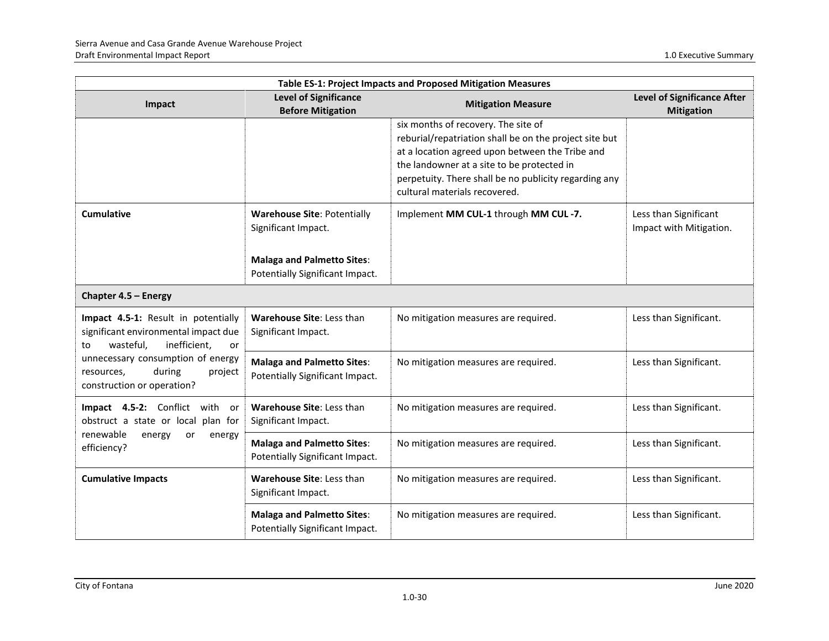| Table ES-1: Project Impacts and Proposed Mitigation Measures                                                                                                                                                               |                                                                      |                                                                                                                                                                                                                                                                                          |                                                         |
|----------------------------------------------------------------------------------------------------------------------------------------------------------------------------------------------------------------------------|----------------------------------------------------------------------|------------------------------------------------------------------------------------------------------------------------------------------------------------------------------------------------------------------------------------------------------------------------------------------|---------------------------------------------------------|
| Impact                                                                                                                                                                                                                     | <b>Level of Significance</b><br><b>Before Mitigation</b>             | <b>Mitigation Measure</b>                                                                                                                                                                                                                                                                | <b>Level of Significance After</b><br><b>Mitigation</b> |
|                                                                                                                                                                                                                            |                                                                      | six months of recovery. The site of<br>reburial/repatriation shall be on the project site but<br>at a location agreed upon between the Tribe and<br>the landowner at a site to be protected in<br>perpetuity. There shall be no publicity regarding any<br>cultural materials recovered. |                                                         |
| <b>Cumulative</b>                                                                                                                                                                                                          | <b>Warehouse Site: Potentially</b><br>Significant Impact.            | Implement MM CUL-1 through MM CUL-7.                                                                                                                                                                                                                                                     | Less than Significant<br>Impact with Mitigation.        |
|                                                                                                                                                                                                                            | <b>Malaga and Palmetto Sites:</b><br>Potentially Significant Impact. |                                                                                                                                                                                                                                                                                          |                                                         |
| Chapter 4.5 - Energy                                                                                                                                                                                                       |                                                                      |                                                                                                                                                                                                                                                                                          |                                                         |
| Impact 4.5-1: Result in potentially<br>significant environmental impact due<br>inefficient,<br>wasteful,<br>or<br>to<br>unnecessary consumption of energy<br>during<br>resources,<br>project<br>construction or operation? | Warehouse Site: Less than<br>Significant Impact.                     | No mitigation measures are required.                                                                                                                                                                                                                                                     | Less than Significant.                                  |
|                                                                                                                                                                                                                            | <b>Malaga and Palmetto Sites:</b><br>Potentially Significant Impact. | No mitigation measures are required.                                                                                                                                                                                                                                                     | Less than Significant.                                  |
| Impact 4.5-2: Conflict with or<br>obstruct a state or local plan for<br>renewable<br>energy<br>or<br>energy<br>efficiency?                                                                                                 | Warehouse Site: Less than<br>Significant Impact.                     | No mitigation measures are required.                                                                                                                                                                                                                                                     | Less than Significant.                                  |
|                                                                                                                                                                                                                            | <b>Malaga and Palmetto Sites:</b><br>Potentially Significant Impact. | No mitigation measures are required.                                                                                                                                                                                                                                                     | Less than Significant.                                  |
| <b>Cumulative Impacts</b>                                                                                                                                                                                                  | Warehouse Site: Less than<br>Significant Impact.                     | No mitigation measures are required.                                                                                                                                                                                                                                                     | Less than Significant.                                  |
|                                                                                                                                                                                                                            | <b>Malaga and Palmetto Sites:</b><br>Potentially Significant Impact. | No mitigation measures are required.                                                                                                                                                                                                                                                     | Less than Significant.                                  |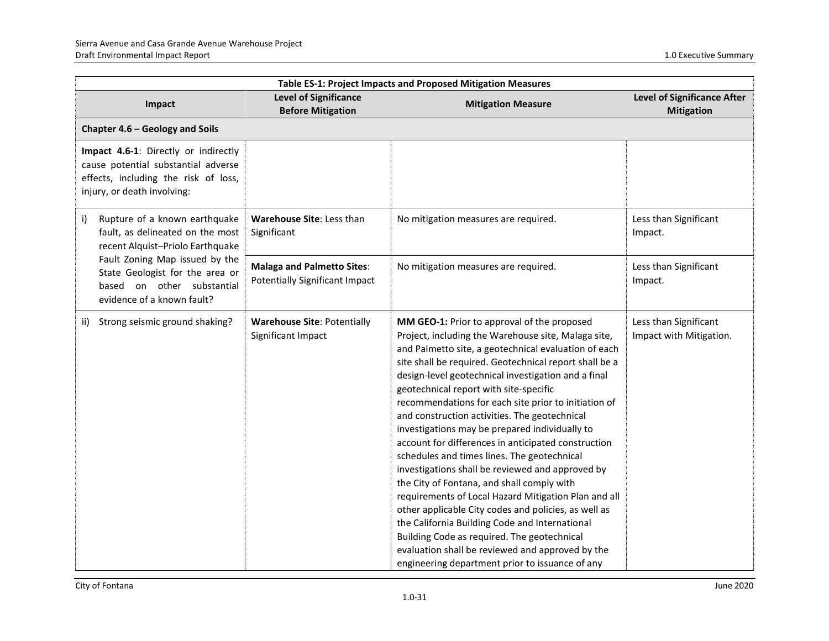| Table ES-1: Project Impacts and Proposed Mitigation Measures                                                                                                                                                                                 |                                                                            |                                                                                                                                                                                                                                                                                                                                                                                                                                                                                                                                                                                                                                                                                                                                                                                                                                                                                                                                                                                                                  |                                                  |
|----------------------------------------------------------------------------------------------------------------------------------------------------------------------------------------------------------------------------------------------|----------------------------------------------------------------------------|------------------------------------------------------------------------------------------------------------------------------------------------------------------------------------------------------------------------------------------------------------------------------------------------------------------------------------------------------------------------------------------------------------------------------------------------------------------------------------------------------------------------------------------------------------------------------------------------------------------------------------------------------------------------------------------------------------------------------------------------------------------------------------------------------------------------------------------------------------------------------------------------------------------------------------------------------------------------------------------------------------------|--------------------------------------------------|
| Impact                                                                                                                                                                                                                                       | <b>Level of Significance</b><br><b>Before Mitigation</b>                   | <b>Mitigation Measure</b>                                                                                                                                                                                                                                                                                                                                                                                                                                                                                                                                                                                                                                                                                                                                                                                                                                                                                                                                                                                        | Level of Significance After<br><b>Mitigation</b> |
| Chapter 4.6 - Geology and Soils                                                                                                                                                                                                              |                                                                            |                                                                                                                                                                                                                                                                                                                                                                                                                                                                                                                                                                                                                                                                                                                                                                                                                                                                                                                                                                                                                  |                                                  |
| Impact 4.6-1: Directly or indirectly<br>cause potential substantial adverse<br>effects, including the risk of loss,<br>injury, or death involving:                                                                                           |                                                                            |                                                                                                                                                                                                                                                                                                                                                                                                                                                                                                                                                                                                                                                                                                                                                                                                                                                                                                                                                                                                                  |                                                  |
| Rupture of a known earthquake<br>i)<br>fault, as delineated on the most<br>recent Alquist-Priolo Earthquake<br>Fault Zoning Map issued by the<br>State Geologist for the area or<br>based on other substantial<br>evidence of a known fault? | Warehouse Site: Less than<br>Significant                                   | No mitigation measures are required.                                                                                                                                                                                                                                                                                                                                                                                                                                                                                                                                                                                                                                                                                                                                                                                                                                                                                                                                                                             | Less than Significant<br>Impact.                 |
|                                                                                                                                                                                                                                              | <b>Malaga and Palmetto Sites:</b><br><b>Potentially Significant Impact</b> | No mitigation measures are required.                                                                                                                                                                                                                                                                                                                                                                                                                                                                                                                                                                                                                                                                                                                                                                                                                                                                                                                                                                             | Less than Significant<br>Impact.                 |
| Strong seismic ground shaking?<br>ii)                                                                                                                                                                                                        | <b>Warehouse Site: Potentially</b><br>Significant Impact                   | MM GEO-1: Prior to approval of the proposed<br>Project, including the Warehouse site, Malaga site,<br>and Palmetto site, a geotechnical evaluation of each<br>site shall be required. Geotechnical report shall be a<br>design-level geotechnical investigation and a final<br>geotechnical report with site-specific<br>recommendations for each site prior to initiation of<br>and construction activities. The geotechnical<br>investigations may be prepared individually to<br>account for differences in anticipated construction<br>schedules and times lines. The geotechnical<br>investigations shall be reviewed and approved by<br>the City of Fontana, and shall comply with<br>requirements of Local Hazard Mitigation Plan and all<br>other applicable City codes and policies, as well as<br>the California Building Code and International<br>Building Code as required. The geotechnical<br>evaluation shall be reviewed and approved by the<br>engineering department prior to issuance of any | Less than Significant<br>Impact with Mitigation. |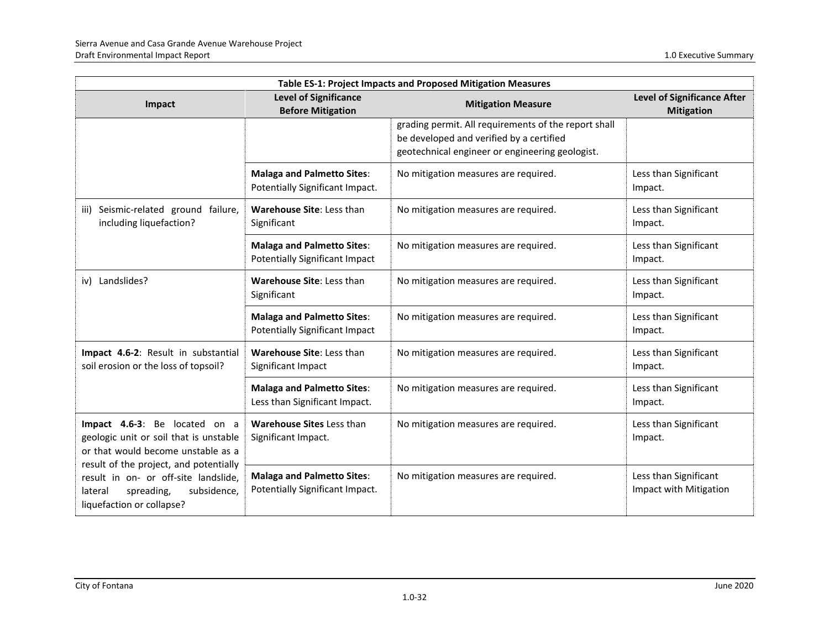| Table ES-1: Project Impacts and Proposed Mitigation Measures                                                                                                                                                                                                         |                                                                            |                                                                                                                                                     |                                                         |
|----------------------------------------------------------------------------------------------------------------------------------------------------------------------------------------------------------------------------------------------------------------------|----------------------------------------------------------------------------|-----------------------------------------------------------------------------------------------------------------------------------------------------|---------------------------------------------------------|
| Impact                                                                                                                                                                                                                                                               | <b>Level of Significance</b><br><b>Before Mitigation</b>                   | <b>Mitigation Measure</b>                                                                                                                           | <b>Level of Significance After</b><br><b>Mitigation</b> |
|                                                                                                                                                                                                                                                                      |                                                                            | grading permit. All requirements of the report shall<br>be developed and verified by a certified<br>geotechnical engineer or engineering geologist. |                                                         |
|                                                                                                                                                                                                                                                                      | <b>Malaga and Palmetto Sites:</b><br>Potentially Significant Impact.       | No mitigation measures are required.                                                                                                                | Less than Significant<br>Impact.                        |
| Seismic-related ground failure,<br>iii)<br>including liquefaction?                                                                                                                                                                                                   | Warehouse Site: Less than<br>Significant                                   | No mitigation measures are required.                                                                                                                | Less than Significant<br>Impact.                        |
|                                                                                                                                                                                                                                                                      | <b>Malaga and Palmetto Sites:</b><br><b>Potentially Significant Impact</b> | No mitigation measures are required.                                                                                                                | Less than Significant<br>Impact.                        |
| iv) Landslides?                                                                                                                                                                                                                                                      | Warehouse Site: Less than<br>Significant                                   | No mitigation measures are required.                                                                                                                | Less than Significant<br>Impact.                        |
|                                                                                                                                                                                                                                                                      | <b>Malaga and Palmetto Sites:</b><br><b>Potentially Significant Impact</b> | No mitigation measures are required.                                                                                                                | Less than Significant<br>Impact.                        |
| Impact 4.6-2: Result in substantial<br>soil erosion or the loss of topsoil?                                                                                                                                                                                          | Warehouse Site: Less than<br>Significant Impact                            | No mitigation measures are required.                                                                                                                | Less than Significant<br>Impact.                        |
|                                                                                                                                                                                                                                                                      | <b>Malaga and Palmetto Sites:</b><br>Less than Significant Impact.         | No mitigation measures are required.                                                                                                                | Less than Significant<br>Impact.                        |
| Impact 4.6-3: Be located on a<br>geologic unit or soil that is unstable<br>or that would become unstable as a<br>result of the project, and potentially<br>result in on- or off-site landslide,<br>spreading,<br>subsidence,<br>lateral<br>liquefaction or collapse? | <b>Warehouse Sites Less than</b><br>Significant Impact.                    | No mitigation measures are required.                                                                                                                | Less than Significant<br>Impact.                        |
|                                                                                                                                                                                                                                                                      | <b>Malaga and Palmetto Sites:</b><br>Potentially Significant Impact.       | No mitigation measures are required.                                                                                                                | Less than Significant<br>Impact with Mitigation         |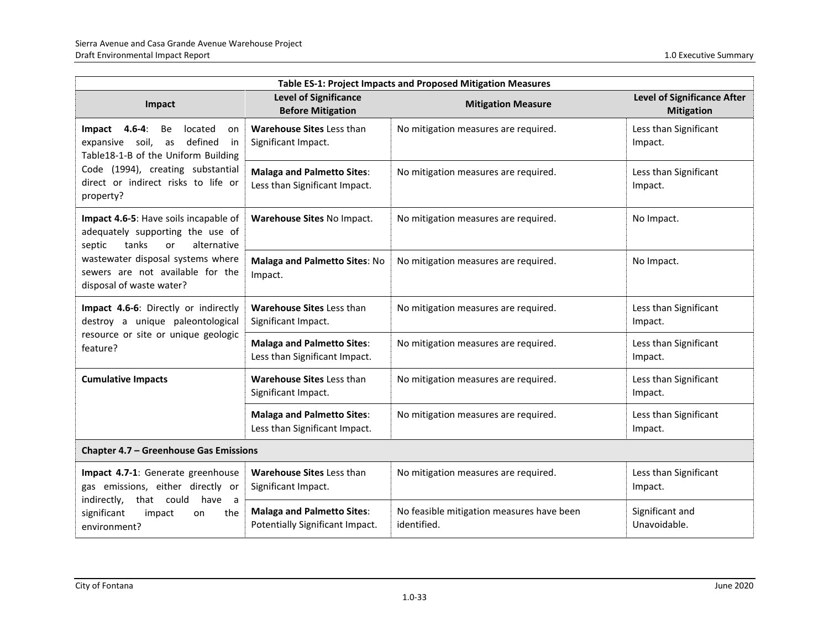| Table ES-1: Project Impacts and Proposed Mitigation Measures                                                                 |                                                                      |                                                          |                                                         |
|------------------------------------------------------------------------------------------------------------------------------|----------------------------------------------------------------------|----------------------------------------------------------|---------------------------------------------------------|
| Impact                                                                                                                       | <b>Level of Significance</b><br><b>Before Mitigation</b>             | <b>Mitigation Measure</b>                                | <b>Level of Significance After</b><br><b>Mitigation</b> |
| Impact<br>$4.6 - 4:$<br>Be<br>located<br>on<br>expansive soil,<br>defined<br>as<br>in<br>Table18-1-B of the Uniform Building | Warehouse Sites Less than<br>Significant Impact.                     | No mitigation measures are required.                     | Less than Significant<br>Impact.                        |
| Code (1994), creating substantial<br>direct or indirect risks to life or<br>property?                                        | <b>Malaga and Palmetto Sites:</b><br>Less than Significant Impact.   | No mitigation measures are required.                     | Less than Significant<br>Impact.                        |
| Impact 4.6-5: Have soils incapable of<br>adequately supporting the use of<br>tanks<br>alternative<br>septic<br>or            | Warehouse Sites No Impact.                                           | No mitigation measures are required.                     | No Impact.                                              |
| wastewater disposal systems where<br>sewers are not available for the<br>disposal of waste water?                            | Malaga and Palmetto Sites: No<br>Impact.                             | No mitigation measures are required.                     | No Impact.                                              |
| Impact 4.6-6: Directly or indirectly<br>destroy a unique paleontological                                                     | <b>Warehouse Sites Less than</b><br>Significant Impact.              | No mitigation measures are required.                     | Less than Significant<br>Impact.                        |
| resource or site or unique geologic<br>feature?                                                                              | <b>Malaga and Palmetto Sites:</b><br>Less than Significant Impact.   | No mitigation measures are required.                     | Less than Significant<br>Impact.                        |
| <b>Cumulative Impacts</b>                                                                                                    | <b>Warehouse Sites Less than</b><br>Significant Impact.              | No mitigation measures are required.                     | Less than Significant<br>Impact.                        |
|                                                                                                                              | <b>Malaga and Palmetto Sites:</b><br>Less than Significant Impact.   | No mitigation measures are required.                     | Less than Significant<br>Impact.                        |
| <b>Chapter 4.7 - Greenhouse Gas Emissions</b>                                                                                |                                                                      |                                                          |                                                         |
| Impact 4.7-1: Generate greenhouse<br>gas emissions, either directly or                                                       | Warehouse Sites Less than<br>Significant Impact.                     | No mitigation measures are required.                     | Less than Significant<br>Impact.                        |
| indirectly,<br>that could<br>have<br>a a<br>significant<br>impact<br>the<br>on<br>environment?                               | <b>Malaga and Palmetto Sites:</b><br>Potentially Significant Impact. | No feasible mitigation measures have been<br>identified. | Significant and<br>Unavoidable.                         |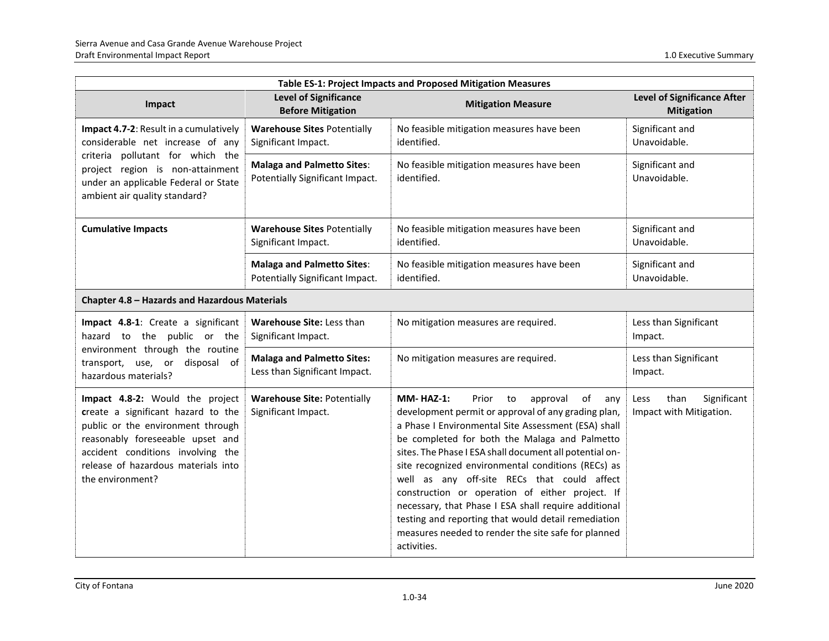| <b>Table ES-1: Project Impacts and Proposed Mitigation Measures</b>                                                                                                                                                                            |                                                                      |                                                                                                                                                                                                                                                                                                                                                                                                                                                                                                                                                                                                                                 |                                                         |
|------------------------------------------------------------------------------------------------------------------------------------------------------------------------------------------------------------------------------------------------|----------------------------------------------------------------------|---------------------------------------------------------------------------------------------------------------------------------------------------------------------------------------------------------------------------------------------------------------------------------------------------------------------------------------------------------------------------------------------------------------------------------------------------------------------------------------------------------------------------------------------------------------------------------------------------------------------------------|---------------------------------------------------------|
| Impact                                                                                                                                                                                                                                         | <b>Level of Significance</b><br><b>Before Mitigation</b>             | <b>Mitigation Measure</b>                                                                                                                                                                                                                                                                                                                                                                                                                                                                                                                                                                                                       | <b>Level of Significance After</b><br><b>Mitigation</b> |
| Impact 4.7-2: Result in a cumulatively<br>considerable net increase of any                                                                                                                                                                     | <b>Warehouse Sites Potentially</b><br>Significant Impact.            | No feasible mitigation measures have been<br>identified.                                                                                                                                                                                                                                                                                                                                                                                                                                                                                                                                                                        | Significant and<br>Unavoidable.                         |
| criteria pollutant for which the<br>project region is non-attainment<br>under an applicable Federal or State<br>ambient air quality standard?                                                                                                  | <b>Malaga and Palmetto Sites:</b><br>Potentially Significant Impact. | No feasible mitigation measures have been<br>identified.                                                                                                                                                                                                                                                                                                                                                                                                                                                                                                                                                                        | Significant and<br>Unavoidable.                         |
| <b>Cumulative Impacts</b>                                                                                                                                                                                                                      | <b>Warehouse Sites Potentially</b><br>Significant Impact.            | No feasible mitigation measures have been<br>identified.                                                                                                                                                                                                                                                                                                                                                                                                                                                                                                                                                                        | Significant and<br>Unavoidable.                         |
|                                                                                                                                                                                                                                                | <b>Malaga and Palmetto Sites:</b><br>Potentially Significant Impact. | No feasible mitigation measures have been<br>identified.                                                                                                                                                                                                                                                                                                                                                                                                                                                                                                                                                                        | Significant and<br>Unavoidable.                         |
| Chapter 4.8 - Hazards and Hazardous Materials                                                                                                                                                                                                  |                                                                      |                                                                                                                                                                                                                                                                                                                                                                                                                                                                                                                                                                                                                                 |                                                         |
| Impact 4.8-1: Create a significant<br>hazard to the public or the                                                                                                                                                                              | Warehouse Site: Less than<br>Significant Impact.                     | No mitigation measures are required.                                                                                                                                                                                                                                                                                                                                                                                                                                                                                                                                                                                            | Less than Significant<br>Impact.                        |
| environment through the routine<br>disposal of<br>transport, use, or<br>hazardous materials?                                                                                                                                                   | <b>Malaga and Palmetto Sites:</b><br>Less than Significant Impact.   | No mitigation measures are required.                                                                                                                                                                                                                                                                                                                                                                                                                                                                                                                                                                                            | Less than Significant<br>Impact.                        |
| Impact 4.8-2: Would the project<br>create a significant hazard to the<br>public or the environment through<br>reasonably foreseeable upset and<br>accident conditions involving the<br>release of hazardous materials into<br>the environment? | <b>Warehouse Site: Potentially</b><br>Significant Impact.            | <b>MM-HAZ-1:</b><br>Prior<br>to<br>approval<br>of<br>any<br>development permit or approval of any grading plan,<br>a Phase I Environmental Site Assessment (ESA) shall<br>be completed for both the Malaga and Palmetto<br>sites. The Phase I ESA shall document all potential on-<br>site recognized environmental conditions (RECs) as<br>well as any off-site RECs that could affect<br>construction or operation of either project. If<br>necessary, that Phase I ESA shall require additional<br>testing and reporting that would detail remediation<br>measures needed to render the site safe for planned<br>activities. | than<br>Significant<br>Less<br>Impact with Mitigation.  |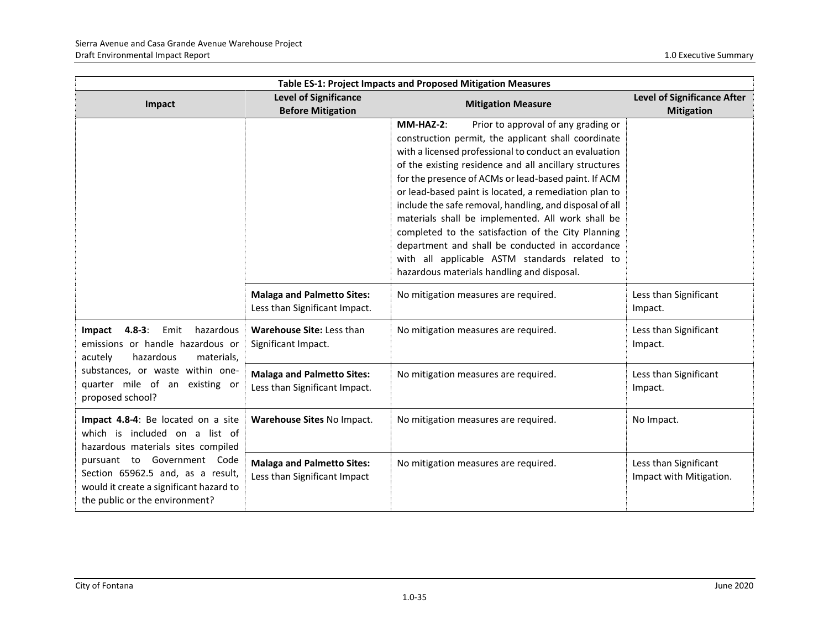| Table ES-1: Project Impacts and Proposed Mitigation Measures                                                                                                                                                                                                |                                                                    |                                                                                                                                                                                                                                                                                                                                                                                                                                                                                                                                                                                                                                                                     |                                                         |
|-------------------------------------------------------------------------------------------------------------------------------------------------------------------------------------------------------------------------------------------------------------|--------------------------------------------------------------------|---------------------------------------------------------------------------------------------------------------------------------------------------------------------------------------------------------------------------------------------------------------------------------------------------------------------------------------------------------------------------------------------------------------------------------------------------------------------------------------------------------------------------------------------------------------------------------------------------------------------------------------------------------------------|---------------------------------------------------------|
| Impact                                                                                                                                                                                                                                                      | <b>Level of Significance</b><br><b>Before Mitigation</b>           | <b>Mitigation Measure</b>                                                                                                                                                                                                                                                                                                                                                                                                                                                                                                                                                                                                                                           | <b>Level of Significance After</b><br><b>Mitigation</b> |
|                                                                                                                                                                                                                                                             |                                                                    | MM-HAZ-2:<br>Prior to approval of any grading or<br>construction permit, the applicant shall coordinate<br>with a licensed professional to conduct an evaluation<br>of the existing residence and all ancillary structures<br>for the presence of ACMs or lead-based paint. If ACM<br>or lead-based paint is located, a remediation plan to<br>include the safe removal, handling, and disposal of all<br>materials shall be implemented. All work shall be<br>completed to the satisfaction of the City Planning<br>department and shall be conducted in accordance<br>with all applicable ASTM standards related to<br>hazardous materials handling and disposal. |                                                         |
|                                                                                                                                                                                                                                                             | <b>Malaga and Palmetto Sites:</b><br>Less than Significant Impact. | No mitigation measures are required.                                                                                                                                                                                                                                                                                                                                                                                                                                                                                                                                                                                                                                | Less than Significant<br>Impact.                        |
| Impact 4.8-3: Emit<br>hazardous<br>emissions or handle hazardous or<br>acutely<br>hazardous<br>materials,<br>substances, or waste within one-<br>quarter mile of an existing or<br>proposed school?                                                         | Warehouse Site: Less than<br>Significant Impact.                   | No mitigation measures are required.                                                                                                                                                                                                                                                                                                                                                                                                                                                                                                                                                                                                                                | Less than Significant<br>Impact.                        |
|                                                                                                                                                                                                                                                             | <b>Malaga and Palmetto Sites:</b><br>Less than Significant Impact. | No mitigation measures are required.                                                                                                                                                                                                                                                                                                                                                                                                                                                                                                                                                                                                                                | Less than Significant<br>Impact.                        |
| Impact 4.8-4: Be located on a site<br>which is included on a list of<br>hazardous materials sites compiled<br>pursuant to Government Code<br>Section 65962.5 and, as a result,<br>would it create a significant hazard to<br>the public or the environment? | Warehouse Sites No Impact.                                         | No mitigation measures are required.                                                                                                                                                                                                                                                                                                                                                                                                                                                                                                                                                                                                                                | No Impact.                                              |
|                                                                                                                                                                                                                                                             | <b>Malaga and Palmetto Sites:</b><br>Less than Significant Impact  | No mitigation measures are required.                                                                                                                                                                                                                                                                                                                                                                                                                                                                                                                                                                                                                                | Less than Significant<br>Impact with Mitigation.        |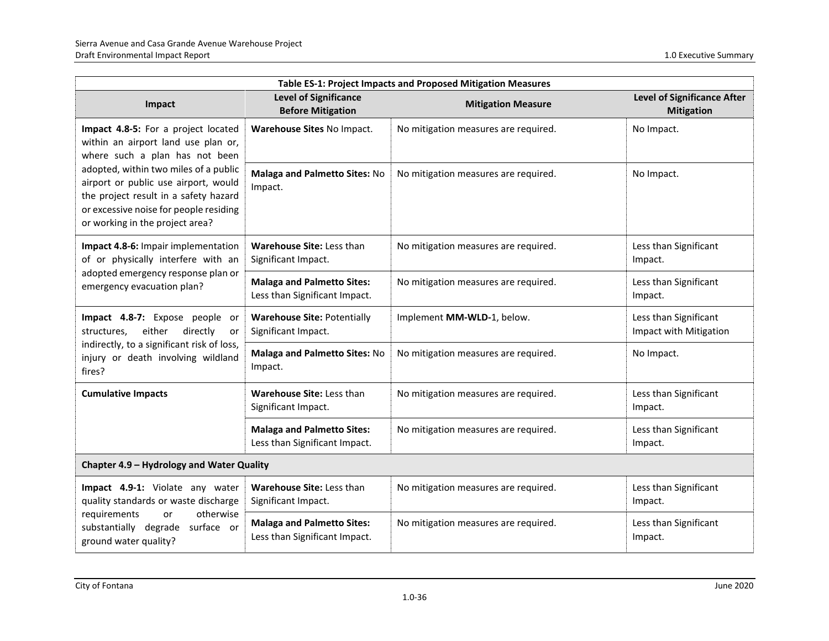| Table ES-1: Project Impacts and Proposed Mitigation Measures                                                                                                                                                                                                                                                        |                                                                    |                                      |                                                         |
|---------------------------------------------------------------------------------------------------------------------------------------------------------------------------------------------------------------------------------------------------------------------------------------------------------------------|--------------------------------------------------------------------|--------------------------------------|---------------------------------------------------------|
| Impact                                                                                                                                                                                                                                                                                                              | <b>Level of Significance</b><br><b>Before Mitigation</b>           | <b>Mitigation Measure</b>            | <b>Level of Significance After</b><br><b>Mitigation</b> |
| Impact 4.8-5: For a project located<br>within an airport land use plan or,<br>where such a plan has not been<br>adopted, within two miles of a public<br>airport or public use airport, would<br>the project result in a safety hazard<br>or excessive noise for people residing<br>or working in the project area? | Warehouse Sites No Impact.                                         | No mitigation measures are required. | No Impact.                                              |
|                                                                                                                                                                                                                                                                                                                     | Malaga and Palmetto Sites: No<br>Impact.                           | No mitigation measures are required. | No Impact.                                              |
| Impact 4.8-6: Impair implementation<br>of or physically interfere with an<br>adopted emergency response plan or<br>emergency evacuation plan?                                                                                                                                                                       | Warehouse Site: Less than<br>Significant Impact.                   | No mitigation measures are required. | Less than Significant<br>Impact.                        |
|                                                                                                                                                                                                                                                                                                                     | <b>Malaga and Palmetto Sites:</b><br>Less than Significant Impact. | No mitigation measures are required. | Less than Significant<br>Impact.                        |
| Impact 4.8-7: Expose people or<br>either<br>directly<br>structures,<br>or<br>indirectly, to a significant risk of loss,<br>injury or death involving wildland<br>fires?                                                                                                                                             | <b>Warehouse Site: Potentially</b><br>Significant Impact.          | Implement MM-WLD-1, below.           | Less than Significant<br>Impact with Mitigation         |
|                                                                                                                                                                                                                                                                                                                     | Malaga and Palmetto Sites: No<br>Impact.                           | No mitigation measures are required. | No Impact.                                              |
| <b>Cumulative Impacts</b>                                                                                                                                                                                                                                                                                           | Warehouse Site: Less than<br>Significant Impact.                   | No mitigation measures are required. | Less than Significant<br>Impact.                        |
|                                                                                                                                                                                                                                                                                                                     | <b>Malaga and Palmetto Sites:</b><br>Less than Significant Impact. | No mitigation measures are required. | Less than Significant<br>Impact.                        |
| Chapter 4.9 - Hydrology and Water Quality                                                                                                                                                                                                                                                                           |                                                                    |                                      |                                                         |
| Impact 4.9-1: Violate any water<br>quality standards or waste discharge<br>otherwise<br>requirements<br>or<br>substantially degrade surface or<br>ground water quality?                                                                                                                                             | Warehouse Site: Less than<br>Significant Impact.                   | No mitigation measures are required. | Less than Significant<br>Impact.                        |
|                                                                                                                                                                                                                                                                                                                     | <b>Malaga and Palmetto Sites:</b><br>Less than Significant Impact. | No mitigation measures are required. | Less than Significant<br>Impact.                        |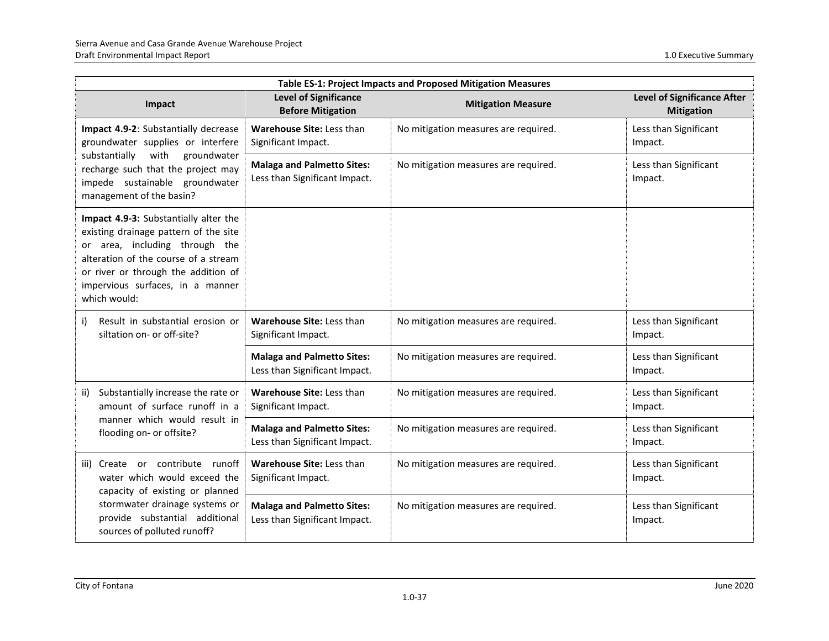| Table ES-1: Project Impacts and Proposed Mitigation Measures                                                                                                                                                                                        |                                                                    |                                      |                                                         |
|-----------------------------------------------------------------------------------------------------------------------------------------------------------------------------------------------------------------------------------------------------|--------------------------------------------------------------------|--------------------------------------|---------------------------------------------------------|
| Impact                                                                                                                                                                                                                                              | <b>Level of Significance</b><br><b>Before Mitigation</b>           | <b>Mitigation Measure</b>            | <b>Level of Significance After</b><br><b>Mitigation</b> |
| Impact 4.9-2: Substantially decrease<br>groundwater supplies or interfere                                                                                                                                                                           | Warehouse Site: Less than<br>Significant Impact.                   | No mitigation measures are required. | Less than Significant<br>Impact.                        |
| substantially<br>with<br>groundwater<br>recharge such that the project may<br>impede sustainable groundwater<br>management of the basin?                                                                                                            | <b>Malaga and Palmetto Sites:</b><br>Less than Significant Impact. | No mitigation measures are required. | Less than Significant<br>Impact.                        |
| Impact 4.9-3: Substantially alter the<br>existing drainage pattern of the site<br>or area, including through the<br>alteration of the course of a stream<br>or river or through the addition of<br>impervious surfaces, in a manner<br>which would: |                                                                    |                                      |                                                         |
| Result in substantial erosion or<br>i)<br>siltation on- or off-site?                                                                                                                                                                                | Warehouse Site: Less than<br>Significant Impact.                   | No mitigation measures are required. | Less than Significant<br>Impact.                        |
|                                                                                                                                                                                                                                                     | <b>Malaga and Palmetto Sites:</b><br>Less than Significant Impact. | No mitigation measures are required. | Less than Significant<br>Impact.                        |
| Substantially increase the rate or<br>ii)<br>amount of surface runoff in a                                                                                                                                                                          | Warehouse Site: Less than<br>Significant Impact.                   | No mitigation measures are required. | Less than Significant<br>Impact.                        |
| manner which would result in<br>flooding on- or offsite?                                                                                                                                                                                            | <b>Malaga and Palmetto Sites:</b><br>Less than Significant Impact. | No mitigation measures are required. | Less than Significant<br>Impact.                        |
| Create or contribute runoff<br>iii)<br>water which would exceed the<br>capacity of existing or planned                                                                                                                                              | Warehouse Site: Less than<br>Significant Impact.                   | No mitigation measures are required. | Less than Significant<br>Impact.                        |
| stormwater drainage systems or<br>provide substantial additional<br>sources of polluted runoff?                                                                                                                                                     | <b>Malaga and Palmetto Sites:</b><br>Less than Significant Impact. | No mitigation measures are required. | Less than Significant<br>Impact.                        |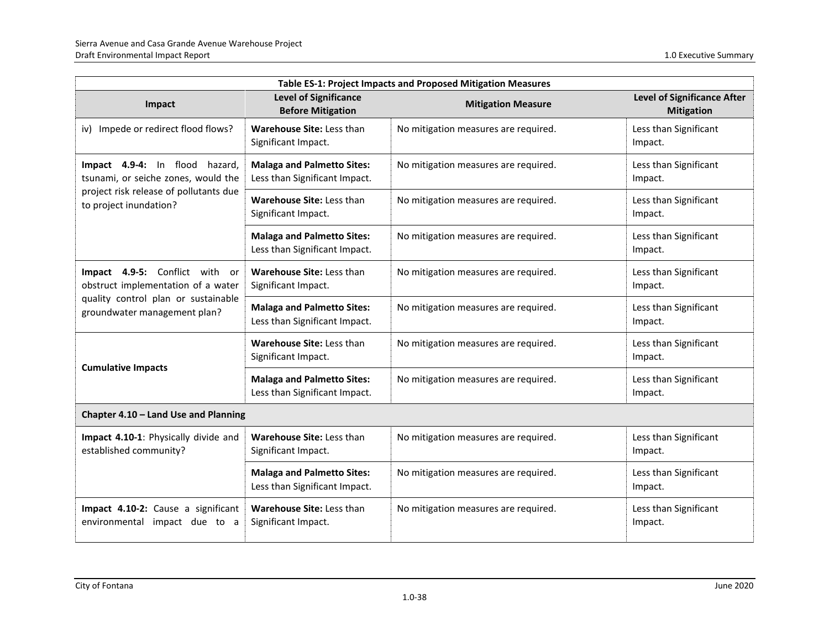| Table ES-1: Project Impacts and Proposed Mitigation Measures                                                                                   |                                                                    |                                      |                                                         |
|------------------------------------------------------------------------------------------------------------------------------------------------|--------------------------------------------------------------------|--------------------------------------|---------------------------------------------------------|
| Impact                                                                                                                                         | <b>Level of Significance</b><br><b>Before Mitigation</b>           | <b>Mitigation Measure</b>            | <b>Level of Significance After</b><br><b>Mitigation</b> |
| iv) Impede or redirect flood flows?                                                                                                            | Warehouse Site: Less than<br>Significant Impact.                   | No mitigation measures are required. | Less than Significant<br>Impact.                        |
| Impact 4.9-4: In flood hazard,<br>tsunami, or seiche zones, would the                                                                          | <b>Malaga and Palmetto Sites:</b><br>Less than Significant Impact. | No mitigation measures are required. | Less than Significant<br>Impact.                        |
| project risk release of pollutants due<br>to project inundation?                                                                               | Warehouse Site: Less than<br>Significant Impact.                   | No mitigation measures are required. | Less than Significant<br>Impact.                        |
|                                                                                                                                                | <b>Malaga and Palmetto Sites:</b><br>Less than Significant Impact. | No mitigation measures are required. | Less than Significant<br>Impact.                        |
| Impact 4.9-5: Conflict with<br>or<br>obstruct implementation of a water<br>quality control plan or sustainable<br>groundwater management plan? | Warehouse Site: Less than<br>Significant Impact.                   | No mitigation measures are required. | Less than Significant<br>Impact.                        |
|                                                                                                                                                | <b>Malaga and Palmetto Sites:</b><br>Less than Significant Impact. | No mitigation measures are required. | Less than Significant<br>Impact.                        |
| <b>Cumulative Impacts</b>                                                                                                                      | Warehouse Site: Less than<br>Significant Impact.                   | No mitigation measures are required. | Less than Significant<br>Impact.                        |
|                                                                                                                                                | <b>Malaga and Palmetto Sites:</b><br>Less than Significant Impact. | No mitigation measures are required. | Less than Significant<br>Impact.                        |
| Chapter 4.10 - Land Use and Planning                                                                                                           |                                                                    |                                      |                                                         |
| Impact 4.10-1: Physically divide and<br>established community?                                                                                 | <b>Warehouse Site: Less than</b><br>Significant Impact.            | No mitigation measures are required. | Less than Significant<br>Impact.                        |
|                                                                                                                                                | <b>Malaga and Palmetto Sites:</b><br>Less than Significant Impact. | No mitigation measures are required. | Less than Significant<br>Impact.                        |
| Impact 4.10-2: Cause a significant<br>environmental impact due to a                                                                            | Warehouse Site: Less than<br>Significant Impact.                   | No mitigation measures are required. | Less than Significant<br>Impact.                        |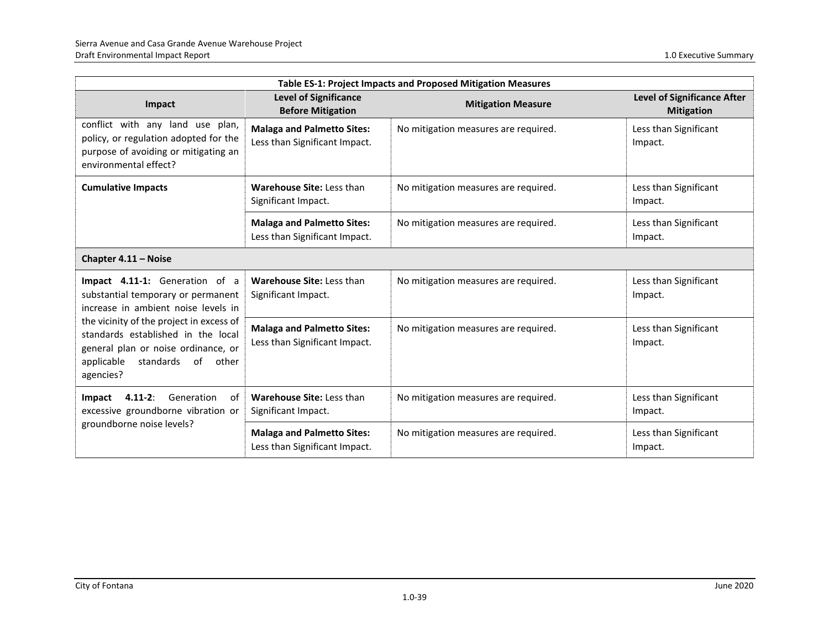| Table ES-1: Project Impacts and Proposed Mitigation Measures                                                                                                                                                                                                                                |                                                                    |                                      |                                                         |
|---------------------------------------------------------------------------------------------------------------------------------------------------------------------------------------------------------------------------------------------------------------------------------------------|--------------------------------------------------------------------|--------------------------------------|---------------------------------------------------------|
| Impact                                                                                                                                                                                                                                                                                      | <b>Level of Significance</b><br><b>Before Mitigation</b>           | <b>Mitigation Measure</b>            | <b>Level of Significance After</b><br><b>Mitigation</b> |
| conflict with any land use plan,<br>policy, or regulation adopted for the<br>purpose of avoiding or mitigating an<br>environmental effect?                                                                                                                                                  | <b>Malaga and Palmetto Sites:</b><br>Less than Significant Impact. | No mitigation measures are required. | Less than Significant<br>Impact.                        |
| <b>Cumulative Impacts</b>                                                                                                                                                                                                                                                                   | Warehouse Site: Less than<br>Significant Impact.                   | No mitigation measures are required. | Less than Significant<br>Impact.                        |
|                                                                                                                                                                                                                                                                                             | <b>Malaga and Palmetto Sites:</b><br>Less than Significant Impact. | No mitigation measures are required. | Less than Significant<br>Impact.                        |
| Chapter 4.11 - Noise                                                                                                                                                                                                                                                                        |                                                                    |                                      |                                                         |
| Impact 4.11-1: Generation of a<br>substantial temporary or permanent<br>increase in ambient noise levels in<br>the vicinity of the project in excess of<br>standards established in the local<br>general plan or noise ordinance, or<br>of<br>applicable<br>standards<br>other<br>agencies? | Warehouse Site: Less than<br>Significant Impact.                   | No mitigation measures are required. | Less than Significant<br>Impact.                        |
|                                                                                                                                                                                                                                                                                             | <b>Malaga and Palmetto Sites:</b><br>Less than Significant Impact. | No mitigation measures are required. | Less than Significant<br>Impact.                        |
| $4.11 - 2:$<br>Generation<br>Impact<br>of<br>excessive groundborne vibration or<br>groundborne noise levels?                                                                                                                                                                                | Warehouse Site: Less than<br>Significant Impact.                   | No mitigation measures are required. | Less than Significant<br>Impact.                        |
|                                                                                                                                                                                                                                                                                             | <b>Malaga and Palmetto Sites:</b><br>Less than Significant Impact. | No mitigation measures are required. | Less than Significant<br>Impact.                        |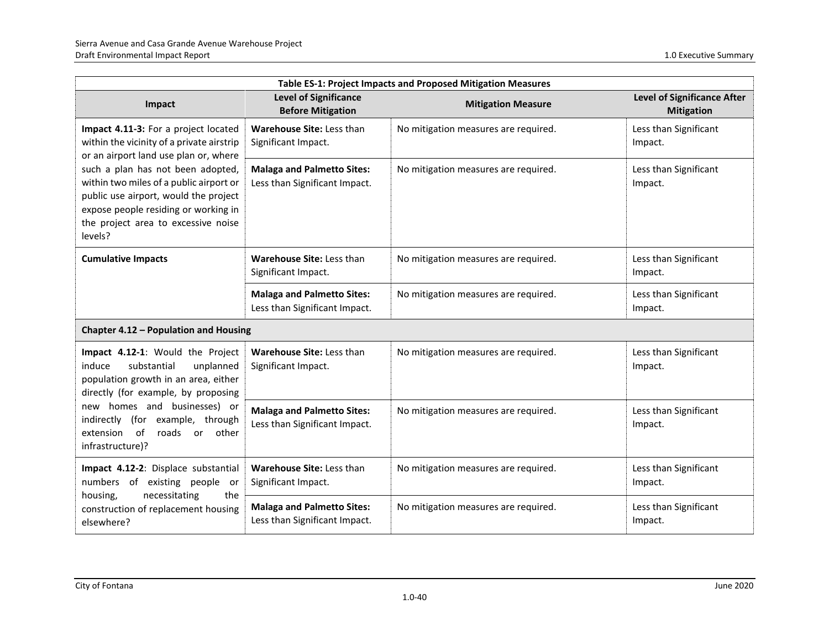| Table ES-1: Project Impacts and Proposed Mitigation Measures                                                                                                                                                                                                                                                                                  |                                                                    |                                      |                                                         |
|-----------------------------------------------------------------------------------------------------------------------------------------------------------------------------------------------------------------------------------------------------------------------------------------------------------------------------------------------|--------------------------------------------------------------------|--------------------------------------|---------------------------------------------------------|
| Impact                                                                                                                                                                                                                                                                                                                                        | <b>Level of Significance</b><br><b>Before Mitigation</b>           | <b>Mitigation Measure</b>            | <b>Level of Significance After</b><br><b>Mitigation</b> |
| Impact 4.11-3: For a project located<br>within the vicinity of a private airstrip<br>or an airport land use plan or, where<br>such a plan has not been adopted,<br>within two miles of a public airport or<br>public use airport, would the project<br>expose people residing or working in<br>the project area to excessive noise<br>levels? | Warehouse Site: Less than<br>Significant Impact.                   | No mitigation measures are required. | Less than Significant<br>Impact.                        |
|                                                                                                                                                                                                                                                                                                                                               | <b>Malaga and Palmetto Sites:</b><br>Less than Significant Impact. | No mitigation measures are required. | Less than Significant<br>Impact.                        |
| <b>Cumulative Impacts</b>                                                                                                                                                                                                                                                                                                                     | Warehouse Site: Less than<br>Significant Impact.                   | No mitigation measures are required. | Less than Significant<br>Impact.                        |
|                                                                                                                                                                                                                                                                                                                                               | <b>Malaga and Palmetto Sites:</b><br>Less than Significant Impact. | No mitigation measures are required. | Less than Significant<br>Impact.                        |
| Chapter 4.12 - Population and Housing                                                                                                                                                                                                                                                                                                         |                                                                    |                                      |                                                         |
| Impact 4.12-1: Would the Project<br>unplanned<br>induce<br>substantial<br>population growth in an area, either<br>directly (for example, by proposing                                                                                                                                                                                         | Warehouse Site: Less than<br>Significant Impact.                   | No mitigation measures are required. | Less than Significant<br>Impact.                        |
| new homes and businesses) or<br>indirectly (for example, through<br>extension of<br>roads<br>other<br>or<br>infrastructure)?                                                                                                                                                                                                                  | <b>Malaga and Palmetto Sites:</b><br>Less than Significant Impact. | No mitigation measures are required. | Less than Significant<br>Impact.                        |
| Impact 4.12-2: Displace substantial<br>numbers of existing people<br>or.                                                                                                                                                                                                                                                                      | Warehouse Site: Less than<br>Significant Impact.                   | No mitigation measures are required. | Less than Significant<br>Impact.                        |
| necessitating<br>the<br>housing,<br>construction of replacement housing<br>elsewhere?                                                                                                                                                                                                                                                         | <b>Malaga and Palmetto Sites:</b><br>Less than Significant Impact. | No mitigation measures are required. | Less than Significant<br>Impact.                        |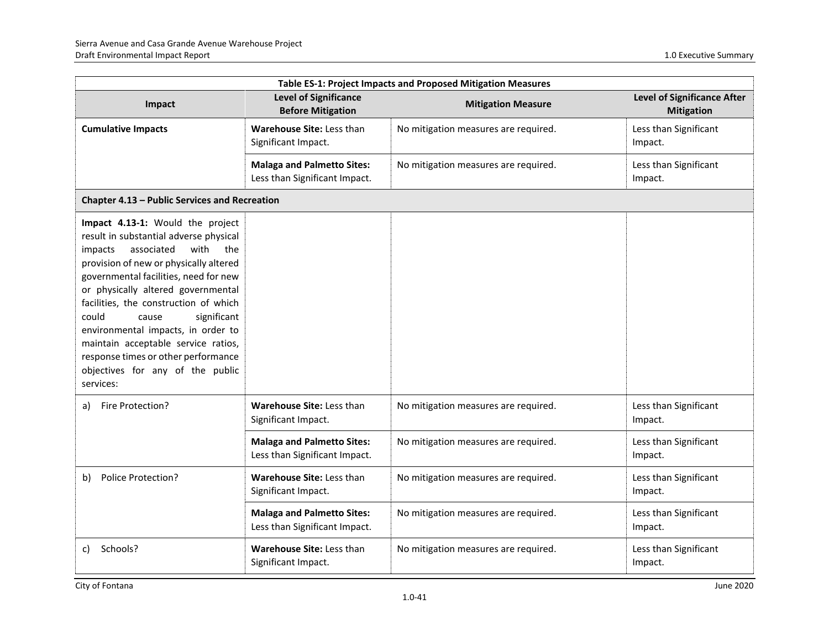| Table ES-1: Project Impacts and Proposed Mitigation Measures                                                                                                                                                                                                                                                                                                                                                                                                                               |                                                                    |                                      |                                                         |
|--------------------------------------------------------------------------------------------------------------------------------------------------------------------------------------------------------------------------------------------------------------------------------------------------------------------------------------------------------------------------------------------------------------------------------------------------------------------------------------------|--------------------------------------------------------------------|--------------------------------------|---------------------------------------------------------|
| Impact                                                                                                                                                                                                                                                                                                                                                                                                                                                                                     | <b>Level of Significance</b><br><b>Before Mitigation</b>           | <b>Mitigation Measure</b>            | <b>Level of Significance After</b><br><b>Mitigation</b> |
| <b>Cumulative Impacts</b>                                                                                                                                                                                                                                                                                                                                                                                                                                                                  | Warehouse Site: Less than<br>Significant Impact.                   | No mitigation measures are required. | Less than Significant<br>Impact.                        |
|                                                                                                                                                                                                                                                                                                                                                                                                                                                                                            | <b>Malaga and Palmetto Sites:</b><br>Less than Significant Impact. | No mitigation measures are required. | Less than Significant<br>Impact.                        |
| Chapter 4.13 - Public Services and Recreation                                                                                                                                                                                                                                                                                                                                                                                                                                              |                                                                    |                                      |                                                         |
| Impact 4.13-1: Would the project<br>result in substantial adverse physical<br>associated<br>with<br>impacts<br>the<br>provision of new or physically altered<br>governmental facilities, need for new<br>or physically altered governmental<br>facilities, the construction of which<br>significant<br>could<br>cause<br>environmental impacts, in order to<br>maintain acceptable service ratios,<br>response times or other performance<br>objectives for any of the public<br>services: |                                                                    |                                      |                                                         |
| Fire Protection?<br>a)                                                                                                                                                                                                                                                                                                                                                                                                                                                                     | Warehouse Site: Less than<br>Significant Impact.                   | No mitigation measures are required. | Less than Significant<br>Impact.                        |
|                                                                                                                                                                                                                                                                                                                                                                                                                                                                                            | <b>Malaga and Palmetto Sites:</b><br>Less than Significant Impact. | No mitigation measures are required. | Less than Significant<br>Impact.                        |
| Police Protection?<br>b)                                                                                                                                                                                                                                                                                                                                                                                                                                                                   | Warehouse Site: Less than<br>Significant Impact.                   | No mitigation measures are required. | Less than Significant<br>Impact.                        |
|                                                                                                                                                                                                                                                                                                                                                                                                                                                                                            | <b>Malaga and Palmetto Sites:</b><br>Less than Significant Impact. | No mitigation measures are required. | Less than Significant<br>Impact.                        |
| Schools?<br>c)                                                                                                                                                                                                                                                                                                                                                                                                                                                                             | Warehouse Site: Less than<br>Significant Impact.                   | No mitigation measures are required. | Less than Significant<br>Impact.                        |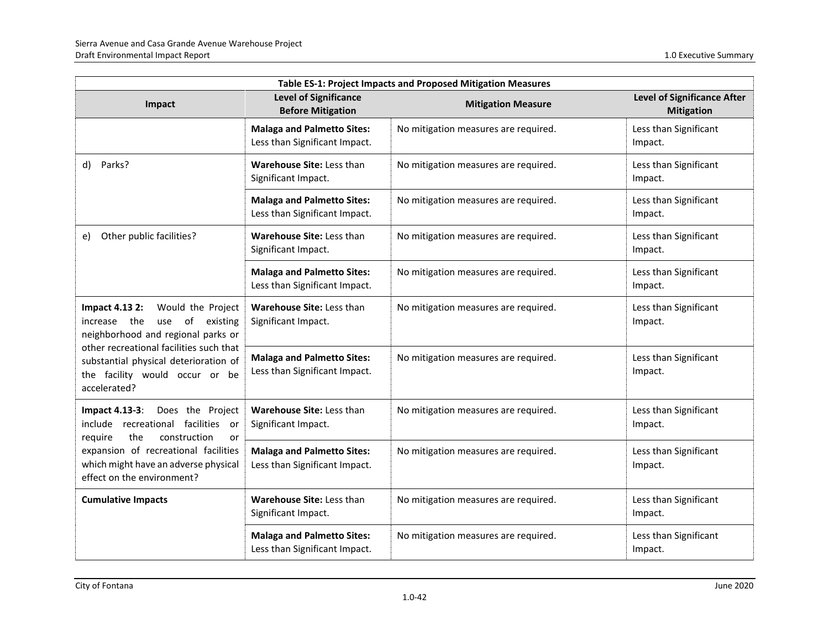| Table ES-1: Project Impacts and Proposed Mitigation Measures                                                                                                                                                                                              |                                                                    |                                      |                                                         |
|-----------------------------------------------------------------------------------------------------------------------------------------------------------------------------------------------------------------------------------------------------------|--------------------------------------------------------------------|--------------------------------------|---------------------------------------------------------|
| Impact                                                                                                                                                                                                                                                    | <b>Level of Significance</b><br><b>Before Mitigation</b>           | <b>Mitigation Measure</b>            | <b>Level of Significance After</b><br><b>Mitigation</b> |
|                                                                                                                                                                                                                                                           | <b>Malaga and Palmetto Sites:</b><br>Less than Significant Impact. | No mitigation measures are required. | Less than Significant<br>Impact.                        |
| Parks?<br>d)                                                                                                                                                                                                                                              | Warehouse Site: Less than<br>Significant Impact.                   | No mitigation measures are required. | Less than Significant<br>Impact.                        |
|                                                                                                                                                                                                                                                           | <b>Malaga and Palmetto Sites:</b><br>Less than Significant Impact. | No mitigation measures are required. | Less than Significant<br>Impact.                        |
| Other public facilities?<br>e)                                                                                                                                                                                                                            | Warehouse Site: Less than<br>Significant Impact.                   | No mitigation measures are required. | Less than Significant<br>Impact.                        |
|                                                                                                                                                                                                                                                           | <b>Malaga and Palmetto Sites:</b><br>Less than Significant Impact. | No mitigation measures are required. | Less than Significant<br>Impact.                        |
| <b>Impact 4.13 2:</b><br>Would the Project<br>increase the<br>use of existing<br>neighborhood and regional parks or<br>other recreational facilities such that<br>substantial physical deterioration of<br>the facility would occur or be<br>accelerated? | Warehouse Site: Less than<br>Significant Impact.                   | No mitigation measures are required. | Less than Significant<br>Impact.                        |
|                                                                                                                                                                                                                                                           | <b>Malaga and Palmetto Sites:</b><br>Less than Significant Impact. | No mitigation measures are required. | Less than Significant<br>Impact.                        |
| <b>Impact 4.13-3:</b><br>Does the Project<br>include recreational facilities<br>or<br>the<br>construction<br>require<br>or                                                                                                                                | Warehouse Site: Less than<br>Significant Impact.                   | No mitigation measures are required. | Less than Significant<br>Impact.                        |
| expansion of recreational facilities<br>which might have an adverse physical<br>effect on the environment?                                                                                                                                                | <b>Malaga and Palmetto Sites:</b><br>Less than Significant Impact. | No mitigation measures are required. | Less than Significant<br>Impact.                        |
| <b>Cumulative Impacts</b>                                                                                                                                                                                                                                 | Warehouse Site: Less than<br>Significant Impact.                   | No mitigation measures are required. | Less than Significant<br>Impact.                        |
|                                                                                                                                                                                                                                                           | <b>Malaga and Palmetto Sites:</b><br>Less than Significant Impact. | No mitigation measures are required. | Less than Significant<br>Impact.                        |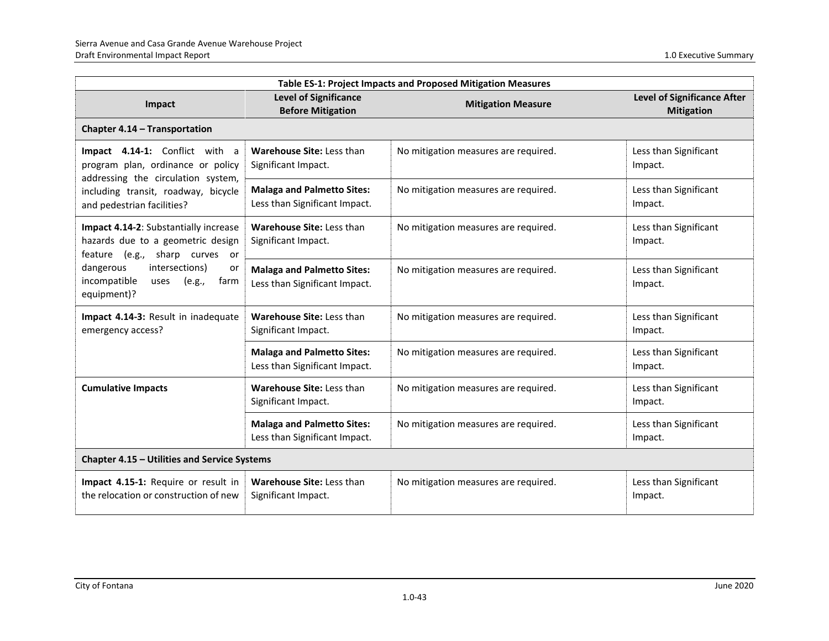| <b>Table ES-1: Project Impacts and Proposed Mitigation Measures</b>                                                                                                                                           |                                                                    |                                      |                                                         |
|---------------------------------------------------------------------------------------------------------------------------------------------------------------------------------------------------------------|--------------------------------------------------------------------|--------------------------------------|---------------------------------------------------------|
| Impact                                                                                                                                                                                                        | <b>Level of Significance</b><br><b>Before Mitigation</b>           | <b>Mitigation Measure</b>            | <b>Level of Significance After</b><br><b>Mitigation</b> |
| Chapter 4.14 - Transportation                                                                                                                                                                                 |                                                                    |                                      |                                                         |
| Impact 4.14-1: Conflict with a<br>program plan, ordinance or policy<br>addressing the circulation system,                                                                                                     | Warehouse Site: Less than<br>Significant Impact.                   | No mitigation measures are required. | Less than Significant<br>Impact.                        |
| including transit, roadway, bicycle<br>and pedestrian facilities?                                                                                                                                             | <b>Malaga and Palmetto Sites:</b><br>Less than Significant Impact. | No mitigation measures are required. | Less than Significant<br>Impact.                        |
| Impact 4.14-2: Substantially increase<br>hazards due to a geometric design<br>(e.g., sharp curves or<br>feature<br>dangerous<br>intersections)<br>or<br>incompatible<br>farm<br>uses<br>(e.g.,<br>equipment)? | Warehouse Site: Less than<br>Significant Impact.                   | No mitigation measures are required. | Less than Significant<br>Impact.                        |
|                                                                                                                                                                                                               | <b>Malaga and Palmetto Sites:</b><br>Less than Significant Impact. | No mitigation measures are required. | Less than Significant<br>Impact.                        |
| Impact 4.14-3: Result in inadequate<br>emergency access?                                                                                                                                                      | Warehouse Site: Less than<br>Significant Impact.                   | No mitigation measures are required. | Less than Significant<br>Impact.                        |
|                                                                                                                                                                                                               | <b>Malaga and Palmetto Sites:</b><br>Less than Significant Impact. | No mitigation measures are required. | Less than Significant<br>Impact.                        |
| <b>Cumulative Impacts</b>                                                                                                                                                                                     | Warehouse Site: Less than<br>Significant Impact.                   | No mitigation measures are required. | Less than Significant<br>Impact.                        |
|                                                                                                                                                                                                               | <b>Malaga and Palmetto Sites:</b><br>Less than Significant Impact. | No mitigation measures are required. | Less than Significant<br>Impact.                        |
| Chapter 4.15 - Utilities and Service Systems                                                                                                                                                                  |                                                                    |                                      |                                                         |
| Impact 4.15-1: Require or result in<br>the relocation or construction of new                                                                                                                                  | Warehouse Site: Less than<br>Significant Impact.                   | No mitigation measures are required. | Less than Significant<br>Impact.                        |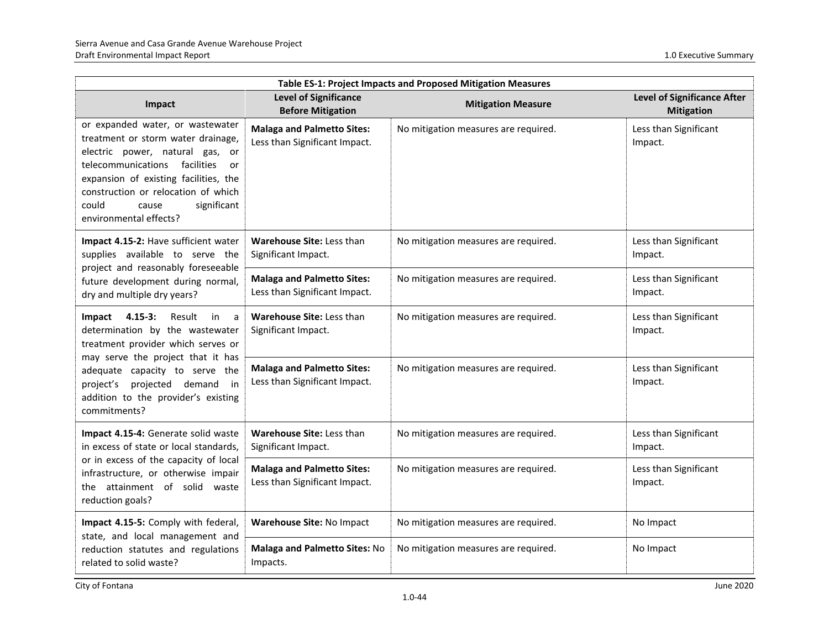| Table ES-1: Project Impacts and Proposed Mitigation Measures                                                                                                                                                                                                                                   |                                                                    |                                      |                                                         |
|------------------------------------------------------------------------------------------------------------------------------------------------------------------------------------------------------------------------------------------------------------------------------------------------|--------------------------------------------------------------------|--------------------------------------|---------------------------------------------------------|
| Impact                                                                                                                                                                                                                                                                                         | <b>Level of Significance</b><br><b>Before Mitigation</b>           | <b>Mitigation Measure</b>            | <b>Level of Significance After</b><br><b>Mitigation</b> |
| or expanded water, or wastewater<br>treatment or storm water drainage,<br>electric power, natural gas, or<br>telecommunications<br>facilities<br>or<br>expansion of existing facilities, the<br>construction or relocation of which<br>significant<br>could<br>cause<br>environmental effects? | <b>Malaga and Palmetto Sites:</b><br>Less than Significant Impact. | No mitigation measures are required. | Less than Significant<br>Impact.                        |
| Impact 4.15-2: Have sufficient water<br>supplies available to serve the<br>project and reasonably foreseeable<br>future development during normal,<br>dry and multiple dry years?                                                                                                              | <b>Warehouse Site: Less than</b><br>Significant Impact.            | No mitigation measures are required. | Less than Significant<br>Impact.                        |
|                                                                                                                                                                                                                                                                                                | <b>Malaga and Palmetto Sites:</b><br>Less than Significant Impact. | No mitigation measures are required. | Less than Significant<br>Impact.                        |
| $4.15 - 3:$<br>Result<br>Impact<br>in<br>a<br>determination by the wastewater<br>treatment provider which serves or<br>may serve the project that it has<br>adequate capacity to serve the<br>projected demand<br>project's<br>in<br>addition to the provider's existing<br>commitments?       | Warehouse Site: Less than<br>Significant Impact.                   | No mitigation measures are required. | Less than Significant<br>Impact.                        |
|                                                                                                                                                                                                                                                                                                | <b>Malaga and Palmetto Sites:</b><br>Less than Significant Impact. | No mitigation measures are required. | Less than Significant<br>Impact.                        |
| Impact 4.15-4: Generate solid waste<br>in excess of state or local standards,<br>or in excess of the capacity of local<br>infrastructure, or otherwise impair<br>the attainment of solid waste<br>reduction goals?                                                                             | Warehouse Site: Less than<br>Significant Impact.                   | No mitigation measures are required. | Less than Significant<br>Impact.                        |
|                                                                                                                                                                                                                                                                                                | <b>Malaga and Palmetto Sites:</b><br>Less than Significant Impact. | No mitigation measures are required. | Less than Significant<br>Impact.                        |
| Impact 4.15-5: Comply with federal,                                                                                                                                                                                                                                                            | Warehouse Site: No Impact                                          | No mitigation measures are required. | No Impact                                               |
| state, and local management and<br>reduction statutes and regulations<br>related to solid waste?                                                                                                                                                                                               | Malaga and Palmetto Sites: No<br>Impacts.                          | No mitigation measures are required. | No Impact                                               |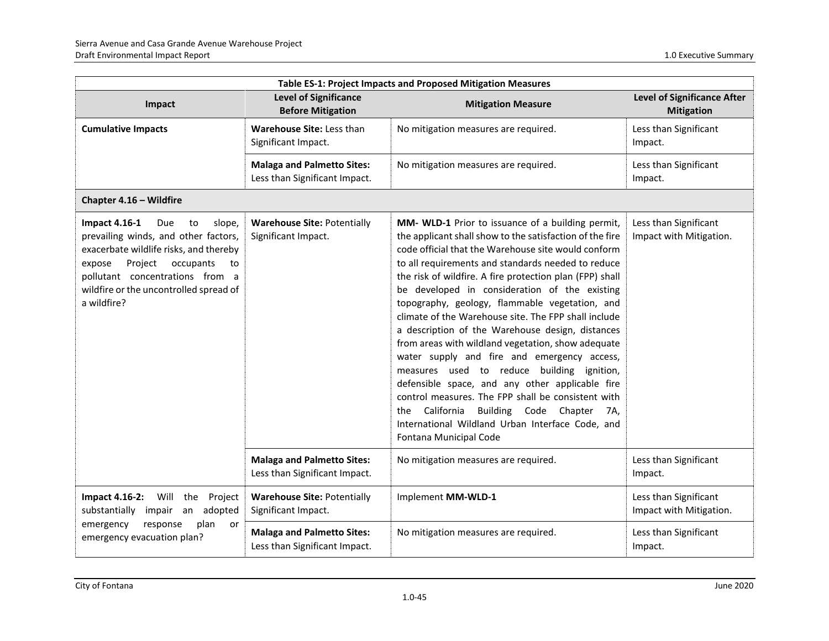| Table ES-1: Project Impacts and Proposed Mitigation Measures                                                                                                                                                                                                      |                                                                    |                                                                                                                                                                                                                                                                                                                                                                                                                                                                                                                                                                                                                                                                                                                                                                                                                                                                                                      |                                                         |
|-------------------------------------------------------------------------------------------------------------------------------------------------------------------------------------------------------------------------------------------------------------------|--------------------------------------------------------------------|------------------------------------------------------------------------------------------------------------------------------------------------------------------------------------------------------------------------------------------------------------------------------------------------------------------------------------------------------------------------------------------------------------------------------------------------------------------------------------------------------------------------------------------------------------------------------------------------------------------------------------------------------------------------------------------------------------------------------------------------------------------------------------------------------------------------------------------------------------------------------------------------------|---------------------------------------------------------|
| Impact                                                                                                                                                                                                                                                            | <b>Level of Significance</b><br><b>Before Mitigation</b>           | <b>Mitigation Measure</b>                                                                                                                                                                                                                                                                                                                                                                                                                                                                                                                                                                                                                                                                                                                                                                                                                                                                            | <b>Level of Significance After</b><br><b>Mitigation</b> |
| <b>Cumulative Impacts</b>                                                                                                                                                                                                                                         | <b>Warehouse Site: Less than</b><br>Significant Impact.            | No mitigation measures are required.                                                                                                                                                                                                                                                                                                                                                                                                                                                                                                                                                                                                                                                                                                                                                                                                                                                                 | Less than Significant<br>Impact.                        |
|                                                                                                                                                                                                                                                                   | <b>Malaga and Palmetto Sites:</b><br>Less than Significant Impact. | No mitigation measures are required.                                                                                                                                                                                                                                                                                                                                                                                                                                                                                                                                                                                                                                                                                                                                                                                                                                                                 | Less than Significant<br>Impact.                        |
| Chapter 4.16 - Wildfire                                                                                                                                                                                                                                           |                                                                    |                                                                                                                                                                                                                                                                                                                                                                                                                                                                                                                                                                                                                                                                                                                                                                                                                                                                                                      |                                                         |
| <b>Impact 4.16-1</b><br>Due<br>slope,<br>to<br>prevailing winds, and other factors,<br>exacerbate wildlife risks, and thereby<br>Project<br>occupants<br>expose<br>to<br>pollutant concentrations from a<br>wildfire or the uncontrolled spread of<br>a wildfire? | <b>Warehouse Site: Potentially</b><br>Significant Impact.          | MM- WLD-1 Prior to issuance of a building permit,<br>the applicant shall show to the satisfaction of the fire<br>code official that the Warehouse site would conform<br>to all requirements and standards needed to reduce<br>the risk of wildfire. A fire protection plan (FPP) shall<br>be developed in consideration of the existing<br>topography, geology, flammable vegetation, and<br>climate of the Warehouse site. The FPP shall include<br>a description of the Warehouse design, distances<br>from areas with wildland vegetation, show adequate<br>water supply and fire and emergency access,<br>measures used to reduce building ignition,<br>defensible space, and any other applicable fire<br>control measures. The FPP shall be consistent with<br>California<br>Building Code Chapter<br>7A,<br>the<br>International Wildland Urban Interface Code, and<br>Fontana Municipal Code | Less than Significant<br>Impact with Mitigation.        |
|                                                                                                                                                                                                                                                                   | <b>Malaga and Palmetto Sites:</b><br>Less than Significant Impact. | No mitigation measures are required.                                                                                                                                                                                                                                                                                                                                                                                                                                                                                                                                                                                                                                                                                                                                                                                                                                                                 | Less than Significant<br>Impact.                        |
| Will<br><b>Impact 4.16-2:</b><br>the Project<br>substantially impair an<br>adopted                                                                                                                                                                                | <b>Warehouse Site: Potentially</b><br>Significant Impact.          | Implement MM-WLD-1                                                                                                                                                                                                                                                                                                                                                                                                                                                                                                                                                                                                                                                                                                                                                                                                                                                                                   | Less than Significant<br>Impact with Mitigation.        |
| emergency<br>response<br>plan<br>or<br>emergency evacuation plan?                                                                                                                                                                                                 | <b>Malaga and Palmetto Sites:</b><br>Less than Significant Impact. | No mitigation measures are required.                                                                                                                                                                                                                                                                                                                                                                                                                                                                                                                                                                                                                                                                                                                                                                                                                                                                 | Less than Significant<br>Impact.                        |